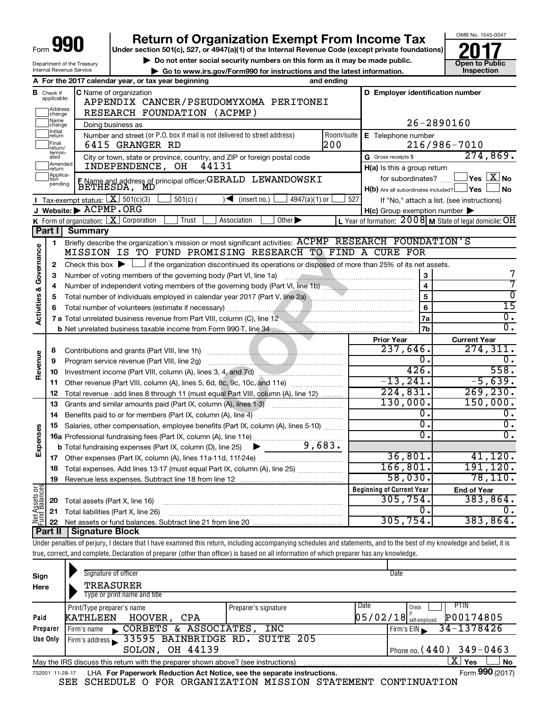| Form | iar |  |
|------|-----|--|
|      |     |  |

Department of the Treasury Internal Revenue Service

# **Return of Organization Exempt From Income Tax**

**Under section 501(c), 527, or 4947(a)(1) of the Internal Revenue Code (except private foundations)**

▶ Do not enter social security numbers on this form as it may be made public.<br>
inspection and the latest information. **Dependent in the latest information** and the latest information. **| Go to www.irs.gov/Form990 for instructions and the latest information. Inspection**



|                                |                               | A For the 2017 calendar year, or tax year beginning<br>and ending                                                                           |                                                     |                                                         |
|--------------------------------|-------------------------------|---------------------------------------------------------------------------------------------------------------------------------------------|-----------------------------------------------------|---------------------------------------------------------|
|                                | <b>B</b> Check if applicable: | <b>C</b> Name of organization                                                                                                               | D Employer identification number                    |                                                         |
|                                |                               | APPENDIX CANCER/PSEUDOMYXOMA PERITONEI                                                                                                      |                                                     |                                                         |
|                                | Address<br>change             | RESEARCH FOUNDATION (ACPMP)                                                                                                                 |                                                     |                                                         |
|                                | Name<br>change                | Doing business as                                                                                                                           |                                                     | 26-2890160                                              |
|                                | Initial<br>return             | Number and street (or P.O. box if mail is not delivered to street address)<br>Room/suite                                                    | E Telephone number                                  |                                                         |
|                                | Final<br>return/              | 200<br>6415 GRANGER RD                                                                                                                      |                                                     | 216/986-7010                                            |
|                                | termin-<br>ated               | City or town, state or province, country, and ZIP or foreign postal code                                                                    | G Gross receipts \$                                 | 274,869.                                                |
|                                | Amended<br>Ireturn            | INDEPENDENCE, OH<br>44131                                                                                                                   | H(a) Is this a group return                         |                                                         |
|                                | Applica-<br>tion<br>pending   | F Name and address of principal officer: GERALD LEWANDOWSKI                                                                                 | for subordinates? $\ldots$                          | $\Box$ Yes $[\overline{\mathrm{X}}]$ No                 |
|                                |                               |                                                                                                                                             | $H(b)$ Are all subordinates included? $\Box$ Yes    | ∣No                                                     |
|                                |                               | <b>I</b> Tax-exempt status: $X \mid 501(c)(3)$<br>$501(c)$ (<br>$\sqrt{\frac{1}{1}}$ (insert no.)<br>$4947(a)(1)$ or                        | 527                                                 | If "No," attach a list. (see instructions)              |
|                                |                               | J Website: > ACPMP.ORG                                                                                                                      | $H(c)$ Group exemption number $\blacktriangleright$ |                                                         |
|                                |                               | <b>K</b> Form of organization: $\boxed{\mathbf{X}}$ Corporation<br>Other $\blacktriangleright$<br>Trust<br>Association                      |                                                     | L Year of formation: 2008 M State of legal domicile: OH |
|                                | Part I                        | Summary                                                                                                                                     |                                                     |                                                         |
|                                | 1                             | Briefly describe the organization's mission or most significant activities: ACPMP RESEARCH FOUNDATION'S                                     |                                                     |                                                         |
|                                |                               | MISSION IS TO FUND PROMISING RESEARCH TO FIND A CURE FOR                                                                                    |                                                     |                                                         |
| Activities & Governance        | 2                             | Check this box $\blacktriangleright$ $\Box$ if the organization discontinued its operations or disposed of more than 25% of its net assets. |                                                     |                                                         |
|                                | З                             | Number of voting members of the governing body (Part VI, line 1a)                                                                           |                                                     | 7<br>3                                                  |
|                                | 4                             |                                                                                                                                             |                                                     | $\overline{4}$                                          |
|                                | 5                             |                                                                                                                                             | $\overline{\overline{\overline{5}}}$                | $\overline{0}$                                          |
|                                | 6                             |                                                                                                                                             |                                                     | $\overline{15}$<br>6                                    |
|                                |                               |                                                                                                                                             |                                                     | $\overline{0}$ .<br>7a<br>$\overline{0}$ .              |
|                                |                               |                                                                                                                                             |                                                     | 7b                                                      |
|                                |                               |                                                                                                                                             | <b>Prior Year</b><br>237,646.                       | <b>Current Year</b><br>274,311.                         |
|                                | 8                             | Contributions and grants (Part VIII, line 1h)                                                                                               | 0.                                                  | $\overline{0}$ .                                        |
| Revenue                        | 9                             | Program service revenue (Part VIII, line 2g)                                                                                                | 426.                                                | 558.                                                    |
|                                | 10                            | Investment income (Part VIII, column (A), lines 3, 4, and 7d)                                                                               | $-13, 241.$                                         | $-5,639.$                                               |
|                                | 11                            | Other revenue (Part VIII, column (A), lines 5, 6d, 8c, 9c, 10c, and 11e)                                                                    | 224,831.                                            | 269, 230.                                               |
|                                | 12                            | Total revenue - add lines 8 through 11 (must equal Part VIII, column (A), line 12)                                                          | 130,000.                                            | 150,000.                                                |
|                                | 13                            | Grants and similar amounts paid (Part IX, column (A), lines 1-3)                                                                            | Ο.                                                  | $\overline{0}$ .                                        |
|                                | 14                            | Salaries, other compensation, employee benefits (Part IX, column (A), lines 5-10)                                                           | $\overline{0}$ .                                    | $\overline{0}$ .                                        |
| Expenses                       | 15                            |                                                                                                                                             | 0.                                                  | 0.                                                      |
|                                |                               | 9,683.<br><b>b</b> Total fundraising expenses (Part IX, column (D), line 25)                                                                |                                                     |                                                         |
|                                | 17                            | $\blacktriangleright$ $\_\_$                                                                                                                | 36,801.                                             | 41, 120.                                                |
|                                | 18                            | Total expenses. Add lines 13-17 (must equal Part IX, column (A), line 25)                                                                   | 166, 801.                                           | 191, 120.                                               |
|                                | 19                            |                                                                                                                                             | 58,030.                                             | 78, 110.                                                |
|                                |                               |                                                                                                                                             | <b>Beginning of Current Year</b>                    | <b>End of Year</b>                                      |
|                                | 20                            | Total assets (Part X, line 16)                                                                                                              | 305,754.                                            | 383,864.                                                |
|                                | 21                            | Total liabilities (Part X, line 26)                                                                                                         | О.                                                  | υ.                                                      |
| Net Assets or<br>Fund Balances | 22                            |                                                                                                                                             | 305,754.                                            | 383,864.                                                |
|                                |                               | Part II   Signature Block                                                                                                                   |                                                     |                                                         |

Under penalties of perjury, I declare that I have examined this return, including accompanying schedules and statements, and to the best of my knowledge and belief, it is true, correct, and complete. Declaration of preparer (other than officer) is based on all information of which preparer has any knowledge.

| Sign<br>Here | Signature of officer<br><b>TREASURER</b><br>Type or print name and title                                     |                      | Date                                                           |  |  |  |  |  |
|--------------|--------------------------------------------------------------------------------------------------------------|----------------------|----------------------------------------------------------------|--|--|--|--|--|
| Paid         | Print/Type preparer's name<br><b>KATHLEEN</b><br>HOOVER,<br>CPA                                              | Preparer's signature | PTIN<br>Date<br>Check<br>P00174805<br>$05/02/18$ self-employed |  |  |  |  |  |
| Preparer     | CORBETS & ASSOCIATES,<br>Firm's name                                                                         | INC                  | 34-1378426<br>Firm's $EIN$                                     |  |  |  |  |  |
| Use Only     | Firm's address 33595 BAINBRIDGE RD. SUITE 205                                                                |                      |                                                                |  |  |  |  |  |
|              | SOLON, OH 44139                                                                                              |                      | Phone no. $(440)$ 349-0463                                     |  |  |  |  |  |
|              | May the IRS discuss this return with the preparer shown above? (see instructions)                            |                      | ΧI<br>Yes<br>No                                                |  |  |  |  |  |
|              | Form 990 (2017)<br>LHA For Paperwork Reduction Act Notice, see the separate instructions.<br>732001 11-28-17 |                      |                                                                |  |  |  |  |  |

SEE SCHEDULE O FOR ORGANIZATION MISSION STATEMENT CONTINUATION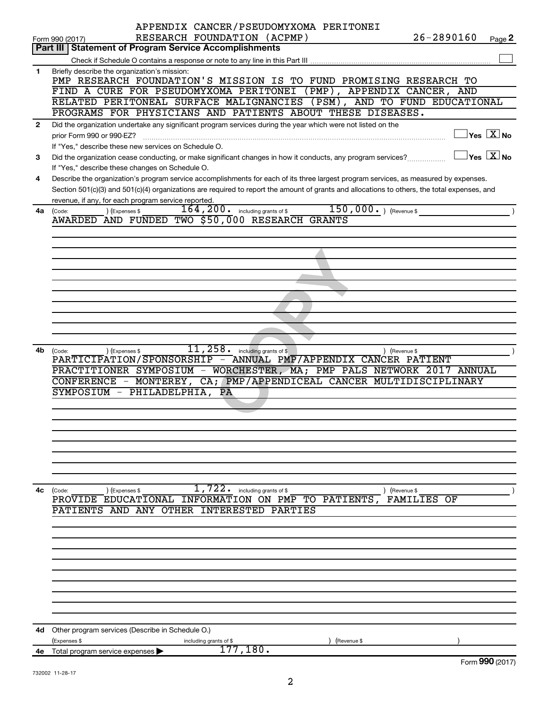|              | APPENDIX CANCER/PSEUDOMYXOMA PERITONEI                                                                                                       |
|--------------|----------------------------------------------------------------------------------------------------------------------------------------------|
|              | $26 - 2890160$<br>RESEARCH FOUNDATION (ACPMP)<br>Page 2<br>Form 990 (2017)                                                                   |
|              | Part III   Statement of Program Service Accomplishments                                                                                      |
|              |                                                                                                                                              |
| 1            | Briefly describe the organization's mission:                                                                                                 |
|              | PMP RESEARCH FOUNDATION'S MISSION IS TO FUND PROMISING RESEARCH TO                                                                           |
|              | FIND A CURE FOR PSEUDOMYXOMA PERITONEI<br>(PMP), APPENDIX CANCER, AND                                                                        |
|              | RELATED PERITONEAL SURFACE MALIGNANCIES (PSM), AND TO FUND EDUCATIONAL                                                                       |
|              | PROGRAMS FOR PHYSICIANS AND PATIENTS ABOUT THESE DISEASES.                                                                                   |
| $\mathbf{2}$ | Did the organization undertake any significant program services during the year which were not listed on the                                 |
|              | $\sqrt{\mathsf{Yes}\ \mathbb{X}}$ No<br>prior Form 990 or 990-EZ?                                                                            |
|              | If "Yes," describe these new services on Schedule O.                                                                                         |
| 3            | $\sqrt{}$ Yes $\sqrt{X}$ No<br>Did the organization cease conducting, or make significant changes in how it conducts, any program services?  |
|              | If "Yes," describe these changes on Schedule O.                                                                                              |
| 4            | Describe the organization's program service accomplishments for each of its three largest program services, as measured by expenses.         |
|              | Section 501(c)(3) and 501(c)(4) organizations are required to report the amount of grants and allocations to others, the total expenses, and |
|              | revenue, if any, for each program service reported.<br>$150,000.$ ) (Revenue \$                                                              |
| 4a           | $\overline{164}$ , $200$ . including grants of \$<br>) (Expenses \$<br>(Code:<br>AWARDED AND FUNDED TWO \$50,000 RESEARCH GRANTS             |
|              |                                                                                                                                              |
|              |                                                                                                                                              |
|              |                                                                                                                                              |
|              |                                                                                                                                              |
|              |                                                                                                                                              |
|              |                                                                                                                                              |
|              |                                                                                                                                              |
|              |                                                                                                                                              |
|              |                                                                                                                                              |
|              |                                                                                                                                              |
|              |                                                                                                                                              |
| 4b           | $11, 258$ $\cdot$ including grants of \$                                                                                                     |
|              | ) (Revenue \$<br>(Expenses \$<br>(Code:<br>PARTICIPATION/SPONSORSHIP - ANNUAL PMP/APPENDIX CANCER PATIENT                                    |
|              | PRACTITIONER SYMPOSIUM - WORCHESTER, MA; PMP PALS NETWORK 2017 ANNUAL                                                                        |
|              | CONFERENCE - MONTEREY, CA; PMP/APPENDICEAL CANCER MULTIDISCIPLINARY                                                                          |
|              | SYMPOSIUM - PHILADELPHIA, PA                                                                                                                 |
|              |                                                                                                                                              |
|              |                                                                                                                                              |
|              |                                                                                                                                              |
|              |                                                                                                                                              |
|              |                                                                                                                                              |
|              |                                                                                                                                              |
|              |                                                                                                                                              |
|              |                                                                                                                                              |
| 4c           | 1,722.<br>(Code:<br>) (Expenses \$<br>including grants of \$<br>) (Revenue \$                                                                |
|              | PROVIDE EDUCATIONAL<br>INFORMATION ON PMP TO PATIENTS,<br>FAMILIES<br>OF                                                                     |
|              | OTHER INTERESTED<br>PATIENTS<br>AND ANY<br>PARTIES                                                                                           |
|              |                                                                                                                                              |
|              |                                                                                                                                              |
|              |                                                                                                                                              |
|              |                                                                                                                                              |
|              |                                                                                                                                              |
|              |                                                                                                                                              |
|              |                                                                                                                                              |
|              |                                                                                                                                              |
|              |                                                                                                                                              |
|              |                                                                                                                                              |
| 4d           | Other program services (Describe in Schedule O.)                                                                                             |
|              | (Expenses \$<br>including grants of \$<br>(Revenue \$                                                                                        |
| 4е —         | 177,180.<br>Total program service expenses                                                                                                   |
|              | Form 990 (2017)                                                                                                                              |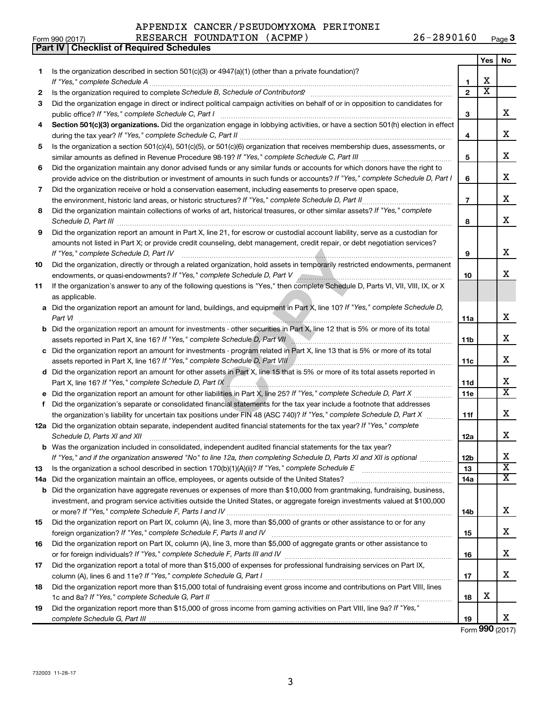| APPENDIX CANCER/PSEUDOMYXOMA PERITONEI |  |            |
|----------------------------------------|--|------------|
| RESEARCH FOUNDATION (ACPMP)            |  | 26-2890160 |

**Part IV Checklist of Required Schedules**

|    |                                                                                                                                                                                                                                                                                                                                                                     |                 | Yes                        | No                           |
|----|---------------------------------------------------------------------------------------------------------------------------------------------------------------------------------------------------------------------------------------------------------------------------------------------------------------------------------------------------------------------|-----------------|----------------------------|------------------------------|
| 1  | Is the organization described in section $501(c)(3)$ or $4947(a)(1)$ (other than a private foundation)?                                                                                                                                                                                                                                                             |                 |                            |                              |
|    |                                                                                                                                                                                                                                                                                                                                                                     | 1               | х<br>$\overline{\text{x}}$ |                              |
| 2  | Is the organization required to complete Schedule B, Schedule of Contributors? [[[[[[[[[[[[[[[[[[[[[[[[[[[[[[                                                                                                                                                                                                                                                       | $\mathbf{2}$    |                            |                              |
| 3  | Did the organization engage in direct or indirect political campaign activities on behalf of or in opposition to candidates for                                                                                                                                                                                                                                     | 3               |                            | x                            |
| 4  | Section 501(c)(3) organizations. Did the organization engage in lobbying activities, or have a section 501(h) election in effect                                                                                                                                                                                                                                    |                 |                            |                              |
|    |                                                                                                                                                                                                                                                                                                                                                                     | 4               |                            | X.                           |
| 5  | Is the organization a section 501(c)(4), 501(c)(5), or 501(c)(6) organization that receives membership dues, assessments, or                                                                                                                                                                                                                                        |                 |                            |                              |
|    |                                                                                                                                                                                                                                                                                                                                                                     | 5               |                            | x                            |
| 6  | Did the organization maintain any donor advised funds or any similar funds or accounts for which donors have the right to                                                                                                                                                                                                                                           |                 |                            |                              |
|    | provide advice on the distribution or investment of amounts in such funds or accounts? If "Yes," complete Schedule D, Part I                                                                                                                                                                                                                                        | 6               |                            | x                            |
| 7  | Did the organization receive or hold a conservation easement, including easements to preserve open space,                                                                                                                                                                                                                                                           |                 |                            | x                            |
|    |                                                                                                                                                                                                                                                                                                                                                                     | $\overline{7}$  |                            |                              |
| 8  | Did the organization maintain collections of works of art, historical treasures, or other similar assets? If "Yes," complete<br>Schedule D, Part III <b>Marting Community Control</b> and Technical Control of Technical Control of Technical Control of Technical Control of Technical Control of Technical Control of Technical Control of Technical Control of T | 8               |                            | X.                           |
| 9  | Did the organization report an amount in Part X, line 21, for escrow or custodial account liability, serve as a custodian for                                                                                                                                                                                                                                       |                 |                            |                              |
|    | amounts not listed in Part X; or provide credit counseling, debt management, credit repair, or debt negotiation services?                                                                                                                                                                                                                                           |                 |                            |                              |
|    | If "Yes," complete Schedule D, Part IV                                                                                                                                                                                                                                                                                                                              | 9               |                            | X.                           |
| 10 | Did the organization, directly or through a related organization, hold assets in temporarily restricted endowments, permanent                                                                                                                                                                                                                                       |                 |                            |                              |
|    |                                                                                                                                                                                                                                                                                                                                                                     | 10              |                            | X.                           |
| 11 | If the organization's answer to any of the following questions is "Yes," then complete Schedule D, Parts VI, VII, VIII, IX, or X                                                                                                                                                                                                                                    |                 |                            |                              |
|    | as applicable.<br>a Did the organization report an amount for land, buildings, and equipment in Part X, line 10? If "Yes," complete Schedule D,                                                                                                                                                                                                                     |                 |                            |                              |
|    | Part VI                                                                                                                                                                                                                                                                                                                                                             | 11a             |                            | x                            |
|    | <b>b</b> Did the organization report an amount for investments - other securities in Part X, line 12 that is 5% or more of its total                                                                                                                                                                                                                                |                 |                            |                              |
|    |                                                                                                                                                                                                                                                                                                                                                                     | 11 <sub>b</sub> |                            | X.                           |
|    | c Did the organization report an amount for investments - program related in Part X, line 13 that is 5% or more of its total                                                                                                                                                                                                                                        |                 |                            |                              |
|    | assets reported in Part X, line 16? If "Yes," complete Schedule D, Part VIII [[[[[[[[[[[[[[[[[[[[[[[[[[[[[]]]]                                                                                                                                                                                                                                                      | 11c             |                            | x                            |
|    | d Did the organization report an amount for other assets in Part X, line 15 that is 5% or more of its total assets reported in                                                                                                                                                                                                                                      |                 |                            |                              |
|    |                                                                                                                                                                                                                                                                                                                                                                     | 11d             |                            | x                            |
|    |                                                                                                                                                                                                                                                                                                                                                                     | 11e             |                            | $\overline{\mathtt{x}}$      |
| f  | Did the organization's separate or consolidated financial statements for the tax year include a footnote that addresses                                                                                                                                                                                                                                             |                 |                            |                              |
|    | the organization's liability for uncertain tax positions under FIN 48 (ASC 740)? If "Yes," complete Schedule D, Part X                                                                                                                                                                                                                                              | 11f             |                            | x                            |
|    | 12a Did the organization obtain separate, independent audited financial statements for the tax year? If "Yes," complete                                                                                                                                                                                                                                             |                 |                            |                              |
|    | Schedule D, Parts XI and XII                                                                                                                                                                                                                                                                                                                                        | 12a             |                            | x                            |
|    | <b>b</b> Was the organization included in consolidated, independent audited financial statements for the tax year?                                                                                                                                                                                                                                                  |                 |                            |                              |
|    | If "Yes," and if the organization answered "No" to line 12a, then completing Schedule D, Parts XI and XII is optional                                                                                                                                                                                                                                               | 12b             |                            | X<br>$\overline{\textbf{x}}$ |
| 13 |                                                                                                                                                                                                                                                                                                                                                                     | 13              |                            | $\overline{\mathtt{x}}$      |
|    | <b>b</b> Did the organization have aggregate revenues or expenses of more than \$10,000 from grantmaking, fundraising, business,                                                                                                                                                                                                                                    | 14a             |                            |                              |
|    | investment, and program service activities outside the United States, or aggregate foreign investments valued at \$100,000                                                                                                                                                                                                                                          |                 |                            |                              |
|    |                                                                                                                                                                                                                                                                                                                                                                     | 14b             |                            | x                            |
| 15 | Did the organization report on Part IX, column (A), line 3, more than \$5,000 of grants or other assistance to or for any                                                                                                                                                                                                                                           |                 |                            |                              |
|    |                                                                                                                                                                                                                                                                                                                                                                     | 15              |                            | x                            |
| 16 | Did the organization report on Part IX, column (A), line 3, more than \$5,000 of aggregate grants or other assistance to                                                                                                                                                                                                                                            |                 |                            |                              |
|    |                                                                                                                                                                                                                                                                                                                                                                     | 16              |                            | x                            |
| 17 | Did the organization report a total of more than \$15,000 of expenses for professional fundraising services on Part IX,                                                                                                                                                                                                                                             |                 |                            |                              |
|    |                                                                                                                                                                                                                                                                                                                                                                     | 17              |                            | x                            |
| 18 | Did the organization report more than \$15,000 total of fundraising event gross income and contributions on Part VIII. lines                                                                                                                                                                                                                                        |                 |                            |                              |
|    |                                                                                                                                                                                                                                                                                                                                                                     | 18              | х                          |                              |
| 19 | Did the organization report more than \$15,000 of gross income from gaming activities on Part VIII, line 9a? If "Yes,"                                                                                                                                                                                                                                              |                 |                            |                              |
|    |                                                                                                                                                                                                                                                                                                                                                                     | 19              |                            | x                            |

Form (2017) **990**

3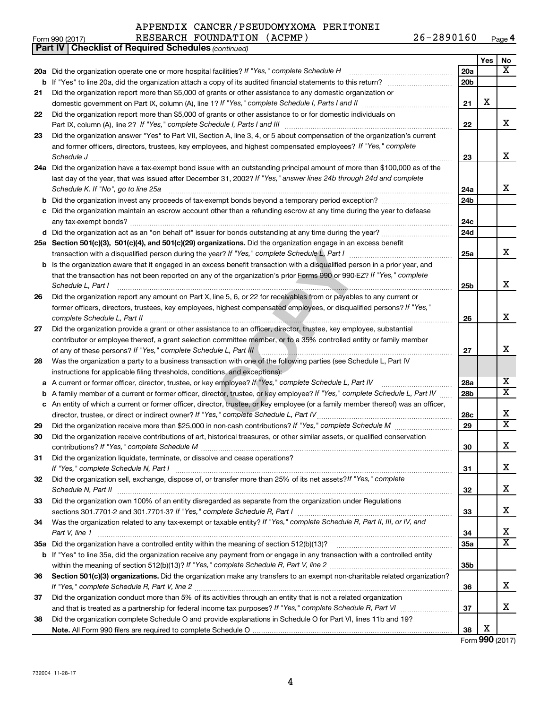| Form 990 (2017) | (ACPMP)<br>FOUNDATION<br><b>RESEARCH</b> | $-2890160$<br>$26 -$<br>Page 4 |
|-----------------|------------------------------------------|--------------------------------|
|-----------------|------------------------------------------|--------------------------------|

|    | <b>Part IV   Checklist of Required Schedules (continued)</b>                                                                        |                 |     |                         |
|----|-------------------------------------------------------------------------------------------------------------------------------------|-----------------|-----|-------------------------|
|    |                                                                                                                                     |                 | Yes | No                      |
|    | 20a Did the organization operate one or more hospital facilities? If "Yes," complete Schedule H                                     | 20a             |     | x                       |
|    |                                                                                                                                     | 20 <sub>b</sub> |     |                         |
| 21 | Did the organization report more than \$5,000 of grants or other assistance to any domestic organization or                         |                 |     |                         |
|    |                                                                                                                                     | 21              | X   |                         |
| 22 | Did the organization report more than \$5,000 of grants or other assistance to or for domestic individuals on                       |                 |     |                         |
|    |                                                                                                                                     | 22              |     | x                       |
| 23 | Did the organization answer "Yes" to Part VII, Section A, line 3, 4, or 5 about compensation of the organization's current          |                 |     |                         |
|    | and former officers, directors, trustees, key employees, and highest compensated employees? If "Yes," complete                      |                 |     |                         |
|    | Schedule J                                                                                                                          | 23              |     | x                       |
|    | 24a Did the organization have a tax-exempt bond issue with an outstanding principal amount of more than \$100,000 as of the         |                 |     |                         |
|    | last day of the year, that was issued after December 31, 2002? If "Yes," answer lines 24b through 24d and complete                  |                 |     |                         |
|    | Schedule K. If "No", go to line 25a                                                                                                 | 24a             |     | x                       |
|    |                                                                                                                                     | 24 <sub>b</sub> |     |                         |
|    | c Did the organization maintain an escrow account other than a refunding escrow at any time during the year to defease              |                 |     |                         |
|    |                                                                                                                                     | 24c             |     |                         |
|    |                                                                                                                                     | 24d             |     |                         |
|    | 25a Section 501(c)(3), 501(c)(4), and 501(c)(29) organizations. Did the organization engage in an excess benefit                    |                 |     |                         |
|    |                                                                                                                                     | 25a             |     | x                       |
|    | <b>b</b> Is the organization aware that it engaged in an excess benefit transaction with a disqualified person in a prior year, and |                 |     |                         |
|    | that the transaction has not been reported on any of the organization's prior Forms 990 or 990-EZ? If "Yes," complete               |                 |     |                         |
|    | Schedule L, Part I                                                                                                                  | 25b             |     | X                       |
| 26 | Did the organization report any amount on Part X, line 5, 6, or 22 for receivables from or payables to any current or               |                 |     |                         |
|    | former officers, directors, trustees, key employees, highest compensated employees, or disqualified persons? If "Yes,"              |                 |     |                         |
|    | complete Schedule L, Part II                                                                                                        | 26              |     | X                       |
| 27 | Did the organization provide a grant or other assistance to an officer, director, trustee, key employee, substantial                |                 |     |                         |
|    | contributor or employee thereof, a grant selection committee member, or to a 35% controlled entity or family member                 |                 |     |                         |
|    | of any of these persons? If "Yes," complete Schedule L, Part III                                                                    | 27              |     | х                       |
| 28 | Was the organization a party to a business transaction with one of the following parties (see Schedule L, Part IV                   |                 |     |                         |
|    | instructions for applicable filing thresholds, conditions, and exceptions):                                                         |                 |     |                         |
| а  | A current or former officer, director, trustee, or key employee? If "Yes," complete Schedule L, Part IV                             | 28a             |     | x                       |
| b  | A family member of a current or former officer, director, trustee, or key employee? If "Yes," complete Schedule L, Part IV          | 28b             |     | $\overline{\textbf{x}}$ |
|    | c An entity of which a current or former officer, director, trustee, or key employee (or a family member thereof) was an officer,   |                 |     |                         |
|    | director, trustee, or direct or indirect owner? If "Yes," complete Schedule L, Part IV.                                             | 28c             |     | x                       |
| 29 |                                                                                                                                     | 29              |     | $\overline{\mathtt{x}}$ |
| 30 | Did the organization receive contributions of art, historical treasures, or other similar assets, or qualified conservation         |                 |     |                         |
|    |                                                                                                                                     | 30              |     | Χ                       |
| 31 | Did the organization liquidate, terminate, or dissolve and cease operations?                                                        |                 |     |                         |
|    |                                                                                                                                     | 31              |     | x                       |
| 32 | Did the organization sell, exchange, dispose of, or transfer more than 25% of its net assets? If "Yes," complete                    |                 |     |                         |
|    |                                                                                                                                     | 32              |     | x                       |
| 33 | Did the organization own 100% of an entity disregarded as separate from the organization under Regulations                          |                 |     |                         |
|    |                                                                                                                                     | 33              |     | х                       |
| 34 | Was the organization related to any tax-exempt or taxable entity? If "Yes," complete Schedule R, Part II, III, or IV, and           |                 |     |                         |
|    | Part V, line 1                                                                                                                      | 34              |     | x                       |
|    |                                                                                                                                     | 35a             |     | $\overline{\texttt{X}}$ |
|    | b If "Yes" to line 35a, did the organization receive any payment from or engage in any transaction with a controlled entity         |                 |     |                         |
|    |                                                                                                                                     | 35 <sub>b</sub> |     |                         |
| 36 | Section 501(c)(3) organizations. Did the organization make any transfers to an exempt non-charitable related organization?          |                 |     |                         |
|    |                                                                                                                                     | 36              |     | x                       |
| 37 | Did the organization conduct more than 5% of its activities through an entity that is not a related organization                    |                 |     |                         |
|    |                                                                                                                                     | 37              |     | x                       |
| 38 | Did the organization complete Schedule O and provide explanations in Schedule O for Part VI, lines 11b and 19?                      |                 |     |                         |
|    |                                                                                                                                     | 38              | х   |                         |
|    |                                                                                                                                     |                 |     | Form 990 (2017)         |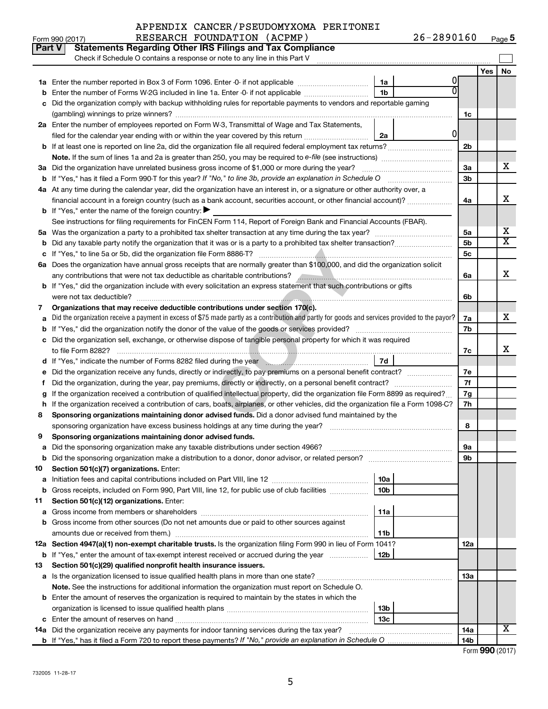|    | Part V<br><b>Statements Regarding Other IRS Filings and Tax Compliance</b>                                                                      |                 |    |                |     |                         |
|----|-------------------------------------------------------------------------------------------------------------------------------------------------|-----------------|----|----------------|-----|-------------------------|
|    | Check if Schedule O contains a response or note to any line in this Part V                                                                      |                 |    |                |     |                         |
|    |                                                                                                                                                 |                 |    |                | Yes | <b>No</b>               |
|    |                                                                                                                                                 | 1a              | O  |                |     |                         |
| b  | Enter the number of Forms W-2G included in line 1a. Enter -0- if not applicable                                                                 | 1 <sub>b</sub>  | ΩI |                |     |                         |
|    | Did the organization comply with backup withholding rules for reportable payments to vendors and reportable gaming                              |                 |    |                |     |                         |
|    |                                                                                                                                                 |                 |    | 1c             |     |                         |
|    | 2a Enter the number of employees reported on Form W-3, Transmittal of Wage and Tax Statements,                                                  |                 |    |                |     |                         |
|    | filed for the calendar year ending with or within the year covered by this return                                                               | 2a              | 01 |                |     |                         |
|    |                                                                                                                                                 |                 |    | 2 <sub>b</sub> |     |                         |
|    |                                                                                                                                                 |                 |    |                |     |                         |
|    | 3a Did the organization have unrelated business gross income of \$1,000 or more during the year?                                                |                 |    | За             |     | x.                      |
|    |                                                                                                                                                 |                 |    | 3 <sub>b</sub> |     |                         |
|    | 4a At any time during the calendar year, did the organization have an interest in, or a signature or other authority over, a                    |                 |    |                |     |                         |
|    | financial account in a foreign country (such as a bank account, securities account, or other financial account)?                                |                 |    | 4a             |     | x                       |
|    | <b>b</b> If "Yes," enter the name of the foreign country: $\blacktriangleright$                                                                 |                 |    |                |     |                         |
|    | See instructions for filing requirements for FinCEN Form 114, Report of Foreign Bank and Financial Accounts (FBAR).                             |                 |    |                |     |                         |
|    |                                                                                                                                                 |                 |    | 5a             |     | x                       |
| b  |                                                                                                                                                 |                 |    | 5 <sub>b</sub> |     | $\overline{\mathbf{X}}$ |
|    |                                                                                                                                                 |                 |    | 5c             |     |                         |
|    | 6a Does the organization have annual gross receipts that are normally greater than \$100,000, and did the organization solicit                  |                 |    |                |     |                         |
|    | any contributions that were not tax deductible as charitable contributions? And an annumeration of that were not                                |                 |    | 6a             |     | х                       |
|    | b If "Yes," did the organization include with every solicitation an express statement that such contributions or gifts                          |                 |    |                |     |                         |
|    |                                                                                                                                                 |                 |    | 6b             |     |                         |
| 7  | Organizations that may receive deductible contributions under section 170(c).                                                                   |                 |    |                |     | x.                      |
| a  | Did the organization receive a payment in excess of \$75 made partly as a contribution and partly for goods and services provided to the payor? |                 |    | 7a             |     |                         |
|    |                                                                                                                                                 |                 |    | 7b             |     |                         |
|    | c Did the organization sell, exchange, or otherwise dispose of tangible personal property for which it was required                             |                 |    | 7c             |     | x                       |
|    | d If "Yes," indicate the number of Forms 8282 filed during the year manufactured in the metal of the number of                                  | 7d              |    |                |     |                         |
| е  | Did the organization receive any funds, directly or indirectly, to pay premiums on a personal benefit contract?                                 |                 |    | 7e             |     |                         |
| Ť. |                                                                                                                                                 |                 |    | 7f             |     |                         |
| g  | If the organization received a contribution of qualified intellectual property, did the organization file Form 8899 as required?                |                 |    | 7g             |     |                         |
| h  | If the organization received a contribution of cars, boats, airplanes, or other vehicles, did the organization file a Form 1098-C?              |                 |    | 7h             |     |                         |
| 8  | Sponsoring organizations maintaining donor advised funds. Did a donor advised fund maintained by the                                            |                 |    |                |     |                         |
|    |                                                                                                                                                 |                 |    | 8              |     |                         |
| 9  | Sponsoring organizations maintaining donor advised funds.                                                                                       |                 |    |                |     |                         |
|    |                                                                                                                                                 |                 |    | эа             |     |                         |
|    | <b>b</b> Did the sponsoring organization make a distribution to a donor, donor advisor, or related person?                                      |                 |    | 9b             |     |                         |
| 10 | Section 501(c)(7) organizations. Enter:                                                                                                         |                 |    |                |     |                         |
| а  |                                                                                                                                                 | 10a             |    |                |     |                         |
| b  | Gross receipts, included on Form 990, Part VIII, line 12, for public use of club facilities                                                     | 10 <sub>b</sub> |    |                |     |                         |
| 11 | Section 501(c)(12) organizations. Enter:                                                                                                        |                 |    |                |     |                         |
| а  |                                                                                                                                                 | 11a             |    |                |     |                         |
|    | b Gross income from other sources (Do not net amounts due or paid to other sources against                                                      |                 |    |                |     |                         |
|    | amounts due or received from them.)                                                                                                             | 11b             |    |                |     |                         |
|    | 12a Section 4947(a)(1) non-exempt charitable trusts. Is the organization filing Form 990 in lieu of Form 1041?                                  |                 |    | 12a            |     |                         |
|    | <b>b</b> If "Yes," enter the amount of tax-exempt interest received or accrued during the year                                                  | 12b             |    |                |     |                         |
| 13 | Section 501(c)(29) qualified nonprofit health insurance issuers.                                                                                |                 |    |                |     |                         |
|    | a Is the organization licensed to issue qualified health plans in more than one state?                                                          |                 |    | 13a            |     |                         |
|    | Note. See the instructions for additional information the organization must report on Schedule O.                                               |                 |    |                |     |                         |
|    | <b>b</b> Enter the amount of reserves the organization is required to maintain by the states in which the                                       |                 |    |                |     |                         |
|    |                                                                                                                                                 | 13b             |    |                |     |                         |
|    |                                                                                                                                                 | 13c             |    |                |     |                         |
|    | 14a Did the organization receive any payments for indoor tanning services during the tax year?                                                  |                 |    | 14a            |     | X                       |
|    |                                                                                                                                                 |                 |    | 14b            |     |                         |

| Form 990 (2017) |  |  |  |
|-----------------|--|--|--|
|-----------------|--|--|--|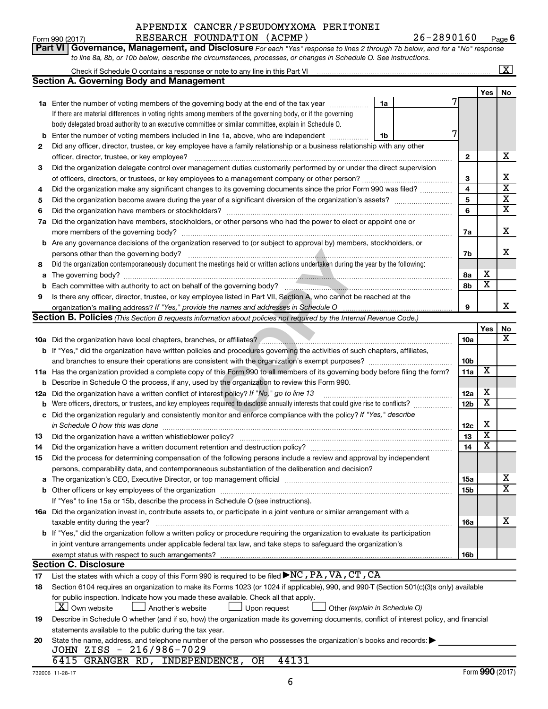#### Form 990 (2017) Page APPENDIX CANCER/PSEUDOMYXOMA PERITONEI RESEARCH FOUNDATION (ACPMP) 26-2890160

**6**

|     | Part VI Governance, Management, and Disclosure For each "Yes" response to lines 2 through 7b below, and for a "No" response                                                                                                   |                         |                              |                         |
|-----|-------------------------------------------------------------------------------------------------------------------------------------------------------------------------------------------------------------------------------|-------------------------|------------------------------|-------------------------|
|     | to line 8a, 8b, or 10b below, describe the circumstances, processes, or changes in Schedule O. See instructions.                                                                                                              |                         |                              |                         |
|     |                                                                                                                                                                                                                               |                         |                              | $\overline{\mathbf{x}}$ |
|     | <b>Section A. Governing Body and Management</b>                                                                                                                                                                               |                         |                              |                         |
|     |                                                                                                                                                                                                                               |                         | Yes                          | No                      |
|     | 1a Enter the number of voting members of the governing body at the end of the tax year<br>1a                                                                                                                                  |                         |                              |                         |
|     | If there are material differences in voting rights among members of the governing body, or if the governing                                                                                                                   |                         |                              |                         |
|     | body delegated broad authority to an executive committee or similar committee, explain in Schedule O.                                                                                                                         |                         |                              |                         |
|     | Enter the number of voting members included in line 1a, above, who are independent<br>1b                                                                                                                                      |                         |                              |                         |
| 2   | Did any officer, director, trustee, or key employee have a family relationship or a business relationship with any other                                                                                                      |                         |                              |                         |
|     | officer, director, trustee, or key employee?                                                                                                                                                                                  | 2                       |                              | х                       |
| 3   | Did the organization delegate control over management duties customarily performed by or under the direct supervision                                                                                                         |                         |                              |                         |
|     |                                                                                                                                                                                                                               | 3                       |                              | х                       |
| 4   | Did the organization make any significant changes to its governing documents since the prior Form 990 was filed?                                                                                                              | $\overline{\mathbf{4}}$ |                              | $\overline{\textbf{x}}$ |
| 5   |                                                                                                                                                                                                                               | 5                       |                              | $\overline{\mathbf{x}}$ |
| 6   |                                                                                                                                                                                                                               | 6                       |                              | $\overline{\textbf{x}}$ |
| 7a  | Did the organization have members, stockholders, or other persons who had the power to elect or appoint one or                                                                                                                |                         |                              |                         |
|     |                                                                                                                                                                                                                               | 7a                      |                              | х                       |
|     | <b>b</b> Are any governance decisions of the organization reserved to (or subject to approval by) members, stockholders, or                                                                                                   |                         |                              |                         |
|     | persons other than the governing body?                                                                                                                                                                                        | 7b                      |                              | x                       |
| 8   | Did the organization contemporaneously document the meetings held or written actions undertaken during the year by the following:                                                                                             |                         |                              |                         |
| а   |                                                                                                                                                                                                                               | 8а                      | х<br>$\overline{\textbf{x}}$ |                         |
|     |                                                                                                                                                                                                                               | 8b                      |                              |                         |
| 9   | Is there any officer, director, trustee, or key employee listed in Part VII, Section A, who cannot be reached at the                                                                                                          |                         |                              | x.                      |
|     | organization's mailing address? If "Yes," provide the names and addresses in Schedule O<br><b>Section B. Policies</b> (This Section B requests information about policies not required by the Internal Revenue Code.)         | 9                       |                              |                         |
|     |                                                                                                                                                                                                                               |                         | Yes                          | No                      |
|     |                                                                                                                                                                                                                               | 10a                     |                              | X                       |
|     | b If "Yes," did the organization have written policies and procedures governing the activities of such chapters, affiliates,                                                                                                  |                         |                              |                         |
|     |                                                                                                                                                                                                                               | 10 <sub>b</sub>         |                              |                         |
|     | 11a Has the organization provided a complete copy of this Form 990 to all members of its governing body before filing the form?                                                                                               | 11a                     | X                            |                         |
|     | <b>b</b> Describe in Schedule O the process, if any, used by the organization to review this Form 990.                                                                                                                        |                         |                              |                         |
| 12a | Did the organization have a written conflict of interest policy? If "No," go to line 13                                                                                                                                       | 12a                     | х                            |                         |
| b   | Were officers, directors, or trustees, and key employees required to disclose annually interests that could give rise to conflicts?                                                                                           | 12 <sub>b</sub>         | $\overline{\texttt{x}}$      |                         |
| с   | Did the organization regularly and consistently monitor and enforce compliance with the policy? If "Yes," describe                                                                                                            |                         |                              |                         |
|     | in Schedule O how this was done <i>manually</i> contained and the Schedule O how this was done                                                                                                                                | 12c                     | х                            |                         |
| 13  |                                                                                                                                                                                                                               | 13                      | $\overline{\texttt{x}}$      |                         |
| 14  | Did the organization have a written document retention and destruction policy? [111] [12] manument contains an                                                                                                                | 14                      | $\overline{\mathtt{x}}$      |                         |
| 15  | Did the process for determining compensation of the following persons include a review and approval by independent                                                                                                            |                         |                              |                         |
|     | persons, comparability data, and contemporaneous substantiation of the deliberation and decision?                                                                                                                             |                         |                              |                         |
|     | The organization's CEO, Executive Director, or top management official manufactured content of the organization's CEO, Executive Director, or top management official manufactured and the state of the state of the state of | 15a                     |                              | х                       |
|     |                                                                                                                                                                                                                               | 15b                     |                              | $\overline{\text{x}}$   |
|     | If "Yes" to line 15a or 15b, describe the process in Schedule O (see instructions).                                                                                                                                           |                         |                              |                         |
|     | 16a Did the organization invest in, contribute assets to, or participate in a joint venture or similar arrangement with a                                                                                                     |                         |                              |                         |
|     | taxable entity during the year?                                                                                                                                                                                               | 16a                     |                              | х                       |
|     | b If "Yes," did the organization follow a written policy or procedure requiring the organization to evaluate its participation                                                                                                |                         |                              |                         |
|     | in joint venture arrangements under applicable federal tax law, and take steps to safeguard the organization's                                                                                                                |                         |                              |                         |
|     | exempt status with respect to such arrangements?                                                                                                                                                                              | 16b                     |                              |                         |
|     | <b>Section C. Disclosure</b>                                                                                                                                                                                                  |                         |                              |                         |
| 17  | List the states with which a copy of this Form 990 is required to be filed $\blacktriangleright$ NC, $\overline{\text{PA}}$ , $\text{VA}$ , $\text{CT}$ , $\text{CA}$                                                         |                         |                              |                         |
| 18  | Section 6104 requires an organization to make its Forms 1023 (or 1024 if applicable), 990, and 990-T (Section 501(c)(3)s only) available                                                                                      |                         |                              |                         |
|     | for public inspection. Indicate how you made these available. Check all that apply.                                                                                                                                           |                         |                              |                         |
|     | $\lfloor X \rfloor$ Own website<br>Another's website<br>Upon request<br>Other (explain in Schedule O)                                                                                                                         |                         |                              |                         |
| 19  | Describe in Schedule O whether (and if so, how) the organization made its governing documents, conflict of interest policy, and financial                                                                                     |                         |                              |                         |
|     | statements available to the public during the tax year.                                                                                                                                                                       |                         |                              |                         |
| 20  | State the name, address, and telephone number of the person who possesses the organization's books and records:<br>JOHN ZISS - 216/986-7029                                                                                   |                         |                              |                         |
|     | 6415 GRANGER RD, INDEPENDENCE, OH<br>44131                                                                                                                                                                                    |                         |                              |                         |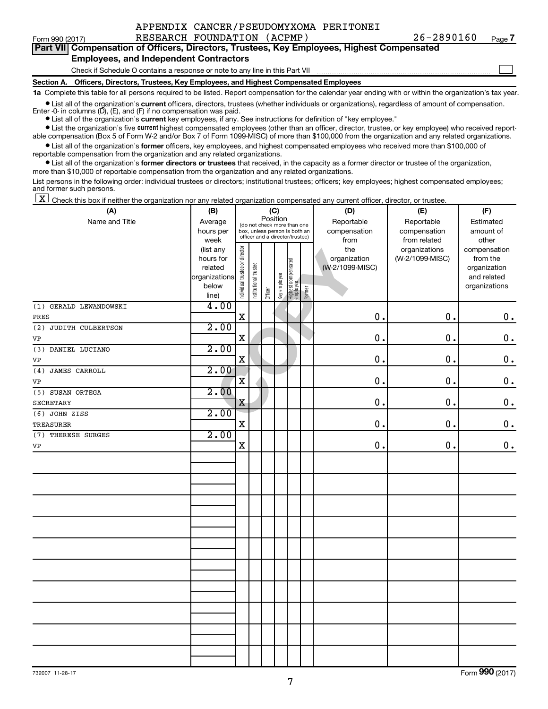|  |  | APPENDIX CANCER/PSEUDOMYXOMA PERITONEI |
|--|--|----------------------------------------|
|  |  |                                        |

 $\Box$ 

|  | Part VII Compensation of Officers, Directors, Trustees, Key Employees, Highest Compensated |
|--|--------------------------------------------------------------------------------------------|
|  | <b>Employees, and Independent Contractors</b>                                              |

#### Check if Schedule O contains a response or note to any line in this Part VII

**Section A. Officers, Directors, Trustees, Key Employees, and Highest Compensated Employees**

**1a**  Complete this table for all persons required to be listed. Report compensation for the calendar year ending with or within the organization's tax year.

**•** List all of the organization's current officers, directors, trustees (whether individuals or organizations), regardless of amount of compensation.

**•** List all of the organization's **current** key employees, if any. See instructions for definition of "key employee." Enter -0- in columns  $(D)$ ,  $(E)$ , and  $(F)$  if no compensation was paid.

**•** List the organization's five current highest compensated employees (other than an officer, director, trustee, or key employee) who received report-

**•** List all of the organization's former officers, key employees, and highest compensated employees who received more than \$100,000 of able compensation (Box 5 of Form W-2 and/or Box 7 of Form 1099-MISC) of more than \$100,000 from the organization and any related organizations. reportable compensation from the organization and any related organizations.

**•** List all of the organization's former directors or trustees that received, in the capacity as a former director or trustee of the organization, more than \$10,000 of reportable compensation from the organization and any related organizations.

List persons in the following order: individual trustees or directors; institutional trustees; officers; key employees; highest compensated employees; and former such persons.

|  |  |  | $\boxed{\mathbf{X}}$ Check this box if neither the organization nor any related organization compensated any current officer, director, or trustee. |  |  |  |  |  |
|--|--|--|-----------------------------------------------------------------------------------------------------------------------------------------------------|--|--|--|--|--|
|--|--|--|-----------------------------------------------------------------------------------------------------------------------------------------------------|--|--|--|--|--|

| (A)                         | (B)           |                                |                                         | (C)                             |              |                                 |           | (D)             | (E)             | (F)           |
|-----------------------------|---------------|--------------------------------|-----------------------------------------|---------------------------------|--------------|---------------------------------|-----------|-----------------|-----------------|---------------|
| Name and Title              | Average       |                                | Position<br>(do not check more than one |                                 | Reportable   | Reportable                      | Estimated |                 |                 |               |
|                             | hours per     |                                |                                         | box, unless person is both an   |              |                                 |           | compensation    | compensation    | amount of     |
|                             | week          |                                |                                         | officer and a director/trustee) |              |                                 |           | from            | from related    | other         |
|                             | (list any     |                                |                                         |                                 |              |                                 |           | the             | organizations   | compensation  |
|                             | hours for     |                                |                                         |                                 |              |                                 |           | organization    | (W-2/1099-MISC) | from the      |
|                             | related       |                                |                                         |                                 |              |                                 |           | (W-2/1099-MISC) |                 | organization  |
|                             | organizations |                                |                                         |                                 |              |                                 |           |                 |                 | and related   |
|                             | below         | Individual trustee or director | Institutional trustee                   |                                 | Key employee | Highest compensated<br>employee |           |                 |                 | organizations |
|                             | line)         |                                |                                         | Officer                         |              |                                 | Former    |                 |                 |               |
| (1) GERALD LEWANDOWSKI      | 4.00          |                                |                                         |                                 |              |                                 |           |                 |                 |               |
| PRES                        |               | $\mathbf X$                    |                                         |                                 |              |                                 |           | 0.              | 0.              | $\mathbf 0$ . |
| (2) JUDITH CULBERTSON       | 2.00          |                                |                                         |                                 |              |                                 |           |                 |                 |               |
| VP                          |               | $\mathbf X$                    |                                         |                                 |              |                                 |           | 0.              | 0.              | $\mathbf 0$ . |
| (3) DANIEL LUCIANO          | 2.00          |                                |                                         |                                 |              |                                 |           |                 |                 |               |
| VP                          |               | $\mathbf X$                    |                                         |                                 |              |                                 |           | 0.              | $\mathbf 0$ .   | $\mathbf 0$ . |
| <b>JAMES CARROLL</b><br>(4) | 2.00          |                                |                                         |                                 |              |                                 |           |                 |                 |               |
| VP                          |               | $\overline{\textbf{X}}$        |                                         |                                 |              |                                 |           | 0.              | 0.              | $\mathbf 0$ . |
| (5) SUSAN ORTEGA            | 2.00          |                                |                                         |                                 |              |                                 |           |                 |                 |               |
| SECRETARY                   |               | $\mathbf X$                    |                                         |                                 |              |                                 |           | 0.              | 0.              | $\mathbf 0$ . |
| (6) JOHN ZISS               | 2.00          |                                |                                         |                                 |              |                                 |           |                 |                 |               |
| <b>TREASURER</b>            |               | $\mathbf X$                    |                                         |                                 |              |                                 |           | 0.              | $\mathbf 0$ .   | $\mathbf 0$ . |
| (7) THERESE SURGES          | 2.00          |                                |                                         |                                 |              |                                 |           |                 |                 |               |
| VP                          |               | $\mathbf X$                    |                                         |                                 |              |                                 |           | 0.              | $\mathbf 0$ .   | $\mathbf 0$ . |
|                             |               |                                |                                         |                                 |              |                                 |           |                 |                 |               |
|                             |               |                                |                                         |                                 |              |                                 |           |                 |                 |               |
|                             |               |                                |                                         |                                 |              |                                 |           |                 |                 |               |
|                             |               |                                |                                         |                                 |              |                                 |           |                 |                 |               |
|                             |               |                                |                                         |                                 |              |                                 |           |                 |                 |               |
|                             |               |                                |                                         |                                 |              |                                 |           |                 |                 |               |
|                             |               |                                |                                         |                                 |              |                                 |           |                 |                 |               |
|                             |               |                                |                                         |                                 |              |                                 |           |                 |                 |               |
|                             |               |                                |                                         |                                 |              |                                 |           |                 |                 |               |
|                             |               |                                |                                         |                                 |              |                                 |           |                 |                 |               |
|                             |               |                                |                                         |                                 |              |                                 |           |                 |                 |               |
|                             |               |                                |                                         |                                 |              |                                 |           |                 |                 |               |
|                             |               |                                |                                         |                                 |              |                                 |           |                 |                 |               |
|                             |               |                                |                                         |                                 |              |                                 |           |                 |                 |               |
|                             |               |                                |                                         |                                 |              |                                 |           |                 |                 |               |
|                             |               |                                |                                         |                                 |              |                                 |           |                 |                 |               |
|                             |               |                                |                                         |                                 |              |                                 |           |                 |                 |               |
|                             |               |                                |                                         |                                 |              |                                 |           |                 |                 |               |
|                             |               |                                |                                         |                                 |              |                                 |           |                 |                 |               |
|                             |               |                                |                                         |                                 |              |                                 |           |                 |                 |               |

Form (2017) **990**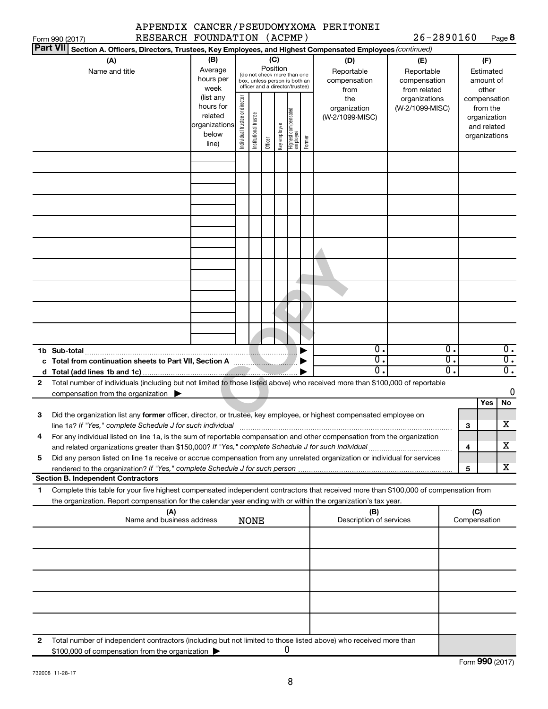|                                                                                                                                                                          |                                  |                                                               |                                |                                                                                                 |          |              |                                   |        | APPENDIX CANCER/PSEUDOMYXOMA PERITONEI                                                                 |                                                                                       |                                            |                                              |                                                          |
|--------------------------------------------------------------------------------------------------------------------------------------------------------------------------|----------------------------------|---------------------------------------------------------------|--------------------------------|-------------------------------------------------------------------------------------------------|----------|--------------|-----------------------------------|--------|--------------------------------------------------------------------------------------------------------|---------------------------------------------------------------------------------------|--------------------------------------------|----------------------------------------------|----------------------------------------------------------|
| Form 990 (2017)                                                                                                                                                          | RESEARCH FOUNDATION (ACPMP)      |                                                               |                                |                                                                                                 |          |              |                                   |        |                                                                                                        | $26 - 2890160$                                                                        |                                            |                                              | Page 8                                                   |
| <b>Part VII</b>                                                                                                                                                          |                                  |                                                               |                                |                                                                                                 |          |              |                                   |        | Section A. Officers, Directors, Trustees, Key Employees, and Highest Compensated Employees (continued) |                                                                                       |                                            |                                              |                                                          |
| (A)<br>Name and title                                                                                                                                                    |                                  | (B)<br>Average<br>hours per<br>week<br>(list any<br>hours for |                                | (do not check more than one<br>box, unless person is both an<br>officer and a director/trustee) | Position | (C)          |                                   |        | (D)<br>Reportable<br>compensation<br>from<br>the<br>organization                                       | (E)<br>Reportable<br>compensation<br>from related<br>organizations<br>(W-2/1099-MISC) |                                            | (F)<br>other<br>from the                     | Estimated<br>amount of<br>compensation                   |
|                                                                                                                                                                          |                                  | related<br>organizations<br>below<br>line)                    | Individual trustee or director | Institutional trustee                                                                           | Officer  | Key employee | Highest compensated<br>  employee | Former | (W-2/1099-MISC)                                                                                        |                                                                                       |                                            | organization<br>and related<br>organizations |                                                          |
|                                                                                                                                                                          |                                  |                                                               |                                |                                                                                                 |          |              |                                   |        |                                                                                                        |                                                                                       |                                            |                                              |                                                          |
|                                                                                                                                                                          |                                  |                                                               |                                |                                                                                                 |          |              |                                   |        |                                                                                                        |                                                                                       |                                            |                                              |                                                          |
|                                                                                                                                                                          |                                  |                                                               |                                |                                                                                                 |          |              |                                   |        |                                                                                                        |                                                                                       |                                            |                                              |                                                          |
|                                                                                                                                                                          |                                  |                                                               |                                |                                                                                                 |          |              |                                   |        |                                                                                                        |                                                                                       |                                            |                                              |                                                          |
| 1b Sub-total                                                                                                                                                             |                                  |                                                               |                                |                                                                                                 |          |              |                                   |        | 0.<br>σ.<br>О.                                                                                         |                                                                                       | $\overline{0}$ .<br>$\overline{0}$ .<br>σ. |                                              | $\overline{0}$ .<br>$\overline{0}$ .<br>$\overline{0}$ . |
| Total number of individuals (including but not limited to those listed above) who received more than \$100,000 of reportable<br>$\mathbf{2}$                             |                                  |                                                               |                                |                                                                                                 |          |              |                                   |        |                                                                                                        |                                                                                       |                                            |                                              |                                                          |
| compensation from the organization $\blacktriangleright$                                                                                                                 |                                  |                                                               |                                |                                                                                                 |          |              |                                   |        |                                                                                                        |                                                                                       |                                            |                                              | 0<br>No<br>Yes                                           |
| Did the organization list any former officer, director, or trustee, key employee, or highest compensated employee on<br>З                                                |                                  |                                                               |                                |                                                                                                 |          |              |                                   |        |                                                                                                        |                                                                                       |                                            |                                              |                                                          |
| line 1a? If "Yes," complete Schedule J for such individual manufactured content content from the content of the                                                          |                                  |                                                               |                                |                                                                                                 |          |              |                                   |        |                                                                                                        |                                                                                       |                                            | з                                            | Χ                                                        |
| For any individual listed on line 1a, is the sum of reportable compensation and other compensation from the organization<br>4                                            |                                  |                                                               |                                |                                                                                                 |          |              |                                   |        |                                                                                                        |                                                                                       |                                            | 4                                            | x                                                        |
| Did any person listed on line 1a receive or accrue compensation from any unrelated organization or individual for services<br>5                                          |                                  |                                                               |                                |                                                                                                 |          |              |                                   |        |                                                                                                        |                                                                                       |                                            |                                              |                                                          |
| <b>Section B. Independent Contractors</b>                                                                                                                                |                                  |                                                               |                                |                                                                                                 |          |              |                                   |        |                                                                                                        |                                                                                       |                                            | 5                                            | X                                                        |
| Complete this table for your five highest compensated independent contractors that received more than \$100,000 of compensation from<br>1                                |                                  |                                                               |                                |                                                                                                 |          |              |                                   |        |                                                                                                        |                                                                                       |                                            |                                              |                                                          |
| the organization. Report compensation for the calendar year ending with or within the organization's tax year.                                                           |                                  |                                                               |                                |                                                                                                 |          |              |                                   |        |                                                                                                        |                                                                                       |                                            |                                              |                                                          |
|                                                                                                                                                                          | (A)<br>Name and business address |                                                               |                                | <b>NONE</b>                                                                                     |          |              |                                   |        | (B)<br>Description of services                                                                         |                                                                                       |                                            | (C)<br>Compensation                          |                                                          |
|                                                                                                                                                                          |                                  |                                                               |                                |                                                                                                 |          |              |                                   |        |                                                                                                        |                                                                                       |                                            |                                              |                                                          |
|                                                                                                                                                                          |                                  |                                                               |                                |                                                                                                 |          |              |                                   |        |                                                                                                        |                                                                                       |                                            |                                              |                                                          |
|                                                                                                                                                                          |                                  |                                                               |                                |                                                                                                 |          |              |                                   |        |                                                                                                        |                                                                                       |                                            |                                              |                                                          |
|                                                                                                                                                                          |                                  |                                                               |                                |                                                                                                 |          |              |                                   |        |                                                                                                        |                                                                                       |                                            |                                              |                                                          |
| Total number of independent contractors (including but not limited to those listed above) who received more than<br>2<br>\$100,000 of compensation from the organization |                                  |                                                               |                                |                                                                                                 |          |              | 0                                 |        |                                                                                                        |                                                                                       |                                            |                                              |                                                          |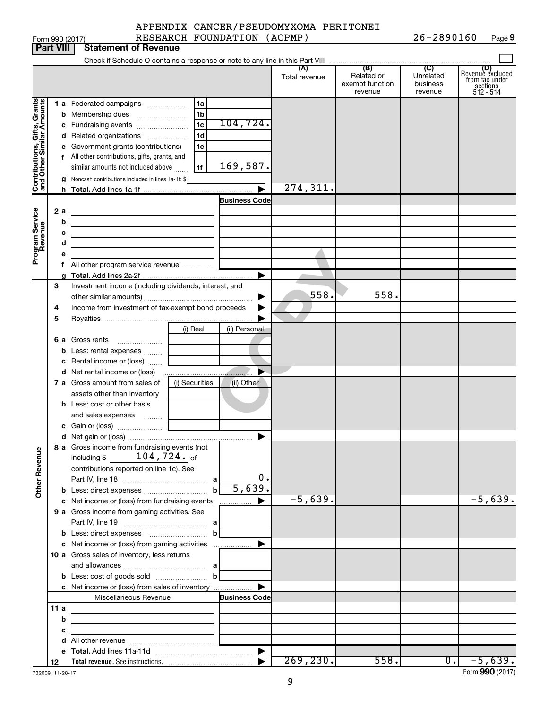|                 | APPENDIX CANCER/PSEUDOMYXOMA PERITONEI |                |      |
|-----------------|----------------------------------------|----------------|------|
| Form 990 (2017) | RESEARCH FOUNDATION (ACPMP)            | $26 - 2890160$ | Page |

|                              |                  | Form 990 (2017)                                                            | RESEARCH FOUNDATION (ACPMP) |                      |                      |                                                 | $26 - 2890160$                          | Page 9                                                             |
|------------------------------|------------------|----------------------------------------------------------------------------|-----------------------------|----------------------|----------------------|-------------------------------------------------|-----------------------------------------|--------------------------------------------------------------------|
|                              | <b>Part VIII</b> | <b>Statement of Revenue</b>                                                |                             |                      |                      |                                                 |                                         |                                                                    |
|                              |                  |                                                                            |                             |                      |                      |                                                 |                                         |                                                                    |
|                              |                  |                                                                            |                             |                      | (A)<br>Total revenue | (B)<br>Related or<br>exempt function<br>revenue | (C)<br>Unrelated<br>business<br>revenue | (D)<br>Revenue excluded<br>from tax under<br>sections<br>512 - 514 |
|                              |                  | 1 a Federated campaigns                                                    | 1a                          |                      |                      |                                                 |                                         |                                                                    |
| Contributions, Gifts, Grants | b                | Membership dues                                                            | 1 <sub>b</sub>              |                      |                      |                                                 |                                         |                                                                    |
|                              |                  | c Fundraising events                                                       | 1 <sub>c</sub>              | 104, 724.            |                      |                                                 |                                         |                                                                    |
|                              |                  | d Related organizations                                                    | 1 <sub>d</sub>              |                      |                      |                                                 |                                         |                                                                    |
|                              |                  | e Government grants (contributions)                                        | 1e                          |                      |                      |                                                 |                                         |                                                                    |
|                              |                  | f All other contributions, gifts, grants, and                              |                             |                      |                      |                                                 |                                         |                                                                    |
|                              |                  | similar amounts not included above                                         | 1f                          | 169,587.             |                      |                                                 |                                         |                                                                    |
|                              |                  | g Noncash contributions included in lines 1a-1f: \$                        |                             |                      |                      |                                                 |                                         |                                                                    |
|                              |                  |                                                                            |                             |                      | 274,311.             |                                                 |                                         |                                                                    |
|                              |                  |                                                                            |                             | <b>Business Code</b> |                      |                                                 |                                         |                                                                    |
|                              | 2 a              |                                                                            |                             |                      |                      |                                                 |                                         |                                                                    |
|                              | b                | the control of the control of the control of the control of the control of |                             |                      |                      |                                                 |                                         |                                                                    |
|                              | с                |                                                                            |                             |                      |                      |                                                 |                                         |                                                                    |
| Program Service<br>Revenue   | d                |                                                                            |                             |                      |                      |                                                 |                                         |                                                                    |
|                              | е                |                                                                            |                             |                      |                      |                                                 |                                         |                                                                    |
|                              |                  | f All other program service revenue                                        |                             |                      |                      |                                                 |                                         |                                                                    |
|                              |                  |                                                                            |                             |                      |                      |                                                 |                                         |                                                                    |
|                              | 3                | Investment income (including dividends, interest, and                      |                             |                      |                      |                                                 |                                         |                                                                    |
|                              |                  |                                                                            |                             |                      | 558.                 | 558.                                            |                                         |                                                                    |
|                              | 4                | Income from investment of tax-exempt bond proceeds                         |                             |                      |                      |                                                 |                                         |                                                                    |
|                              | 5                |                                                                            |                             |                      |                      |                                                 |                                         |                                                                    |
|                              |                  |                                                                            | (i) Real                    | (ii) Personal        |                      |                                                 |                                         |                                                                    |
|                              | 6а               | Gross rents<br>$\ldots \ldots \ldots \ldots \ldots$                        |                             |                      |                      |                                                 |                                         |                                                                    |
|                              | b                | Less: rental expenses                                                      |                             |                      |                      |                                                 |                                         |                                                                    |
|                              | С                | Rental income or (loss)                                                    |                             |                      |                      |                                                 |                                         |                                                                    |
|                              |                  |                                                                            |                             | Þ                    |                      |                                                 |                                         |                                                                    |
|                              |                  | 7 a Gross amount from sales of                                             | (i) Securities              | (ii) Other           |                      |                                                 |                                         |                                                                    |
|                              |                  | assets other than inventory                                                |                             |                      |                      |                                                 |                                         |                                                                    |
|                              |                  | <b>b</b> Less: cost or other basis                                         |                             |                      |                      |                                                 |                                         |                                                                    |
|                              |                  | and sales expenses                                                         |                             |                      |                      |                                                 |                                         |                                                                    |
|                              |                  |                                                                            |                             |                      |                      |                                                 |                                         |                                                                    |
|                              |                  |                                                                            |                             |                      |                      |                                                 |                                         |                                                                    |
|                              |                  | 8 a Gross income from fundraising events (not                              |                             |                      |                      |                                                 |                                         |                                                                    |
|                              |                  | $104$ , $724$ $\cdot$ of<br>including \$                                   |                             |                      |                      |                                                 |                                         |                                                                    |
|                              |                  | contributions reported on line 1c). See                                    |                             |                      |                      |                                                 |                                         |                                                                    |
|                              |                  |                                                                            |                             | 0.                   |                      |                                                 |                                         |                                                                    |
| <b>Other Revenue</b>         |                  | <b>b</b> Less: direct expenses <i></i>                                     |                             | 5,639                |                      |                                                 |                                         |                                                                    |
|                              |                  | c Net income or (loss) from fundraising events                             |                             |                      | $-5,639.$            |                                                 |                                         | $-5,639.$                                                          |
|                              |                  | 9 a Gross income from gaming activities. See                               |                             |                      |                      |                                                 |                                         |                                                                    |
|                              |                  |                                                                            |                             |                      |                      |                                                 |                                         |                                                                    |
|                              |                  |                                                                            |                             |                      |                      |                                                 |                                         |                                                                    |
|                              |                  | c Net income or (loss) from gaming activities                              |                             | ▶                    |                      |                                                 |                                         |                                                                    |
|                              |                  | 10 a Gross sales of inventory, less returns                                |                             |                      |                      |                                                 |                                         |                                                                    |
|                              |                  |                                                                            |                             |                      |                      |                                                 |                                         |                                                                    |
|                              |                  | <b>b</b> Less: cost of goods sold $\ldots$ <b>b</b>                        |                             |                      |                      |                                                 |                                         |                                                                    |
|                              |                  | c Net income or (loss) from sales of inventory                             |                             |                      |                      |                                                 |                                         |                                                                    |
|                              |                  | Miscellaneous Revenue                                                      |                             | <b>Business Code</b> |                      |                                                 |                                         |                                                                    |
|                              | 11 a             | the control of the control of the control of the control of                |                             |                      |                      |                                                 |                                         |                                                                    |
|                              | b                |                                                                            |                             |                      |                      |                                                 |                                         |                                                                    |
|                              | с                |                                                                            |                             |                      |                      |                                                 |                                         |                                                                    |
|                              |                  |                                                                            |                             |                      |                      |                                                 |                                         |                                                                    |
|                              |                  |                                                                            |                             |                      | 269, 230.            | 558.                                            | 0.1                                     | $-5,639.$                                                          |
|                              | 12               |                                                                            |                             |                      |                      |                                                 |                                         |                                                                    |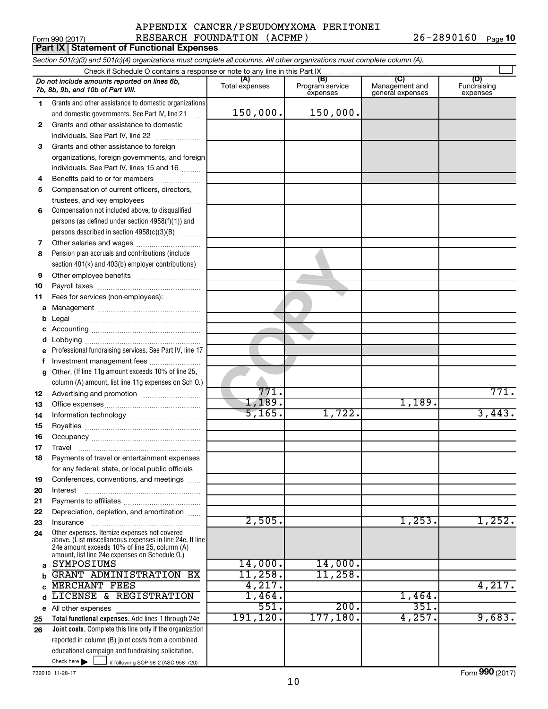#### Form 990 (2017) Page APPENDIX CANCER/PSEUDOMYXOMA PERITONEI RESEARCH FOUNDATION (ACPMP) 26-2890160

26-2890160 Page 10

| Section 501(c)(3) and 501(c)(4) organizations must complete all columns. All other organizations must complete column (A).<br>Check if Schedule O contains a response or note to any line in this Part IX<br>(C)<br>(B)<br>(D)<br>(A)<br>Do not include amounts reported on lines 6b,<br>Total expenses<br>Program service<br>Management and<br>Fundraising<br>7b, 8b, 9b, and 10b of Part VIII.<br>general expenses<br>expenses<br>expenses<br>Grants and other assistance to domestic organizations<br>1<br>150,000.<br>150,000.<br>and domestic governments. See Part IV, line 21<br>Grants and other assistance to domestic<br>$\mathbf{2}$<br>individuals. See Part IV, line 22<br>Grants and other assistance to foreign<br>3<br>organizations, foreign governments, and foreign<br>individuals. See Part IV, lines 15 and 16<br>Benefits paid to or for members<br>4<br>Compensation of current officers, directors,<br>5<br>trustees, and key employees<br>Compensation not included above, to disqualified<br>6<br>persons (as defined under section 4958(f)(1)) and<br>persons described in section 4958(c)(3)(B)<br>Other salaries and wages<br>7<br>Pension plan accruals and contributions (include<br>8<br>section 401(k) and 403(b) employer contributions)<br>9<br>10<br>Fees for services (non-employees):<br>11<br>а<br>b<br>с<br>d<br>Professional fundraising services. See Part IV, line 17<br>Investment management fees<br>f<br>Other. (If line 11g amount exceeds 10% of line 25,<br>g<br>column (A) amount, list line 11g expenses on Sch O.)<br>771.<br>771.<br>12<br>1,189.<br>1,189.<br>13<br>5,165.<br>1,722.<br>3,443.<br>14<br>15<br>16<br>17<br>Travel<br>Payments of travel or entertainment expenses<br>18<br>for any federal, state, or local public officials<br>Conferences, conventions, and meetings<br>19<br>20<br>Interest<br>21<br>Depreciation, depletion, and amortization<br>22<br>2,505.<br>1,253.<br>23<br>Insurance<br>Other expenses. Itemize expenses not covered<br>24<br>above. (List miscellaneous expenses in line 24e. If line<br>24e amount exceeds 10% of line 25, column (A)<br>amount, list line 24e expenses on Schedule O.)<br>14,000.<br>14,000.<br>SYMPOSIUMS<br>a<br>11,258.<br>11,258.<br>GRANT ADMINISTRATION EX<br>b<br>4,217.<br>4,217.<br><b>MERCHANT FEES</b><br>1,464.<br>1,464.<br>LICENSE & REGISTRATION<br>d<br>551.<br>200.<br>351.<br>e All other expenses | Part IX   Statement of Functional Expenses |          |           |        |        |
|----------------------------------------------------------------------------------------------------------------------------------------------------------------------------------------------------------------------------------------------------------------------------------------------------------------------------------------------------------------------------------------------------------------------------------------------------------------------------------------------------------------------------------------------------------------------------------------------------------------------------------------------------------------------------------------------------------------------------------------------------------------------------------------------------------------------------------------------------------------------------------------------------------------------------------------------------------------------------------------------------------------------------------------------------------------------------------------------------------------------------------------------------------------------------------------------------------------------------------------------------------------------------------------------------------------------------------------------------------------------------------------------------------------------------------------------------------------------------------------------------------------------------------------------------------------------------------------------------------------------------------------------------------------------------------------------------------------------------------------------------------------------------------------------------------------------------------------------------------------------------------------------------------------------------------------------------------------------------------------------------------------------------------------------------------------------------------------------------------------------------------------------------------------------------------------------------------------------------------------------------------------------------------------------------------------------------------------------------------------------------------------------------------------------------------------|--------------------------------------------|----------|-----------|--------|--------|
|                                                                                                                                                                                                                                                                                                                                                                                                                                                                                                                                                                                                                                                                                                                                                                                                                                                                                                                                                                                                                                                                                                                                                                                                                                                                                                                                                                                                                                                                                                                                                                                                                                                                                                                                                                                                                                                                                                                                                                                                                                                                                                                                                                                                                                                                                                                                                                                                                                        |                                            |          |           |        |        |
|                                                                                                                                                                                                                                                                                                                                                                                                                                                                                                                                                                                                                                                                                                                                                                                                                                                                                                                                                                                                                                                                                                                                                                                                                                                                                                                                                                                                                                                                                                                                                                                                                                                                                                                                                                                                                                                                                                                                                                                                                                                                                                                                                                                                                                                                                                                                                                                                                                        |                                            |          |           |        |        |
|                                                                                                                                                                                                                                                                                                                                                                                                                                                                                                                                                                                                                                                                                                                                                                                                                                                                                                                                                                                                                                                                                                                                                                                                                                                                                                                                                                                                                                                                                                                                                                                                                                                                                                                                                                                                                                                                                                                                                                                                                                                                                                                                                                                                                                                                                                                                                                                                                                        |                                            |          |           |        |        |
|                                                                                                                                                                                                                                                                                                                                                                                                                                                                                                                                                                                                                                                                                                                                                                                                                                                                                                                                                                                                                                                                                                                                                                                                                                                                                                                                                                                                                                                                                                                                                                                                                                                                                                                                                                                                                                                                                                                                                                                                                                                                                                                                                                                                                                                                                                                                                                                                                                        |                                            |          |           |        |        |
|                                                                                                                                                                                                                                                                                                                                                                                                                                                                                                                                                                                                                                                                                                                                                                                                                                                                                                                                                                                                                                                                                                                                                                                                                                                                                                                                                                                                                                                                                                                                                                                                                                                                                                                                                                                                                                                                                                                                                                                                                                                                                                                                                                                                                                                                                                                                                                                                                                        |                                            |          |           |        |        |
|                                                                                                                                                                                                                                                                                                                                                                                                                                                                                                                                                                                                                                                                                                                                                                                                                                                                                                                                                                                                                                                                                                                                                                                                                                                                                                                                                                                                                                                                                                                                                                                                                                                                                                                                                                                                                                                                                                                                                                                                                                                                                                                                                                                                                                                                                                                                                                                                                                        |                                            |          |           |        |        |
|                                                                                                                                                                                                                                                                                                                                                                                                                                                                                                                                                                                                                                                                                                                                                                                                                                                                                                                                                                                                                                                                                                                                                                                                                                                                                                                                                                                                                                                                                                                                                                                                                                                                                                                                                                                                                                                                                                                                                                                                                                                                                                                                                                                                                                                                                                                                                                                                                                        |                                            |          |           |        |        |
|                                                                                                                                                                                                                                                                                                                                                                                                                                                                                                                                                                                                                                                                                                                                                                                                                                                                                                                                                                                                                                                                                                                                                                                                                                                                                                                                                                                                                                                                                                                                                                                                                                                                                                                                                                                                                                                                                                                                                                                                                                                                                                                                                                                                                                                                                                                                                                                                                                        |                                            |          |           |        |        |
|                                                                                                                                                                                                                                                                                                                                                                                                                                                                                                                                                                                                                                                                                                                                                                                                                                                                                                                                                                                                                                                                                                                                                                                                                                                                                                                                                                                                                                                                                                                                                                                                                                                                                                                                                                                                                                                                                                                                                                                                                                                                                                                                                                                                                                                                                                                                                                                                                                        |                                            |          |           |        |        |
|                                                                                                                                                                                                                                                                                                                                                                                                                                                                                                                                                                                                                                                                                                                                                                                                                                                                                                                                                                                                                                                                                                                                                                                                                                                                                                                                                                                                                                                                                                                                                                                                                                                                                                                                                                                                                                                                                                                                                                                                                                                                                                                                                                                                                                                                                                                                                                                                                                        |                                            |          |           |        |        |
|                                                                                                                                                                                                                                                                                                                                                                                                                                                                                                                                                                                                                                                                                                                                                                                                                                                                                                                                                                                                                                                                                                                                                                                                                                                                                                                                                                                                                                                                                                                                                                                                                                                                                                                                                                                                                                                                                                                                                                                                                                                                                                                                                                                                                                                                                                                                                                                                                                        |                                            |          |           |        |        |
|                                                                                                                                                                                                                                                                                                                                                                                                                                                                                                                                                                                                                                                                                                                                                                                                                                                                                                                                                                                                                                                                                                                                                                                                                                                                                                                                                                                                                                                                                                                                                                                                                                                                                                                                                                                                                                                                                                                                                                                                                                                                                                                                                                                                                                                                                                                                                                                                                                        |                                            |          |           |        |        |
|                                                                                                                                                                                                                                                                                                                                                                                                                                                                                                                                                                                                                                                                                                                                                                                                                                                                                                                                                                                                                                                                                                                                                                                                                                                                                                                                                                                                                                                                                                                                                                                                                                                                                                                                                                                                                                                                                                                                                                                                                                                                                                                                                                                                                                                                                                                                                                                                                                        |                                            |          |           |        |        |
|                                                                                                                                                                                                                                                                                                                                                                                                                                                                                                                                                                                                                                                                                                                                                                                                                                                                                                                                                                                                                                                                                                                                                                                                                                                                                                                                                                                                                                                                                                                                                                                                                                                                                                                                                                                                                                                                                                                                                                                                                                                                                                                                                                                                                                                                                                                                                                                                                                        |                                            |          |           |        |        |
|                                                                                                                                                                                                                                                                                                                                                                                                                                                                                                                                                                                                                                                                                                                                                                                                                                                                                                                                                                                                                                                                                                                                                                                                                                                                                                                                                                                                                                                                                                                                                                                                                                                                                                                                                                                                                                                                                                                                                                                                                                                                                                                                                                                                                                                                                                                                                                                                                                        |                                            |          |           |        |        |
|                                                                                                                                                                                                                                                                                                                                                                                                                                                                                                                                                                                                                                                                                                                                                                                                                                                                                                                                                                                                                                                                                                                                                                                                                                                                                                                                                                                                                                                                                                                                                                                                                                                                                                                                                                                                                                                                                                                                                                                                                                                                                                                                                                                                                                                                                                                                                                                                                                        |                                            |          |           |        |        |
|                                                                                                                                                                                                                                                                                                                                                                                                                                                                                                                                                                                                                                                                                                                                                                                                                                                                                                                                                                                                                                                                                                                                                                                                                                                                                                                                                                                                                                                                                                                                                                                                                                                                                                                                                                                                                                                                                                                                                                                                                                                                                                                                                                                                                                                                                                                                                                                                                                        |                                            |          |           |        |        |
|                                                                                                                                                                                                                                                                                                                                                                                                                                                                                                                                                                                                                                                                                                                                                                                                                                                                                                                                                                                                                                                                                                                                                                                                                                                                                                                                                                                                                                                                                                                                                                                                                                                                                                                                                                                                                                                                                                                                                                                                                                                                                                                                                                                                                                                                                                                                                                                                                                        |                                            |          |           |        |        |
|                                                                                                                                                                                                                                                                                                                                                                                                                                                                                                                                                                                                                                                                                                                                                                                                                                                                                                                                                                                                                                                                                                                                                                                                                                                                                                                                                                                                                                                                                                                                                                                                                                                                                                                                                                                                                                                                                                                                                                                                                                                                                                                                                                                                                                                                                                                                                                                                                                        |                                            |          |           |        |        |
|                                                                                                                                                                                                                                                                                                                                                                                                                                                                                                                                                                                                                                                                                                                                                                                                                                                                                                                                                                                                                                                                                                                                                                                                                                                                                                                                                                                                                                                                                                                                                                                                                                                                                                                                                                                                                                                                                                                                                                                                                                                                                                                                                                                                                                                                                                                                                                                                                                        |                                            |          |           |        |        |
|                                                                                                                                                                                                                                                                                                                                                                                                                                                                                                                                                                                                                                                                                                                                                                                                                                                                                                                                                                                                                                                                                                                                                                                                                                                                                                                                                                                                                                                                                                                                                                                                                                                                                                                                                                                                                                                                                                                                                                                                                                                                                                                                                                                                                                                                                                                                                                                                                                        |                                            |          |           |        |        |
|                                                                                                                                                                                                                                                                                                                                                                                                                                                                                                                                                                                                                                                                                                                                                                                                                                                                                                                                                                                                                                                                                                                                                                                                                                                                                                                                                                                                                                                                                                                                                                                                                                                                                                                                                                                                                                                                                                                                                                                                                                                                                                                                                                                                                                                                                                                                                                                                                                        |                                            |          |           |        |        |
|                                                                                                                                                                                                                                                                                                                                                                                                                                                                                                                                                                                                                                                                                                                                                                                                                                                                                                                                                                                                                                                                                                                                                                                                                                                                                                                                                                                                                                                                                                                                                                                                                                                                                                                                                                                                                                                                                                                                                                                                                                                                                                                                                                                                                                                                                                                                                                                                                                        |                                            |          |           |        |        |
|                                                                                                                                                                                                                                                                                                                                                                                                                                                                                                                                                                                                                                                                                                                                                                                                                                                                                                                                                                                                                                                                                                                                                                                                                                                                                                                                                                                                                                                                                                                                                                                                                                                                                                                                                                                                                                                                                                                                                                                                                                                                                                                                                                                                                                                                                                                                                                                                                                        |                                            |          |           |        |        |
|                                                                                                                                                                                                                                                                                                                                                                                                                                                                                                                                                                                                                                                                                                                                                                                                                                                                                                                                                                                                                                                                                                                                                                                                                                                                                                                                                                                                                                                                                                                                                                                                                                                                                                                                                                                                                                                                                                                                                                                                                                                                                                                                                                                                                                                                                                                                                                                                                                        |                                            |          |           |        |        |
|                                                                                                                                                                                                                                                                                                                                                                                                                                                                                                                                                                                                                                                                                                                                                                                                                                                                                                                                                                                                                                                                                                                                                                                                                                                                                                                                                                                                                                                                                                                                                                                                                                                                                                                                                                                                                                                                                                                                                                                                                                                                                                                                                                                                                                                                                                                                                                                                                                        |                                            |          |           |        |        |
|                                                                                                                                                                                                                                                                                                                                                                                                                                                                                                                                                                                                                                                                                                                                                                                                                                                                                                                                                                                                                                                                                                                                                                                                                                                                                                                                                                                                                                                                                                                                                                                                                                                                                                                                                                                                                                                                                                                                                                                                                                                                                                                                                                                                                                                                                                                                                                                                                                        |                                            |          |           |        |        |
|                                                                                                                                                                                                                                                                                                                                                                                                                                                                                                                                                                                                                                                                                                                                                                                                                                                                                                                                                                                                                                                                                                                                                                                                                                                                                                                                                                                                                                                                                                                                                                                                                                                                                                                                                                                                                                                                                                                                                                                                                                                                                                                                                                                                                                                                                                                                                                                                                                        |                                            |          |           |        |        |
|                                                                                                                                                                                                                                                                                                                                                                                                                                                                                                                                                                                                                                                                                                                                                                                                                                                                                                                                                                                                                                                                                                                                                                                                                                                                                                                                                                                                                                                                                                                                                                                                                                                                                                                                                                                                                                                                                                                                                                                                                                                                                                                                                                                                                                                                                                                                                                                                                                        |                                            |          |           |        |        |
|                                                                                                                                                                                                                                                                                                                                                                                                                                                                                                                                                                                                                                                                                                                                                                                                                                                                                                                                                                                                                                                                                                                                                                                                                                                                                                                                                                                                                                                                                                                                                                                                                                                                                                                                                                                                                                                                                                                                                                                                                                                                                                                                                                                                                                                                                                                                                                                                                                        |                                            |          |           |        |        |
|                                                                                                                                                                                                                                                                                                                                                                                                                                                                                                                                                                                                                                                                                                                                                                                                                                                                                                                                                                                                                                                                                                                                                                                                                                                                                                                                                                                                                                                                                                                                                                                                                                                                                                                                                                                                                                                                                                                                                                                                                                                                                                                                                                                                                                                                                                                                                                                                                                        |                                            |          |           |        |        |
|                                                                                                                                                                                                                                                                                                                                                                                                                                                                                                                                                                                                                                                                                                                                                                                                                                                                                                                                                                                                                                                                                                                                                                                                                                                                                                                                                                                                                                                                                                                                                                                                                                                                                                                                                                                                                                                                                                                                                                                                                                                                                                                                                                                                                                                                                                                                                                                                                                        |                                            |          |           |        |        |
|                                                                                                                                                                                                                                                                                                                                                                                                                                                                                                                                                                                                                                                                                                                                                                                                                                                                                                                                                                                                                                                                                                                                                                                                                                                                                                                                                                                                                                                                                                                                                                                                                                                                                                                                                                                                                                                                                                                                                                                                                                                                                                                                                                                                                                                                                                                                                                                                                                        |                                            |          |           |        |        |
|                                                                                                                                                                                                                                                                                                                                                                                                                                                                                                                                                                                                                                                                                                                                                                                                                                                                                                                                                                                                                                                                                                                                                                                                                                                                                                                                                                                                                                                                                                                                                                                                                                                                                                                                                                                                                                                                                                                                                                                                                                                                                                                                                                                                                                                                                                                                                                                                                                        |                                            |          |           |        |        |
|                                                                                                                                                                                                                                                                                                                                                                                                                                                                                                                                                                                                                                                                                                                                                                                                                                                                                                                                                                                                                                                                                                                                                                                                                                                                                                                                                                                                                                                                                                                                                                                                                                                                                                                                                                                                                                                                                                                                                                                                                                                                                                                                                                                                                                                                                                                                                                                                                                        |                                            |          |           |        |        |
|                                                                                                                                                                                                                                                                                                                                                                                                                                                                                                                                                                                                                                                                                                                                                                                                                                                                                                                                                                                                                                                                                                                                                                                                                                                                                                                                                                                                                                                                                                                                                                                                                                                                                                                                                                                                                                                                                                                                                                                                                                                                                                                                                                                                                                                                                                                                                                                                                                        |                                            |          |           |        |        |
|                                                                                                                                                                                                                                                                                                                                                                                                                                                                                                                                                                                                                                                                                                                                                                                                                                                                                                                                                                                                                                                                                                                                                                                                                                                                                                                                                                                                                                                                                                                                                                                                                                                                                                                                                                                                                                                                                                                                                                                                                                                                                                                                                                                                                                                                                                                                                                                                                                        |                                            |          |           |        |        |
|                                                                                                                                                                                                                                                                                                                                                                                                                                                                                                                                                                                                                                                                                                                                                                                                                                                                                                                                                                                                                                                                                                                                                                                                                                                                                                                                                                                                                                                                                                                                                                                                                                                                                                                                                                                                                                                                                                                                                                                                                                                                                                                                                                                                                                                                                                                                                                                                                                        |                                            |          |           |        |        |
|                                                                                                                                                                                                                                                                                                                                                                                                                                                                                                                                                                                                                                                                                                                                                                                                                                                                                                                                                                                                                                                                                                                                                                                                                                                                                                                                                                                                                                                                                                                                                                                                                                                                                                                                                                                                                                                                                                                                                                                                                                                                                                                                                                                                                                                                                                                                                                                                                                        |                                            |          |           |        |        |
|                                                                                                                                                                                                                                                                                                                                                                                                                                                                                                                                                                                                                                                                                                                                                                                                                                                                                                                                                                                                                                                                                                                                                                                                                                                                                                                                                                                                                                                                                                                                                                                                                                                                                                                                                                                                                                                                                                                                                                                                                                                                                                                                                                                                                                                                                                                                                                                                                                        |                                            |          |           |        |        |
|                                                                                                                                                                                                                                                                                                                                                                                                                                                                                                                                                                                                                                                                                                                                                                                                                                                                                                                                                                                                                                                                                                                                                                                                                                                                                                                                                                                                                                                                                                                                                                                                                                                                                                                                                                                                                                                                                                                                                                                                                                                                                                                                                                                                                                                                                                                                                                                                                                        |                                            |          |           |        | 1,252. |
|                                                                                                                                                                                                                                                                                                                                                                                                                                                                                                                                                                                                                                                                                                                                                                                                                                                                                                                                                                                                                                                                                                                                                                                                                                                                                                                                                                                                                                                                                                                                                                                                                                                                                                                                                                                                                                                                                                                                                                                                                                                                                                                                                                                                                                                                                                                                                                                                                                        |                                            |          |           |        |        |
|                                                                                                                                                                                                                                                                                                                                                                                                                                                                                                                                                                                                                                                                                                                                                                                                                                                                                                                                                                                                                                                                                                                                                                                                                                                                                                                                                                                                                                                                                                                                                                                                                                                                                                                                                                                                                                                                                                                                                                                                                                                                                                                                                                                                                                                                                                                                                                                                                                        |                                            |          |           |        |        |
|                                                                                                                                                                                                                                                                                                                                                                                                                                                                                                                                                                                                                                                                                                                                                                                                                                                                                                                                                                                                                                                                                                                                                                                                                                                                                                                                                                                                                                                                                                                                                                                                                                                                                                                                                                                                                                                                                                                                                                                                                                                                                                                                                                                                                                                                                                                                                                                                                                        |                                            |          |           |        |        |
|                                                                                                                                                                                                                                                                                                                                                                                                                                                                                                                                                                                                                                                                                                                                                                                                                                                                                                                                                                                                                                                                                                                                                                                                                                                                                                                                                                                                                                                                                                                                                                                                                                                                                                                                                                                                                                                                                                                                                                                                                                                                                                                                                                                                                                                                                                                                                                                                                                        |                                            |          |           |        |        |
|                                                                                                                                                                                                                                                                                                                                                                                                                                                                                                                                                                                                                                                                                                                                                                                                                                                                                                                                                                                                                                                                                                                                                                                                                                                                                                                                                                                                                                                                                                                                                                                                                                                                                                                                                                                                                                                                                                                                                                                                                                                                                                                                                                                                                                                                                                                                                                                                                                        |                                            |          |           |        |        |
|                                                                                                                                                                                                                                                                                                                                                                                                                                                                                                                                                                                                                                                                                                                                                                                                                                                                                                                                                                                                                                                                                                                                                                                                                                                                                                                                                                                                                                                                                                                                                                                                                                                                                                                                                                                                                                                                                                                                                                                                                                                                                                                                                                                                                                                                                                                                                                                                                                        |                                            |          |           |        |        |
|                                                                                                                                                                                                                                                                                                                                                                                                                                                                                                                                                                                                                                                                                                                                                                                                                                                                                                                                                                                                                                                                                                                                                                                                                                                                                                                                                                                                                                                                                                                                                                                                                                                                                                                                                                                                                                                                                                                                                                                                                                                                                                                                                                                                                                                                                                                                                                                                                                        |                                            |          |           |        |        |
|                                                                                                                                                                                                                                                                                                                                                                                                                                                                                                                                                                                                                                                                                                                                                                                                                                                                                                                                                                                                                                                                                                                                                                                                                                                                                                                                                                                                                                                                                                                                                                                                                                                                                                                                                                                                                                                                                                                                                                                                                                                                                                                                                                                                                                                                                                                                                                                                                                        |                                            | 191,120. | 177, 180. | 4,257. | 9,683. |
| Total functional expenses. Add lines 1 through 24e<br>25                                                                                                                                                                                                                                                                                                                                                                                                                                                                                                                                                                                                                                                                                                                                                                                                                                                                                                                                                                                                                                                                                                                                                                                                                                                                                                                                                                                                                                                                                                                                                                                                                                                                                                                                                                                                                                                                                                                                                                                                                                                                                                                                                                                                                                                                                                                                                                               |                                            |          |           |        |        |
| Joint costs. Complete this line only if the organization<br>26<br>reported in column (B) joint costs from a combined                                                                                                                                                                                                                                                                                                                                                                                                                                                                                                                                                                                                                                                                                                                                                                                                                                                                                                                                                                                                                                                                                                                                                                                                                                                                                                                                                                                                                                                                                                                                                                                                                                                                                                                                                                                                                                                                                                                                                                                                                                                                                                                                                                                                                                                                                                                   |                                            |          |           |        |        |
| educational campaign and fundraising solicitation.                                                                                                                                                                                                                                                                                                                                                                                                                                                                                                                                                                                                                                                                                                                                                                                                                                                                                                                                                                                                                                                                                                                                                                                                                                                                                                                                                                                                                                                                                                                                                                                                                                                                                                                                                                                                                                                                                                                                                                                                                                                                                                                                                                                                                                                                                                                                                                                     |                                            |          |           |        |        |
| Check here $\blacktriangleright$<br>if following SOP 98-2 (ASC 958-720)                                                                                                                                                                                                                                                                                                                                                                                                                                                                                                                                                                                                                                                                                                                                                                                                                                                                                                                                                                                                                                                                                                                                                                                                                                                                                                                                                                                                                                                                                                                                                                                                                                                                                                                                                                                                                                                                                                                                                                                                                                                                                                                                                                                                                                                                                                                                                                |                                            |          |           |        |        |

Form (2017) **990**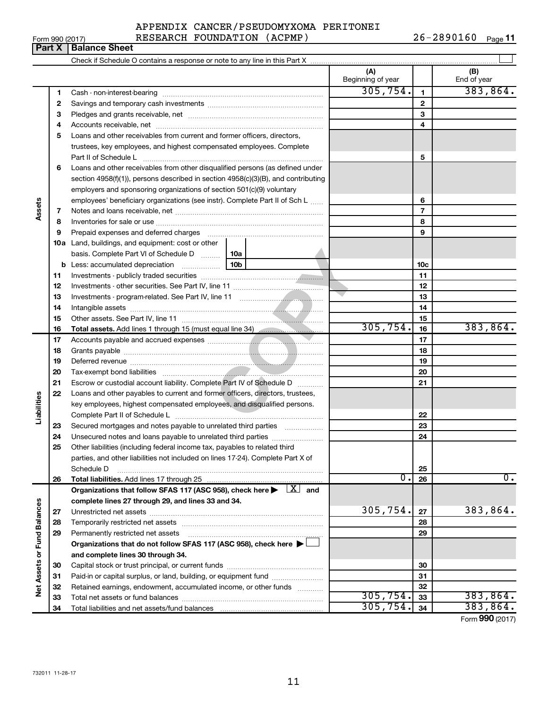**32 33 34**

#### Form 990 (2017) RESEARCH FOUNDATION (ACPMP)  $26-2890160$  Page APPENDIX CANCER/PSEUDOMYXOMA PERITONEI

26-2890160 Page 11

|                             | <b>Fail V</b> | <b>Dalalice Stieet</b>                                                                                                       |                          |                |                    |
|-----------------------------|---------------|------------------------------------------------------------------------------------------------------------------------------|--------------------------|----------------|--------------------|
|                             |               |                                                                                                                              |                          |                |                    |
|                             |               |                                                                                                                              | (A)<br>Beginning of year |                | (B)<br>End of year |
|                             | 1             |                                                                                                                              | 305,754.                 | 1.             | 383,864.           |
|                             | 2             |                                                                                                                              |                          | 2              |                    |
|                             | З             |                                                                                                                              |                          | 3              |                    |
|                             | 4             |                                                                                                                              |                          | 4              |                    |
|                             | 5             | Loans and other receivables from current and former officers, directors,                                                     |                          |                |                    |
|                             |               | trustees, key employees, and highest compensated employees. Complete                                                         |                          |                |                    |
|                             |               | Part II of Schedule L                                                                                                        |                          | 5              |                    |
|                             | 6             | Loans and other receivables from other disqualified persons (as defined under                                                |                          |                |                    |
|                             |               | section 4958(f)(1)), persons described in section 4958(c)(3)(B), and contributing                                            |                          |                |                    |
|                             |               | employers and sponsoring organizations of section 501(c)(9) voluntary                                                        |                          |                |                    |
|                             |               | employees' beneficiary organizations (see instr). Complete Part II of Sch L                                                  |                          | 6              |                    |
| Assets                      | 7             |                                                                                                                              |                          | $\overline{7}$ |                    |
|                             | 8             |                                                                                                                              |                          | 8              |                    |
|                             | 9             |                                                                                                                              |                          | 9              |                    |
|                             |               | 10a Land, buildings, and equipment: cost or other                                                                            |                          |                |                    |
|                             |               | basis. Complete Part VI of Schedule D    10a                                                                                 |                          |                |                    |
|                             |               | 10b                                                                                                                          |                          | 10c            |                    |
|                             | 11            |                                                                                                                              |                          | 11             |                    |
|                             | 12            |                                                                                                                              |                          | 12             |                    |
|                             | 13            |                                                                                                                              |                          | 13             |                    |
|                             | 14            |                                                                                                                              |                          | 14             |                    |
|                             | 15            |                                                                                                                              |                          | 15             |                    |
|                             | 16            | Total assets. Add lines 1 through 15 (must equal line 34)                                                                    | 305, 754.                | 16             | 383,864.           |
|                             | 17            |                                                                                                                              |                          | 17             |                    |
|                             | 18            |                                                                                                                              |                          | 18             |                    |
|                             | 19            |                                                                                                                              |                          | 19             |                    |
|                             | 20            |                                                                                                                              |                          | 20             |                    |
|                             | 21            | Escrow or custodial account liability. Complete Part IV of Schedule D                                                        |                          | 21             |                    |
|                             | 22            | Loans and other payables to current and former officers, directors, trustees,                                                |                          |                |                    |
| Liabilities                 |               | key employees, highest compensated employees, and disqualified persons.                                                      |                          |                |                    |
|                             |               |                                                                                                                              |                          | 22             |                    |
|                             | 23            | Secured mortgages and notes payable to unrelated third parties                                                               |                          | 23             |                    |
|                             | 24            | Unsecured notes and loans payable to unrelated third parties                                                                 |                          | 24             |                    |
|                             | 25            | Other liabilities (including federal income tax, payables to related third                                                   |                          |                |                    |
|                             |               | parties, and other liabilities not included on lines 17-24). Complete Part X of                                              |                          |                |                    |
|                             |               | Schedule D                                                                                                                   |                          | 25             |                    |
|                             | 26            | <b>Total liabilities.</b> Add lines 17 through 25                                                                            | $\overline{\text{o}}$ .  | 26             | $\overline{0}$ .   |
|                             |               | Organizations that follow SFAS 117 (ASC 958), check here $\blacktriangleright \begin{array}{c} \boxed{X} \\ \end{array}$ and |                          |                |                    |
|                             |               | complete lines 27 through 29, and lines 33 and 34.                                                                           |                          |                |                    |
|                             | 27            |                                                                                                                              | 305,754.                 | 27             | 383,864.           |
|                             | 28            | Temporarily restricted net assets                                                                                            |                          | 28             |                    |
|                             | 29            | Permanently restricted net assets                                                                                            |                          | 29             |                    |
|                             |               | Organizations that do not follow SFAS 117 (ASC 958), check here ▶                                                            |                          |                |                    |
|                             |               | and complete lines 30 through 34.                                                                                            |                          |                |                    |
| Net Assets or Fund Balances | 30            |                                                                                                                              |                          | 30             |                    |
|                             | 31            | Paid-in or capital surplus, or land, building, or equipment fund                                                             |                          | 31             |                    |
|                             | 32            | Retained earnings, endowment, accumulated income, or other funds<br>1.1.1.1.1.1.1.1.1                                        |                          | 32             |                    |
|                             |               |                                                                                                                              | 305, 751                 |                | <b>383 861</b>     |

 $305, 754.$   $34$  383,864.

 $305, 754.$   $383, 864.$ 

Form (2017) **990**

Total liabilities and net assets/fund balances

Total net assets or fund balances ~~~~~~~~~~~~~~~~~~~~~~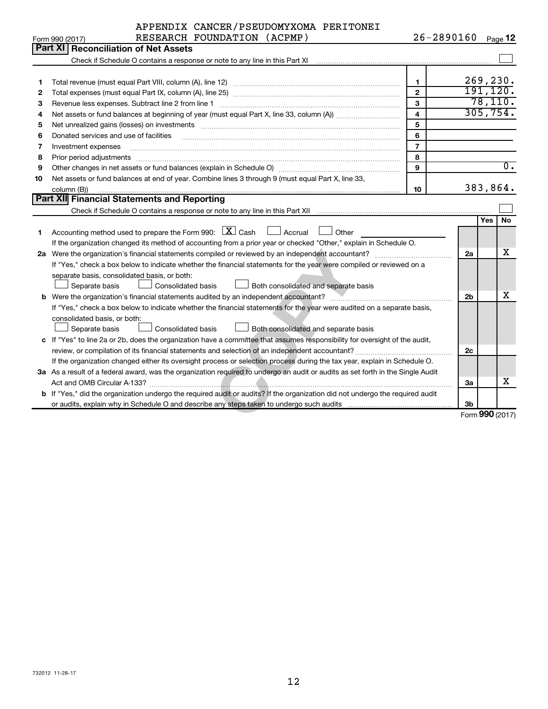|                 | APPENDIX CANCER/PSEUDOMYXOMA PERITONEI |  |                |                |
|-----------------|----------------------------------------|--|----------------|----------------|
| Form 990 (2017) | RESEARCH FOUNDATION (ACPMP)            |  | $26 - 2890160$ | Page $\sf{12}$ |

|    | Part XI   Reconciliation of Net Assets                                                                                                                            |                         |                |          |                 |  |  |  |  |  |
|----|-------------------------------------------------------------------------------------------------------------------------------------------------------------------|-------------------------|----------------|----------|-----------------|--|--|--|--|--|
|    | Check if Schedule O contains a response or note to any line in this Part XI [11] [12] Check if Schedule O contains a response or note to any line in this Part XI |                         |                |          |                 |  |  |  |  |  |
|    |                                                                                                                                                                   |                         |                |          |                 |  |  |  |  |  |
| 1  |                                                                                                                                                                   | $\mathbf{1}$            |                | 269,230. |                 |  |  |  |  |  |
| 2  |                                                                                                                                                                   | $\overline{2}$          |                |          | 191, 120.       |  |  |  |  |  |
| з  | Revenue less expenses. Subtract line 2 from line 1                                                                                                                | $\mathbf{3}$            |                |          | 78,110.         |  |  |  |  |  |
| 4  |                                                                                                                                                                   | $\overline{\mathbf{4}}$ |                |          | 305, 754.       |  |  |  |  |  |
| 5  |                                                                                                                                                                   | 5                       |                |          |                 |  |  |  |  |  |
| 6  | Donated services and use of facilities                                                                                                                            | 6                       |                |          |                 |  |  |  |  |  |
| 7  | Investment expenses                                                                                                                                               | $\overline{7}$          |                |          |                 |  |  |  |  |  |
| 8  | Prior period adjustments                                                                                                                                          | 8                       |                |          |                 |  |  |  |  |  |
| 9  |                                                                                                                                                                   | $\mathbf{Q}$            |                |          | $0$ .           |  |  |  |  |  |
| 10 | Net assets or fund balances at end of year. Combine lines 3 through 9 (must equal Part X, line 33,                                                                |                         |                |          |                 |  |  |  |  |  |
|    | column (B))                                                                                                                                                       | 10                      |                | 383,864. |                 |  |  |  |  |  |
|    | Part XII Financial Statements and Reporting                                                                                                                       |                         |                |          |                 |  |  |  |  |  |
|    |                                                                                                                                                                   |                         |                |          |                 |  |  |  |  |  |
|    |                                                                                                                                                                   |                         |                |          |                 |  |  |  |  |  |
| 1  | Accounting method used to prepare the Form 990: $X$ Cash<br>Accrual<br>Other                                                                                      |                         |                |          |                 |  |  |  |  |  |
|    | If the organization changed its method of accounting from a prior year or checked "Other," explain in Schedule O.                                                 |                         |                |          |                 |  |  |  |  |  |
|    |                                                                                                                                                                   |                         |                |          |                 |  |  |  |  |  |
|    | If "Yes," check a box below to indicate whether the financial statements for the year were compiled or reviewed on a                                              |                         |                |          |                 |  |  |  |  |  |
|    | separate basis, consolidated basis, or both:                                                                                                                      |                         |                |          |                 |  |  |  |  |  |
|    | Separate basis<br>Consolidated basis<br>Both consolidated and separate basis                                                                                      |                         |                |          |                 |  |  |  |  |  |
|    |                                                                                                                                                                   |                         | 2 <sub>b</sub> |          | х               |  |  |  |  |  |
|    | If "Yes," check a box below to indicate whether the financial statements for the year were audited on a separate basis,                                           |                         |                |          |                 |  |  |  |  |  |
|    | consolidated basis, or both:                                                                                                                                      |                         |                |          |                 |  |  |  |  |  |
|    | Consolidated basis<br>Both consolidated and separate basis<br>Separate basis                                                                                      |                         |                |          |                 |  |  |  |  |  |
|    | c If "Yes" to line 2a or 2b, does the organization have a committee that assumes responsibility for oversight of the audit,                                       |                         |                |          |                 |  |  |  |  |  |
|    |                                                                                                                                                                   |                         |                |          |                 |  |  |  |  |  |
|    | If the organization changed either its oversight process or selection process during the tax year, explain in Schedule O.                                         |                         |                |          |                 |  |  |  |  |  |
|    | 3a As a result of a federal award, was the organization required to undergo an audit or audits as set forth in the Single Audit                                   |                         |                |          |                 |  |  |  |  |  |
|    |                                                                                                                                                                   |                         |                |          |                 |  |  |  |  |  |
|    | b If "Yes," did the organization undergo the required audit or audits? If the organization did not undergo the required audit                                     |                         |                |          |                 |  |  |  |  |  |
|    |                                                                                                                                                                   |                         | 3 <sub>b</sub> |          |                 |  |  |  |  |  |
|    |                                                                                                                                                                   |                         |                |          | Form 990 (2017) |  |  |  |  |  |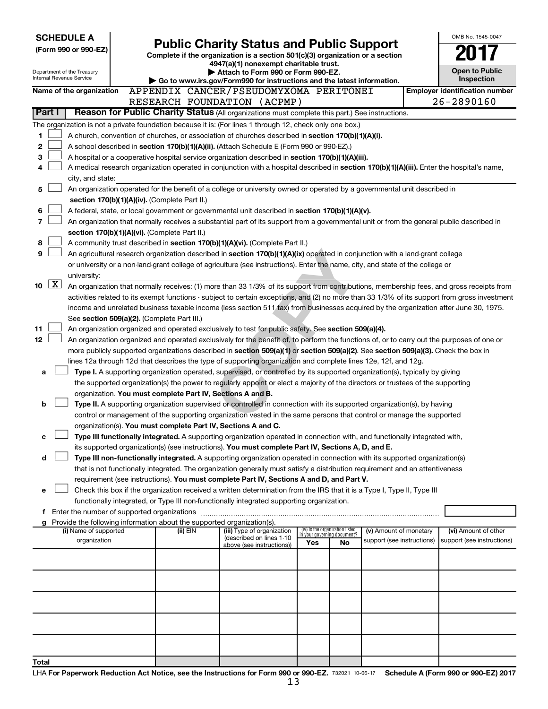| <b>SCHEDULE A</b>                                                                                              |                                               |  |                                                                                                                                                               |                                                                                                                                                                                       |     |                                                                |                            |  | OMB No. 1545-0047                                                                                                                             |  |  |
|----------------------------------------------------------------------------------------------------------------|-----------------------------------------------|--|---------------------------------------------------------------------------------------------------------------------------------------------------------------|---------------------------------------------------------------------------------------------------------------------------------------------------------------------------------------|-----|----------------------------------------------------------------|----------------------------|--|-----------------------------------------------------------------------------------------------------------------------------------------------|--|--|
| (Form 990 or 990-EZ)                                                                                           |                                               |  |                                                                                                                                                               | <b>Public Charity Status and Public Support</b>                                                                                                                                       |     |                                                                |                            |  |                                                                                                                                               |  |  |
|                                                                                                                |                                               |  | Complete if the organization is a section 501(c)(3) organization or a section<br>4947(a)(1) nonexempt charitable trust.<br>Attach to Form 990 or Form 990-EZ. |                                                                                                                                                                                       |     |                                                                |                            |  |                                                                                                                                               |  |  |
| Department of the Treasury                                                                                     |                                               |  | <b>Open to Public</b>                                                                                                                                         |                                                                                                                                                                                       |     |                                                                |                            |  |                                                                                                                                               |  |  |
| Internal Revenue Service                                                                                       |                                               |  |                                                                                                                                                               | ► Go to www.irs.gov/Form990 for instructions and the latest information.                                                                                                              |     |                                                                |                            |  | <b>Inspection</b>                                                                                                                             |  |  |
| Name of the organization                                                                                       |                                               |  |                                                                                                                                                               | APPENDIX CANCER/PSEUDOMYXOMA PERITONEI<br>RESEARCH FOUNDATION (ACPMP)                                                                                                                 |     |                                                                |                            |  | <b>Employer identification number</b>                                                                                                         |  |  |
| Part I                                                                                                         |                                               |  | 26-2890160                                                                                                                                                    |                                                                                                                                                                                       |     |                                                                |                            |  |                                                                                                                                               |  |  |
|                                                                                                                |                                               |  |                                                                                                                                                               | Reason for Public Charity Status (All organizations must complete this part.) See instructions.                                                                                       |     |                                                                |                            |  |                                                                                                                                               |  |  |
| The organization is not a private foundation because it is: (For lines 1 through 12, check only one box.)<br>1 |                                               |  |                                                                                                                                                               | A church, convention of churches, or association of churches described in <b>section 170(b)(1)(A)(i).</b>                                                                             |     |                                                                |                            |  |                                                                                                                                               |  |  |
| 2                                                                                                              |                                               |  |                                                                                                                                                               | A school described in section 170(b)(1)(A)(ii). (Attach Schedule E (Form 990 or 990-EZ).)                                                                                             |     |                                                                |                            |  |                                                                                                                                               |  |  |
| 3                                                                                                              |                                               |  |                                                                                                                                                               | A hospital or a cooperative hospital service organization described in section 170(b)(1)(A)(iii).                                                                                     |     |                                                                |                            |  |                                                                                                                                               |  |  |
| 4                                                                                                              |                                               |  |                                                                                                                                                               | A medical research organization operated in conjunction with a hospital described in section 170(b)(1)(A)(iii). Enter the hospital's name,                                            |     |                                                                |                            |  |                                                                                                                                               |  |  |
| city, and state:                                                                                               |                                               |  |                                                                                                                                                               |                                                                                                                                                                                       |     |                                                                |                            |  |                                                                                                                                               |  |  |
| 5                                                                                                              |                                               |  |                                                                                                                                                               | An organization operated for the benefit of a college or university owned or operated by a governmental unit described in                                                             |     |                                                                |                            |  |                                                                                                                                               |  |  |
|                                                                                                                | section 170(b)(1)(A)(iv). (Complete Part II.) |  |                                                                                                                                                               |                                                                                                                                                                                       |     |                                                                |                            |  |                                                                                                                                               |  |  |
| 6                                                                                                              |                                               |  |                                                                                                                                                               | A federal, state, or local government or governmental unit described in section 170(b)(1)(A)(v).                                                                                      |     |                                                                |                            |  |                                                                                                                                               |  |  |
| 7                                                                                                              |                                               |  |                                                                                                                                                               | An organization that normally receives a substantial part of its support from a governmental unit or from the general public described in                                             |     |                                                                |                            |  |                                                                                                                                               |  |  |
|                                                                                                                | section 170(b)(1)(A)(vi). (Complete Part II.) |  |                                                                                                                                                               |                                                                                                                                                                                       |     |                                                                |                            |  |                                                                                                                                               |  |  |
| 8                                                                                                              |                                               |  |                                                                                                                                                               | A community trust described in section 170(b)(1)(A)(vi). (Complete Part II.)                                                                                                          |     |                                                                |                            |  |                                                                                                                                               |  |  |
| 9                                                                                                              |                                               |  |                                                                                                                                                               | An agricultural research organization described in section 170(b)(1)(A)(ix) operated in conjunction with a land-grant college                                                         |     |                                                                |                            |  |                                                                                                                                               |  |  |
| university:                                                                                                    |                                               |  |                                                                                                                                                               | or university or a non-land-grant college of agriculture (see instructions). Enter the name, city, and state of the college or                                                        |     |                                                                |                            |  |                                                                                                                                               |  |  |
| $\lfloor x \rfloor$<br>10                                                                                      |                                               |  |                                                                                                                                                               | An organization that normally receives: (1) more than 33 1/3% of its support from contributions, membership fees, and gross receipts from                                             |     |                                                                |                            |  |                                                                                                                                               |  |  |
|                                                                                                                |                                               |  |                                                                                                                                                               |                                                                                                                                                                                       |     |                                                                |                            |  | activities related to its exempt functions - subject to certain exceptions, and (2) no more than 33 1/3% of its support from gross investment |  |  |
|                                                                                                                |                                               |  |                                                                                                                                                               | income and unrelated business taxable income (less section 511 tax) from businesses acquired by the organization after June 30, 1975.                                                 |     |                                                                |                            |  |                                                                                                                                               |  |  |
|                                                                                                                | See section 509(a)(2). (Complete Part III.)   |  |                                                                                                                                                               |                                                                                                                                                                                       |     |                                                                |                            |  |                                                                                                                                               |  |  |
| 11                                                                                                             |                                               |  |                                                                                                                                                               | An organization organized and operated exclusively to test for public safety. See section 509(a)(4).                                                                                  |     |                                                                |                            |  |                                                                                                                                               |  |  |
| 12                                                                                                             |                                               |  |                                                                                                                                                               | An organization organized and operated exclusively for the benefit of, to perform the functions of, or to carry out the purposes of one or                                            |     |                                                                |                            |  |                                                                                                                                               |  |  |
|                                                                                                                |                                               |  |                                                                                                                                                               | more publicly supported organizations described in section 509(a)(1) or section 509(a)(2). See section 509(a)(3). Check the box in                                                    |     |                                                                |                            |  |                                                                                                                                               |  |  |
|                                                                                                                |                                               |  |                                                                                                                                                               | lines 12a through 12d that describes the type of supporting organization and complete lines 12e, 12f, and 12g.                                                                        |     |                                                                |                            |  |                                                                                                                                               |  |  |
| a                                                                                                              |                                               |  |                                                                                                                                                               | Type I. A supporting organization operated, supervised, or controlled by its supported organization(s), typically by giving                                                           |     |                                                                |                            |  |                                                                                                                                               |  |  |
|                                                                                                                |                                               |  |                                                                                                                                                               | the supported organization(s) the power to regularly appoint or elect a majority of the directors or trustees of the supporting                                                       |     |                                                                |                            |  |                                                                                                                                               |  |  |
| b                                                                                                              |                                               |  |                                                                                                                                                               | organization. You must complete Part IV, Sections A and B.<br>Type II. A supporting organization supervised or controlled in connection with its supported organization(s), by having |     |                                                                |                            |  |                                                                                                                                               |  |  |
|                                                                                                                |                                               |  |                                                                                                                                                               | control or management of the supporting organization vested in the same persons that control or manage the supported                                                                  |     |                                                                |                            |  |                                                                                                                                               |  |  |
|                                                                                                                |                                               |  |                                                                                                                                                               | organization(s). You must complete Part IV, Sections A and C.                                                                                                                         |     |                                                                |                            |  |                                                                                                                                               |  |  |
| с                                                                                                              |                                               |  |                                                                                                                                                               | Type III functionally integrated. A supporting organization operated in connection with, and functionally integrated with,                                                            |     |                                                                |                            |  |                                                                                                                                               |  |  |
|                                                                                                                |                                               |  |                                                                                                                                                               | its supported organization(s) (see instructions). You must complete Part IV, Sections A, D, and E.                                                                                    |     |                                                                |                            |  |                                                                                                                                               |  |  |
| d                                                                                                              |                                               |  |                                                                                                                                                               | Type III non-functionally integrated. A supporting organization operated in connection with its supported organization(s)                                                             |     |                                                                |                            |  |                                                                                                                                               |  |  |
|                                                                                                                |                                               |  |                                                                                                                                                               | that is not functionally integrated. The organization generally must satisfy a distribution requirement and an attentiveness                                                          |     |                                                                |                            |  |                                                                                                                                               |  |  |
|                                                                                                                |                                               |  |                                                                                                                                                               | requirement (see instructions). You must complete Part IV, Sections A and D, and Part V.                                                                                              |     |                                                                |                            |  |                                                                                                                                               |  |  |
| e                                                                                                              |                                               |  |                                                                                                                                                               | Check this box if the organization received a written determination from the IRS that it is a Type I, Type II, Type III                                                               |     |                                                                |                            |  |                                                                                                                                               |  |  |
|                                                                                                                |                                               |  |                                                                                                                                                               | functionally integrated, or Type III non-functionally integrated supporting organization.                                                                                             |     |                                                                |                            |  |                                                                                                                                               |  |  |
| Provide the following information about the supported organization(s).                                         |                                               |  |                                                                                                                                                               |                                                                                                                                                                                       |     |                                                                |                            |  |                                                                                                                                               |  |  |
| g<br>(i) Name of supported                                                                                     |                                               |  | (ii) EIN                                                                                                                                                      | (iii) Type of organization                                                                                                                                                            |     | (iv) Is the organization listed<br>in your governing document? | (v) Amount of monetary     |  | (vi) Amount of other                                                                                                                          |  |  |
| organization                                                                                                   |                                               |  |                                                                                                                                                               | (described on lines 1-10<br>above (see instructions))                                                                                                                                 | Yes | No                                                             | support (see instructions) |  | support (see instructions)                                                                                                                    |  |  |
|                                                                                                                |                                               |  |                                                                                                                                                               |                                                                                                                                                                                       |     |                                                                |                            |  |                                                                                                                                               |  |  |
|                                                                                                                |                                               |  |                                                                                                                                                               |                                                                                                                                                                                       |     |                                                                |                            |  |                                                                                                                                               |  |  |
|                                                                                                                |                                               |  |                                                                                                                                                               |                                                                                                                                                                                       |     |                                                                |                            |  |                                                                                                                                               |  |  |
|                                                                                                                |                                               |  |                                                                                                                                                               |                                                                                                                                                                                       |     |                                                                |                            |  |                                                                                                                                               |  |  |
|                                                                                                                |                                               |  |                                                                                                                                                               |                                                                                                                                                                                       |     |                                                                |                            |  |                                                                                                                                               |  |  |
|                                                                                                                |                                               |  |                                                                                                                                                               |                                                                                                                                                                                       |     |                                                                |                            |  |                                                                                                                                               |  |  |
|                                                                                                                |                                               |  |                                                                                                                                                               |                                                                                                                                                                                       |     |                                                                |                            |  |                                                                                                                                               |  |  |
|                                                                                                                |                                               |  |                                                                                                                                                               |                                                                                                                                                                                       |     |                                                                |                            |  |                                                                                                                                               |  |  |
|                                                                                                                |                                               |  |                                                                                                                                                               |                                                                                                                                                                                       |     |                                                                |                            |  |                                                                                                                                               |  |  |
| Total                                                                                                          |                                               |  |                                                                                                                                                               |                                                                                                                                                                                       |     |                                                                |                            |  |                                                                                                                                               |  |  |
|                                                                                                                |                                               |  |                                                                                                                                                               |                                                                                                                                                                                       |     |                                                                |                            |  |                                                                                                                                               |  |  |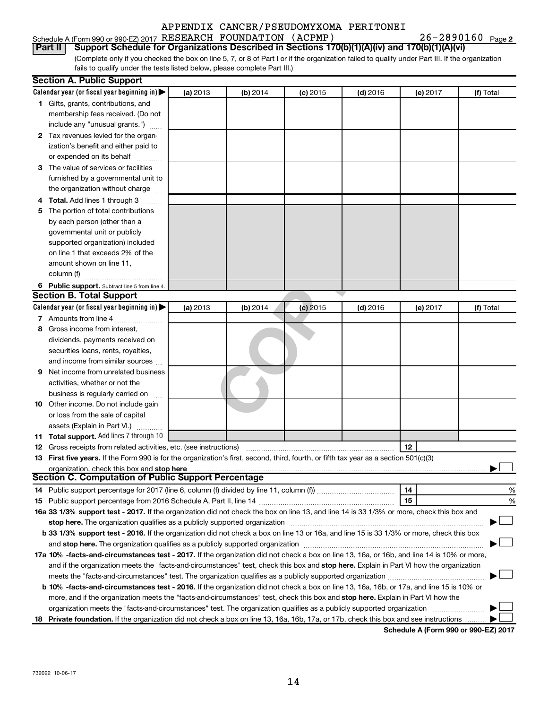## Schedule A (Form 990 or 990-EZ) 2017 Page RESEARCH FOUNDATION (ACPMP) 26-2890160

26-2890160 Page 2

**Part II Support Schedule for Organizations Described in Sections 170(b)(1)(A)(iv) and 170(b)(1)(A)(vi)**

(Complete only if you checked the box on line 5, 7, or 8 of Part I or if the organization failed to qualify under Part III. If the organization fails to qualify under the tests listed below, please complete Part III.)

|    | <b>Section A. Public Support</b>                                                                                                           |          |          |            |            |          |           |
|----|--------------------------------------------------------------------------------------------------------------------------------------------|----------|----------|------------|------------|----------|-----------|
|    | Calendar year (or fiscal year beginning in)                                                                                                | (a) 2013 | (b) 2014 | $(c)$ 2015 | $(d)$ 2016 | (e) 2017 | (f) Total |
|    | 1 Gifts, grants, contributions, and                                                                                                        |          |          |            |            |          |           |
|    | membership fees received. (Do not                                                                                                          |          |          |            |            |          |           |
|    | include any "unusual grants.")                                                                                                             |          |          |            |            |          |           |
|    | 2 Tax revenues levied for the organ-                                                                                                       |          |          |            |            |          |           |
|    | ization's benefit and either paid to                                                                                                       |          |          |            |            |          |           |
|    | or expended on its behalf                                                                                                                  |          |          |            |            |          |           |
|    | 3 The value of services or facilities                                                                                                      |          |          |            |            |          |           |
|    | furnished by a governmental unit to                                                                                                        |          |          |            |            |          |           |
|    | the organization without charge                                                                                                            |          |          |            |            |          |           |
|    | 4 Total. Add lines 1 through 3                                                                                                             |          |          |            |            |          |           |
| 5. | The portion of total contributions                                                                                                         |          |          |            |            |          |           |
|    | by each person (other than a                                                                                                               |          |          |            |            |          |           |
|    | governmental unit or publicly                                                                                                              |          |          |            |            |          |           |
|    | supported organization) included                                                                                                           |          |          |            |            |          |           |
|    | on line 1 that exceeds 2% of the                                                                                                           |          |          |            |            |          |           |
|    | amount shown on line 11,                                                                                                                   |          |          |            |            |          |           |
|    | column (f)                                                                                                                                 |          |          |            |            |          |           |
|    | 6 Public support. Subtract line 5 from line 4.                                                                                             |          |          |            |            |          |           |
|    | <b>Section B. Total Support</b>                                                                                                            |          |          |            |            |          |           |
|    | Calendar year (or fiscal year beginning in)                                                                                                | (a) 2013 | (b) 2014 | $(c)$ 2015 | $(d)$ 2016 | (e) 2017 | (f) Total |
|    | 7 Amounts from line 4                                                                                                                      |          |          |            |            |          |           |
| 8  | Gross income from interest,                                                                                                                |          |          |            |            |          |           |
|    | dividends, payments received on                                                                                                            |          |          |            |            |          |           |
|    | securities loans, rents, royalties,                                                                                                        |          |          |            |            |          |           |
|    | and income from similar sources                                                                                                            |          |          |            |            |          |           |
| 9  | Net income from unrelated business                                                                                                         |          |          |            |            |          |           |
|    | activities, whether or not the                                                                                                             |          |          |            |            |          |           |
|    | business is regularly carried on                                                                                                           |          |          |            |            |          |           |
|    | 10 Other income. Do not include gain                                                                                                       |          |          |            |            |          |           |
|    | or loss from the sale of capital                                                                                                           |          |          |            |            |          |           |
|    | assets (Explain in Part VI.)                                                                                                               |          |          |            |            |          |           |
|    | 11 Total support. Add lines 7 through 10                                                                                                   |          |          |            |            |          |           |
|    | <b>12</b> Gross receipts from related activities, etc. (see instructions)                                                                  |          |          |            |            | 12       |           |
|    | 13 First five years. If the Form 990 is for the organization's first, second, third, fourth, or fifth tax year as a section 501(c)(3)      |          |          |            |            |          |           |
|    | organization, check this box and stop here                                                                                                 |          |          |            |            |          |           |
|    | <b>Section C. Computation of Public Support Percentage</b>                                                                                 |          |          |            |            |          |           |
|    |                                                                                                                                            |          |          |            |            | 14       | %         |
|    |                                                                                                                                            |          |          |            |            | 15       | %         |
|    | 16a 33 1/3% support test - 2017. If the organization did not check the box on line 13, and line 14 is 33 1/3% or more, check this box and  |          |          |            |            |          |           |
|    | stop here. The organization qualifies as a publicly supported organization manufaction manufacture or the organization                     |          |          |            |            |          |           |
|    | b 33 1/3% support test - 2016. If the organization did not check a box on line 13 or 16a, and line 15 is 33 1/3% or more, check this box   |          |          |            |            |          |           |
|    |                                                                                                                                            |          |          |            |            |          |           |
|    | 17a 10% -facts-and-circumstances test - 2017. If the organization did not check a box on line 13, 16a, or 16b, and line 14 is 10% or more, |          |          |            |            |          |           |
|    | and if the organization meets the "facts-and-circumstances" test, check this box and stop here. Explain in Part VI how the organization    |          |          |            |            |          |           |
|    |                                                                                                                                            |          |          |            |            |          |           |
|    | b 10% -facts-and-circumstances test - 2016. If the organization did not check a box on line 13, 16a, 16b, or 17a, and line 15 is 10% or    |          |          |            |            |          |           |
|    | more, and if the organization meets the "facts-and-circumstances" test, check this box and stop here. Explain in Part VI how the           |          |          |            |            |          |           |
|    | organization meets the "facts-and-circumstances" test. The organization qualifies as a publicly supported organization                     |          |          |            |            |          |           |
|    | 18 Private foundation. If the organization did not check a box on line 13, 16a, 16b, 17a, or 17b, check this box and see instructions      |          |          |            |            |          |           |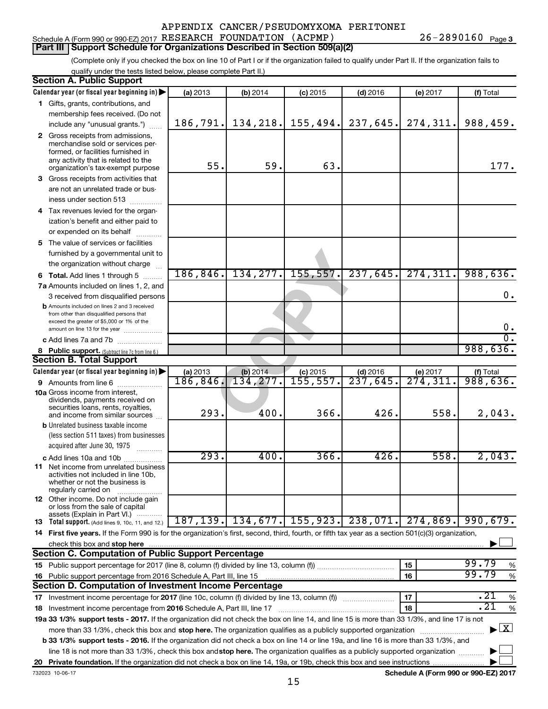# Schedule A (Form 990 or 990-EZ) 2017 Page RESEARCH FOUNDATION (ACPMP) 26-2890160

**Part III Support Schedule for Organizations Described in Section 509(a)(2)** 

(Complete only if you checked the box on line 10 of Part I or if the organization failed to qualify under Part II. If the organization fails to qualify under the tests listed below, please complete Part II.)

| <b>Section A. Public Support</b>                                                                                                                                                                                                                                 |           |                   |            |                                               |                        |                                      |
|------------------------------------------------------------------------------------------------------------------------------------------------------------------------------------------------------------------------------------------------------------------|-----------|-------------------|------------|-----------------------------------------------|------------------------|--------------------------------------|
| Calendar year (or fiscal year beginning in)                                                                                                                                                                                                                      | (a) 2013  | (b) 2014          | $(c)$ 2015 | $(d)$ 2016                                    | (e) 2017               | (f) Total                            |
| 1 Gifts, grants, contributions, and                                                                                                                                                                                                                              |           |                   |            |                                               |                        |                                      |
| membership fees received. (Do not                                                                                                                                                                                                                                |           |                   |            |                                               |                        |                                      |
| include any "unusual grants.")                                                                                                                                                                                                                                   |           | 186,791. 134,218. | 155,494.   | 237,645.                                      | 274,311.               | 988,459.                             |
| 2 Gross receipts from admissions,<br>merchandise sold or services per-<br>formed, or facilities furnished in<br>any activity that is related to the<br>organization's tax-exempt purpose                                                                         | 55.       | 59.               | 63.        |                                               |                        | 177.                                 |
| <b>3</b> Gross receipts from activities that                                                                                                                                                                                                                     |           |                   |            |                                               |                        |                                      |
| are not an unrelated trade or bus-                                                                                                                                                                                                                               |           |                   |            |                                               |                        |                                      |
| iness under section 513                                                                                                                                                                                                                                          |           |                   |            |                                               |                        |                                      |
| 4 Tax revenues levied for the organ-                                                                                                                                                                                                                             |           |                   |            |                                               |                        |                                      |
| ization's benefit and either paid to                                                                                                                                                                                                                             |           |                   |            |                                               |                        |                                      |
| or expended on its behalf                                                                                                                                                                                                                                        |           |                   |            |                                               |                        |                                      |
| 5 The value of services or facilities                                                                                                                                                                                                                            |           |                   |            |                                               |                        |                                      |
| furnished by a governmental unit to                                                                                                                                                                                                                              |           |                   |            |                                               |                        |                                      |
| the organization without charge                                                                                                                                                                                                                                  |           |                   |            |                                               |                        |                                      |
| <b>6 Total.</b> Add lines 1 through 5                                                                                                                                                                                                                            | 186, 846. | 134, 277.         | 155, 557.  | 237,645.                                      | 274, 311.              | 988,636.                             |
| 7a Amounts included on lines 1, 2, and                                                                                                                                                                                                                           |           |                   |            |                                               |                        |                                      |
| 3 received from disqualified persons                                                                                                                                                                                                                             |           |                   |            |                                               |                        | 0.                                   |
| <b>b</b> Amounts included on lines 2 and 3 received<br>from other than disqualified persons that<br>exceed the greater of \$5,000 or 1% of the                                                                                                                   |           |                   |            |                                               |                        | 0.                                   |
| amount on line 13 for the year                                                                                                                                                                                                                                   |           |                   |            |                                               |                        | $\overline{0}$ .                     |
| c Add lines 7a and 7b                                                                                                                                                                                                                                            |           |                   |            |                                               |                        | 988,636.                             |
| 8 Public support. (Subtract line 7c from line 6.)<br><b>Section B. Total Support</b>                                                                                                                                                                             |           |                   |            |                                               |                        |                                      |
| Calendar year (or fiscal year beginning in)                                                                                                                                                                                                                      | (a) 2013  | (b) 2014          | $(c)$ 2015 | $(d)$ 2016                                    | (e) 2017               | (f) Total                            |
| <b>9</b> Amounts from line 6                                                                                                                                                                                                                                     | 186, 846. | 134,277.          | 155,557.   | 237,645.                                      | $\overline{274,311}$ . | 988,636.                             |
| <b>10a</b> Gross income from interest,<br>dividends, payments received on<br>securities loans, rents, royalties,<br>and income from similar sources                                                                                                              | 293.      | 400.              | 366.       | 426.                                          | 558.                   | 2,043.                               |
| <b>b</b> Unrelated business taxable income<br>(less section 511 taxes) from businesses<br>acquired after June 30, 1975                                                                                                                                           |           |                   |            |                                               |                        |                                      |
| <b>c</b> Add lines 10a and 10b                                                                                                                                                                                                                                   | 293.      | 400.              | 366.       | 426.                                          | 558.                   | 2,043.                               |
| <b>11</b> Net income from unrelated business<br>activities not included in line 10b,<br>whether or not the business is<br>regularly carried on                                                                                                                   |           |                   |            |                                               |                        |                                      |
| 12 Other income. Do not include gain<br>or loss from the sale of capital                                                                                                                                                                                         |           |                   |            |                                               |                        |                                      |
| assets (Explain in Part VI.)<br><b>13</b> Total support. (Add lines 9, 10c, 11, and 12.)                                                                                                                                                                         |           |                   |            | 187, 139.   134, 677.   155, 923.   238, 071. | 274,869. 990,679.      |                                      |
| 14 First five years. If the Form 990 is for the organization's first, second, third, fourth, or fifth tax year as a section 501(c)(3) organization,                                                                                                              |           |                   |            |                                               |                        |                                      |
| check this box and stop here                                                                                                                                                                                                                                     |           |                   |            |                                               |                        |                                      |
| Section C. Computation of Public Support Percentage                                                                                                                                                                                                              |           |                   |            |                                               |                        |                                      |
|                                                                                                                                                                                                                                                                  |           |                   |            |                                               | 15                     | 99.79<br>%                           |
|                                                                                                                                                                                                                                                                  |           |                   |            |                                               | 16                     | 99.79<br>$\%$                        |
| Section D. Computation of Investment Income Percentage                                                                                                                                                                                                           |           |                   |            |                                               |                        |                                      |
| 17 Investment income percentage for 2017 (line 10c, column (f) divided by line 13, column (f))                                                                                                                                                                   |           |                   |            |                                               | 17                     | .21<br>%                             |
| 18 Investment income percentage from 2016 Schedule A, Part III, line 17                                                                                                                                                                                          |           |                   |            |                                               | 18                     | $\overline{.21}$<br>$\%$             |
| 19a 33 1/3% support tests - 2017. If the organization did not check the box on line 14, and line 15 is more than 33 1/3%, and line 17 is not                                                                                                                     |           |                   |            |                                               |                        |                                      |
| more than 33 1/3%, check this box and stop here. The organization qualifies as a publicly supported organization<br><b>b 33 1/3% support tests - 2016.</b> If the organization did not check a box on line 14 or line 19a, and line 16 is more than 33 1/3%, and |           |                   |            |                                               |                        | $\blacktriangleright$ $\mathbf{X}$   |
| line 18 is not more than 33 1/3%, check this box andstop here. The organization qualifies as a publicly supported organization                                                                                                                                   |           |                   |            |                                               |                        |                                      |
|                                                                                                                                                                                                                                                                  |           |                   |            |                                               |                        |                                      |
| 732023 10-06-17                                                                                                                                                                                                                                                  |           |                   |            |                                               |                        | Schedule A (Form 990 or 990-EZ) 2017 |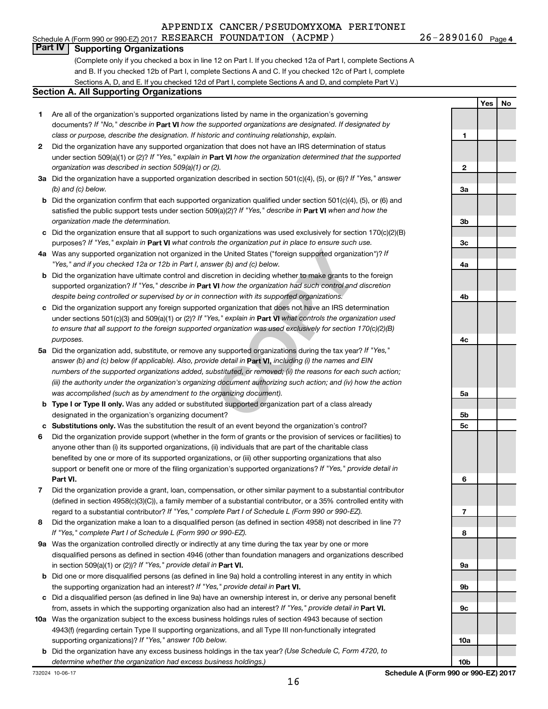Schedule A (Form 990 or 990-EZ) 2017 Page RESEARCH FOUNDATION (ACPMP) 26-2890160

26-2890160 Page 4

**Yes No**

### **Part IV Supporting Organizations**

(Complete only if you checked a box in line 12 on Part I. If you checked 12a of Part I, complete Sections A and B. If you checked 12b of Part I, complete Sections A and C. If you checked 12c of Part I, complete Sections A, D, and E. If you checked 12d of Part I, complete Sections A and D, and complete Part V.)

#### **Section A. All Supporting Organizations**

- **1** Are all of the organization's supported organizations listed by name in the organization's governing documents? If "No," describe in Part VI how the supported organizations are designated. If designated by *class or purpose, describe the designation. If historic and continuing relationship, explain.*
- **2** Did the organization have any supported organization that does not have an IRS determination of status under section 509(a)(1) or (2)? If "Yes," explain in Part **VI** how the organization determined that the supported *organization was described in section 509(a)(1) or (2).*
- **3a** Did the organization have a supported organization described in section 501(c)(4), (5), or (6)? If "Yes," answer *(b) and (c) below.*
- **b** Did the organization confirm that each supported organization qualified under section 501(c)(4), (5), or (6) and satisfied the public support tests under section 509(a)(2)? If "Yes," describe in Part VI when and how the *organization made the determination.*
- **c** Did the organization ensure that all support to such organizations was used exclusively for section 170(c)(2)(B) purposes? If "Yes," explain in Part VI what controls the organization put in place to ensure such use.
- **4 a** *If* Was any supported organization not organized in the United States ("foreign supported organization")? *"Yes," and if you checked 12a or 12b in Part I, answer (b) and (c) below.*
- **b** Did the organization have ultimate control and discretion in deciding whether to make grants to the foreign supported organization? If "Yes," describe in Part VI how the organization had such control and discretion *despite being controlled or supervised by or in connection with its supported organizations.*
- **c** Did the organization support any foreign supported organization that does not have an IRS determination under sections 501(c)(3) and 509(a)(1) or (2)? If "Yes," explain in Part VI what controls the organization used *to ensure that all support to the foreign supported organization was used exclusively for section 170(c)(2)(B) purposes.*
- the United States ("foreign supported organization")? *I*<br>wer (b) and (c) below.<br>Correction in deciding whether to make grants to the foreignal to the foreign whether to make grants to the foreign<br>**VI** how the organization **5a** Did the organization add, substitute, or remove any supported organizations during the tax year? If "Yes," answer (b) and (c) below (if applicable). Also, provide detail in **Part VI,** including (i) the names and EIN *numbers of the supported organizations added, substituted, or removed; (ii) the reasons for each such action; (iii) the authority under the organization's organizing document authorizing such action; and (iv) how the action was accomplished (such as by amendment to the organizing document).*
- **b** Type I or Type II only. Was any added or substituted supported organization part of a class already designated in the organization's organizing document?
- **c Substitutions only.**  Was the substitution the result of an event beyond the organization's control?
- **6** Did the organization provide support (whether in the form of grants or the provision of services or facilities) to **Part VI.** support or benefit one or more of the filing organization's supported organizations? If "Yes," provide detail in anyone other than (i) its supported organizations, (ii) individuals that are part of the charitable class benefited by one or more of its supported organizations, or (iii) other supporting organizations that also
- **7** Did the organization provide a grant, loan, compensation, or other similar payment to a substantial contributor regard to a substantial contributor? If "Yes," complete Part I of Schedule L (Form 990 or 990-EZ). (defined in section 4958(c)(3)(C)), a family member of a substantial contributor, or a 35% controlled entity with
- **8** Did the organization make a loan to a disqualified person (as defined in section 4958) not described in line 7? *If "Yes," complete Part I of Schedule L (Form 990 or 990-EZ).*
- **9 a** Was the organization controlled directly or indirectly at any time during the tax year by one or more in section 509(a)(1) or (2))? If "Yes," provide detail in **Part VI.** disqualified persons as defined in section 4946 (other than foundation managers and organizations described
- **b** Did one or more disqualified persons (as defined in line 9a) hold a controlling interest in any entity in which the supporting organization had an interest? If "Yes," provide detail in Part VI.
- **c** Did a disqualified person (as defined in line 9a) have an ownership interest in, or derive any personal benefit from, assets in which the supporting organization also had an interest? If "Yes," provide detail in Part VI.
- **10 a** Was the organization subject to the excess business holdings rules of section 4943 because of section supporting organizations)? If "Yes," answer 10b below. 4943(f) (regarding certain Type II supporting organizations, and all Type III non-functionally integrated
	- **b** Did the organization have any excess business holdings in the tax year? (Use Schedule C, Form 4720, to *determine whether the organization had excess business holdings.)*

**1 2 3a 3b 3c 4a 4b 4c 5a 5b 5c 6 7 8 9a 9b 9c 10a**

**10b**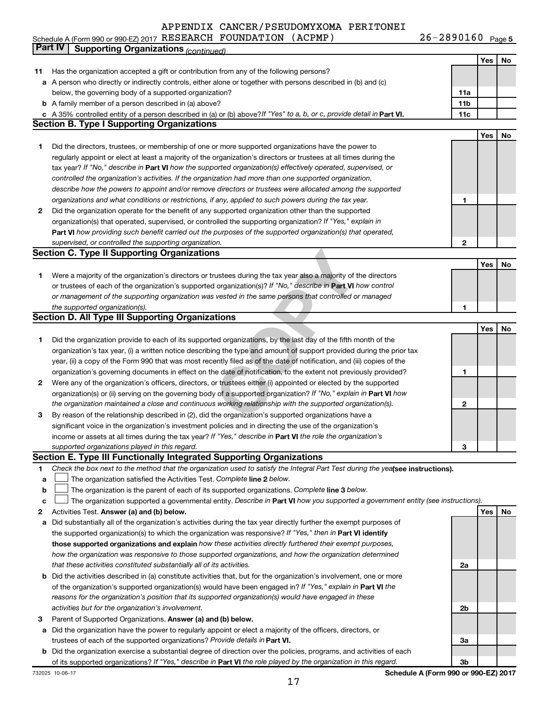26-2890160 Page 5 Schedule A (Form 990 or 990-EZ) 2017 RESEARCH FOUNDATION (ACPMP) Z6-Z89UI6U Page RESEARCH FOUNDATION (ACPMP) 26-2890160

|             | <b>Part IV</b><br><b>Supporting Organizations (continued)</b>                                                                   |                 |            |    |
|-------------|---------------------------------------------------------------------------------------------------------------------------------|-----------------|------------|----|
|             |                                                                                                                                 |                 | Yes        | No |
| 11          | Has the organization accepted a gift or contribution from any of the following persons?                                         |                 |            |    |
|             | a A person who directly or indirectly controls, either alone or together with persons described in (b) and (c)                  |                 |            |    |
|             | below, the governing body of a supported organization?                                                                          | 11a             |            |    |
|             | <b>b</b> A family member of a person described in (a) above?                                                                    | 11 <sub>b</sub> |            |    |
|             | c A 35% controlled entity of a person described in (a) or (b) above? If "Yes" to a, b, or c, provide detail in Part VI.         | 11c             |            |    |
|             | <b>Section B. Type I Supporting Organizations</b>                                                                               |                 |            |    |
|             |                                                                                                                                 |                 | <b>Yes</b> | No |
| 1           | Did the directors, trustees, or membership of one or more supported organizations have the power to                             |                 |            |    |
|             | regularly appoint or elect at least a majority of the organization's directors or trustees at all times during the              |                 |            |    |
|             | tax year? If "No," describe in Part VI how the supported organization(s) effectively operated, supervised, or                   |                 |            |    |
|             | controlled the organization's activities. If the organization had more than one supported organization,                         |                 |            |    |
|             | describe how the powers to appoint and/or remove directors or trustees were allocated among the supported                       |                 |            |    |
|             | organizations and what conditions or restrictions, if any, applied to such powers during the tax year.                          | 1               |            |    |
| 2           | Did the organization operate for the benefit of any supported organization other than the supported                             |                 |            |    |
|             | organization(s) that operated, supervised, or controlled the supporting organization? If "Yes," explain in                      |                 |            |    |
|             | Part VI how providing such benefit carried out the purposes of the supported organization(s) that operated,                     |                 |            |    |
|             | supervised, or controlled the supporting organization.                                                                          | $\mathbf{2}$    |            |    |
|             | <b>Section C. Type II Supporting Organizations</b>                                                                              |                 |            |    |
|             |                                                                                                                                 |                 | Yes        | No |
| 1           | Were a majority of the organization's directors or trustees during the tax year also a majority of the directors                |                 |            |    |
|             | or trustees of each of the organization's supported organization(s)? If "No," describe in Part VI how control                   |                 |            |    |
|             | or management of the supporting organization was vested in the same persons that controlled or managed                          |                 |            |    |
|             | the supported organization(s).                                                                                                  | 1               |            |    |
|             | <b>Section D. All Type III Supporting Organizations</b>                                                                         |                 |            |    |
|             |                                                                                                                                 |                 | Yes        | No |
| 1           | Did the organization provide to each of its supported organizations, by the last day of the fifth month of the                  |                 |            |    |
|             | organization's tax year, (i) a written notice describing the type and amount of support provided during the prior tax           |                 |            |    |
|             | year, (ii) a copy of the Form 990 that was most recently filed as of the date of notification, and (iii) copies of the          |                 |            |    |
|             | organization's governing documents in effect on the date of notification, to the extent not previously provided?                | 1               |            |    |
| 2           | Were any of the organization's officers, directors, or trustees either (i) appointed or elected by the supported                |                 |            |    |
|             | organization(s) or (ii) serving on the governing body of a supported organization? If "No," explain in Part VI how              |                 |            |    |
|             | the organization maintained a close and continuous working relationship with the supported organization(s).                     | $\mathbf{2}$    |            |    |
| 3           | By reason of the relationship described in (2), did the organization's supported organizations have a                           |                 |            |    |
|             | significant voice in the organization's investment policies and in directing the use of the organization's                      |                 |            |    |
|             | income or assets at all times during the tax year? If "Yes," describe in Part VI the role the organization's                    |                 |            |    |
|             | supported organizations played in this regard.                                                                                  | З               |            |    |
|             | Section E. Type III Functionally Integrated Supporting Organizations                                                            |                 |            |    |
| 1           | Check the box next to the method that the organization used to satisfy the Integral Part Test during the yealsee instructions). |                 |            |    |
| a           | The organization satisfied the Activities Test. Complete line 2 below.                                                          |                 |            |    |
| $\mathbf b$ | The organization is the parent of each of its supported organizations. Complete line 3 below.                                   |                 |            |    |
| c           | The organization supported a governmental entity. Describe in Part VI how you supported a government entity (see instructions). |                 |            |    |
| 2           | Activities Test. Answer (a) and (b) below.                                                                                      |                 | Yes        | No |
| a           | Did substantially all of the organization's activities during the tax year directly further the exempt purposes of              |                 |            |    |
|             | the supported organization(s) to which the organization was responsive? If "Yes," then in Part VI identify                      |                 |            |    |
|             | those supported organizations and explain how these activities directly furthered their exempt purposes,                        |                 |            |    |
|             | how the organization was responsive to those supported organizations, and how the organization determined                       |                 |            |    |
|             | that these activities constituted substantially all of its activities.                                                          | 2a              |            |    |
| b           | Did the activities described in (a) constitute activities that, but for the organization's involvement, one or more             |                 |            |    |
|             | of the organization's supported organization(s) would have been engaged in? If "Yes," explain in Part VI the                    |                 |            |    |
|             | reasons for the organization's position that its supported organization(s) would have engaged in these                          |                 |            |    |
|             | activities but for the organization's involvement.                                                                              | 2b              |            |    |
| з           | Parent of Supported Organizations. Answer (a) and (b) below.                                                                    |                 |            |    |
| a           | Did the organization have the power to regularly appoint or elect a majority of the officers, directors, or                     |                 |            |    |
|             | trustees of each of the supported organizations? Provide details in Part VI.                                                    | За              |            |    |
| b           | Did the organization exercise a substantial degree of direction over the policies, programs, and activities of each             |                 |            |    |
|             | of its supported organizations? If "Yes," describe in Part VI the role played by the organization in this regard.               | 3b              |            |    |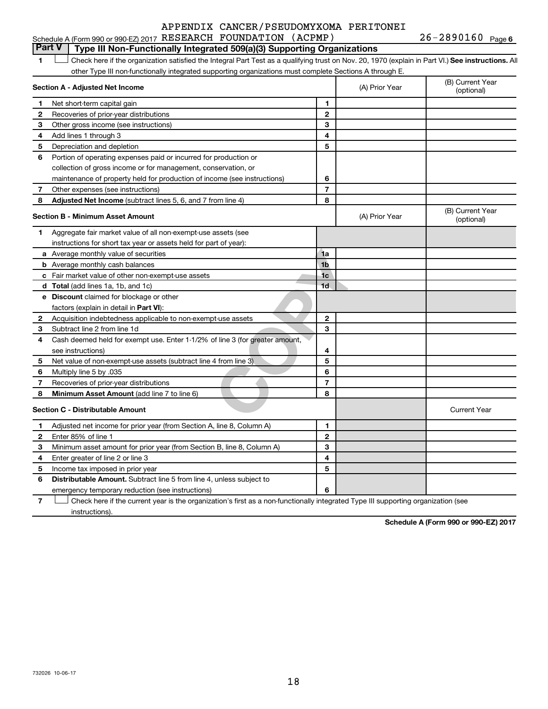|  | Schedule A (Form 990 or 990-EZ) 2017 RESEARCH FOUNDATION (ACPMP) |  |  |  | $26 - 2890160$ Page 6 |  |
|--|------------------------------------------------------------------|--|--|--|-----------------------|--|
|--|------------------------------------------------------------------|--|--|--|-----------------------|--|

### **Part V Type III Non-Functionally Integrated 509(a)(3) Supporting Organizations**

1 **Letter See instructions.** All Check here if the organization satisfied the Integral Part Test as a qualifying trust on Nov. 20, 1970 (explain in Part VI.) See instructions. All other Type III non-functionally integrated supporting organizations must complete Sections A through E.

|                | Section A - Adjusted Net Income                                              |                | (A) Prior Year | (B) Current Year<br>(optional) |
|----------------|------------------------------------------------------------------------------|----------------|----------------|--------------------------------|
| 1              | Net short-term capital gain                                                  | 1              |                |                                |
| 2              | Recoveries of prior-year distributions                                       | $\overline{2}$ |                |                                |
| 3              | Other gross income (see instructions)                                        | 3              |                |                                |
| 4              | Add lines 1 through 3                                                        | 4              |                |                                |
| 5              | Depreciation and depletion                                                   | 5              |                |                                |
| 6              | Portion of operating expenses paid or incurred for production or             |                |                |                                |
|                | collection of gross income or for management, conservation, or               |                |                |                                |
|                | maintenance of property held for production of income (see instructions)     | 6              |                |                                |
| 7              | Other expenses (see instructions)                                            | 7              |                |                                |
| 8              | Adjusted Net Income (subtract lines 5, 6, and 7 from line 4)                 | 8              |                |                                |
|                | <b>Section B - Minimum Asset Amount</b>                                      |                | (A) Prior Year | (B) Current Year<br>(optional) |
| 1              | Aggregate fair market value of all non-exempt-use assets (see                |                |                |                                |
|                | instructions for short tax year or assets held for part of year):            |                |                |                                |
|                | a Average monthly value of securities                                        | 1a             |                |                                |
|                | <b>b</b> Average monthly cash balances                                       | 1 <sub>b</sub> |                |                                |
|                | c Fair market value of other non-exempt-use assets                           | 1 <sub>c</sub> |                |                                |
|                | <b>d</b> Total (add lines 1a, 1b, and 1c)                                    | 1 <sub>d</sub> |                |                                |
|                | <b>e</b> Discount claimed for blockage or other                              |                |                |                                |
|                | factors (explain in detail in Part VI):                                      |                |                |                                |
| 2              | Acquisition indebtedness applicable to non-exempt-use assets                 | 2              |                |                                |
| 3              | Subtract line 2 from line 1d                                                 | 3              |                |                                |
| 4              | Cash deemed held for exempt use. Enter 1-1/2% of line 3 (for greater amount, |                |                |                                |
|                | see instructions)                                                            | 4              |                |                                |
| 5              | Net value of non-exempt-use assets (subtract line 4 from line 3)             | 5              |                |                                |
| 6              | 035. Multiply line 5 by                                                      | 6              |                |                                |
| $\overline{7}$ | Recoveries of prior-year distributions                                       | 7              |                |                                |
| 8              | Minimum Asset Amount (add line 7 to line 6)                                  | 8              |                |                                |
|                | <b>Section C - Distributable Amount</b>                                      |                |                | <b>Current Year</b>            |
| 1              | Adjusted net income for prior year (from Section A, line 8, Column A)        | 1              |                |                                |
| 2              | Enter 85% of line 1                                                          | $\overline{2}$ |                |                                |
| 3              | Minimum asset amount for prior year (from Section B, line 8, Column A)       | 3              |                |                                |
| 4              | Enter greater of line 2 or line 3                                            | 4              |                |                                |
| 5              | Income tax imposed in prior year                                             | 5              |                |                                |
| 6              | Distributable Amount. Subtract line 5 from line 4, unless subject to         |                |                |                                |
|                | emergency temporary reduction (see instructions)                             | 6              |                |                                |
|                |                                                                              |                |                |                                |

**7** Check here if the current year is the organization's first as a non-functionally integrated Type III supporting organization (see † instructions).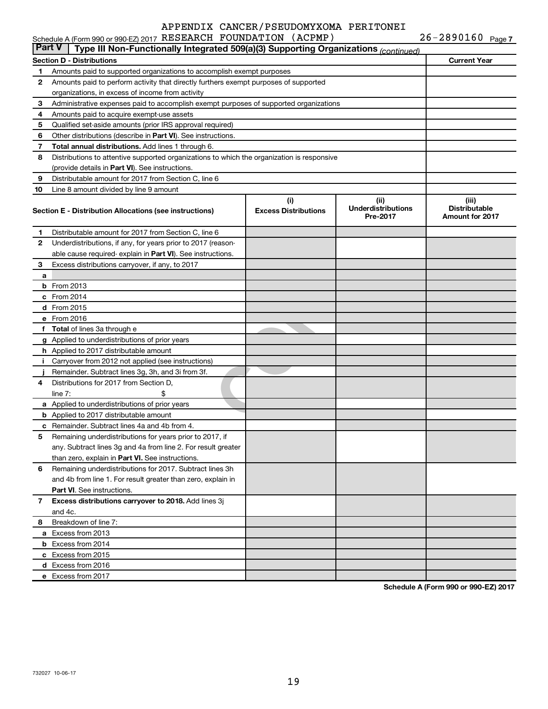|                                                                                            | Schedule A (Form 990 or 990-EZ) 2017 RESEARCH FOUNDATION (ACPMP)                                                  |                                    |                                               | $26 - 2890160$ Page 7                                   |
|--------------------------------------------------------------------------------------------|-------------------------------------------------------------------------------------------------------------------|------------------------------------|-----------------------------------------------|---------------------------------------------------------|
| <b>Part V</b>                                                                              | Type III Non-Functionally Integrated 509(a)(3) Supporting Organizations (continued)                               |                                    |                                               |                                                         |
|                                                                                            | <b>Section D - Distributions</b>                                                                                  |                                    |                                               | <b>Current Year</b>                                     |
| 1                                                                                          | Amounts paid to supported organizations to accomplish exempt purposes                                             |                                    |                                               |                                                         |
| 2                                                                                          | Amounts paid to perform activity that directly furthers exempt purposes of supported                              |                                    |                                               |                                                         |
|                                                                                            | organizations, in excess of income from activity                                                                  |                                    |                                               |                                                         |
| Administrative expenses paid to accomplish exempt purposes of supported organizations<br>З |                                                                                                                   |                                    |                                               |                                                         |
| 4                                                                                          | Amounts paid to acquire exempt-use assets                                                                         |                                    |                                               |                                                         |
| 5                                                                                          | Qualified set-aside amounts (prior IRS approval required)                                                         |                                    |                                               |                                                         |
| 6                                                                                          | Other distributions (describe in Part VI). See instructions.                                                      |                                    |                                               |                                                         |
| 7                                                                                          | Total annual distributions. Add lines 1 through 6.                                                                |                                    |                                               |                                                         |
| 8                                                                                          | Distributions to attentive supported organizations to which the organization is responsive                        |                                    |                                               |                                                         |
|                                                                                            | (provide details in Part VI). See instructions.                                                                   |                                    |                                               |                                                         |
| 9                                                                                          | Distributable amount for 2017 from Section C, line 6                                                              |                                    |                                               |                                                         |
| 10                                                                                         | Line 8 amount divided by line 9 amount                                                                            |                                    |                                               |                                                         |
|                                                                                            | Section E - Distribution Allocations (see instructions)                                                           | (i)<br><b>Excess Distributions</b> | (ii)<br><b>Underdistributions</b><br>Pre-2017 | (iii)<br><b>Distributable</b><br><b>Amount for 2017</b> |
|                                                                                            |                                                                                                                   |                                    |                                               |                                                         |
| 1                                                                                          | Distributable amount for 2017 from Section C, line 6                                                              |                                    |                                               |                                                         |
| 2                                                                                          | Underdistributions, if any, for years prior to 2017 (reason-                                                      |                                    |                                               |                                                         |
|                                                                                            | able cause required- explain in Part VI). See instructions.                                                       |                                    |                                               |                                                         |
| 3                                                                                          | Excess distributions carryover, if any, to 2017                                                                   |                                    |                                               |                                                         |
| a                                                                                          |                                                                                                                   |                                    |                                               |                                                         |
|                                                                                            | <b>b</b> From 2013                                                                                                |                                    |                                               |                                                         |
|                                                                                            | c From 2014                                                                                                       |                                    |                                               |                                                         |
|                                                                                            | d From 2015                                                                                                       |                                    |                                               |                                                         |
|                                                                                            | e From 2016                                                                                                       |                                    |                                               |                                                         |
|                                                                                            | f Total of lines 3a through e                                                                                     |                                    |                                               |                                                         |
|                                                                                            | g Applied to underdistributions of prior years                                                                    |                                    |                                               |                                                         |
|                                                                                            | h Applied to 2017 distributable amount                                                                            |                                    |                                               |                                                         |
| Ť.                                                                                         | Carryover from 2012 not applied (see instructions)                                                                |                                    |                                               |                                                         |
|                                                                                            | Remainder. Subtract lines 3g, 3h, and 3i from 3f.<br>Distributions for 2017 from Section D,                       |                                    |                                               |                                                         |
| 4                                                                                          |                                                                                                                   |                                    |                                               |                                                         |
|                                                                                            | line $7:$                                                                                                         |                                    |                                               |                                                         |
|                                                                                            | a Applied to underdistributions of prior years<br><b>b</b> Applied to 2017 distributable amount                   |                                    |                                               |                                                         |
|                                                                                            | c Remainder. Subtract lines 4a and 4b from 4.                                                                     |                                    |                                               |                                                         |
|                                                                                            | 5 Remaining underdistributions for years prior to 2017, if                                                        |                                    |                                               |                                                         |
|                                                                                            |                                                                                                                   |                                    |                                               |                                                         |
|                                                                                            | any. Subtract lines 3g and 4a from line 2. For result greater<br>than zero, explain in Part VI. See instructions. |                                    |                                               |                                                         |
| 6                                                                                          | Remaining underdistributions for 2017. Subtract lines 3h                                                          |                                    |                                               |                                                         |
|                                                                                            | and 4b from line 1. For result greater than zero, explain in                                                      |                                    |                                               |                                                         |
|                                                                                            |                                                                                                                   |                                    |                                               |                                                         |
|                                                                                            | <b>Part VI.</b> See instructions.                                                                                 |                                    |                                               |                                                         |
| 7                                                                                          | Excess distributions carryover to 2018. Add lines 3j                                                              |                                    |                                               |                                                         |
|                                                                                            | and 4c.<br>Breakdown of line 7:                                                                                   |                                    |                                               |                                                         |
| 8                                                                                          |                                                                                                                   |                                    |                                               |                                                         |
|                                                                                            | a Excess from 2013<br><b>b</b> Excess from 2014                                                                   |                                    |                                               |                                                         |
|                                                                                            | c Excess from 2015                                                                                                |                                    |                                               |                                                         |
|                                                                                            | d Excess from 2016                                                                                                |                                    |                                               |                                                         |
|                                                                                            | e Excess from 2017                                                                                                |                                    |                                               |                                                         |
|                                                                                            |                                                                                                                   |                                    |                                               |                                                         |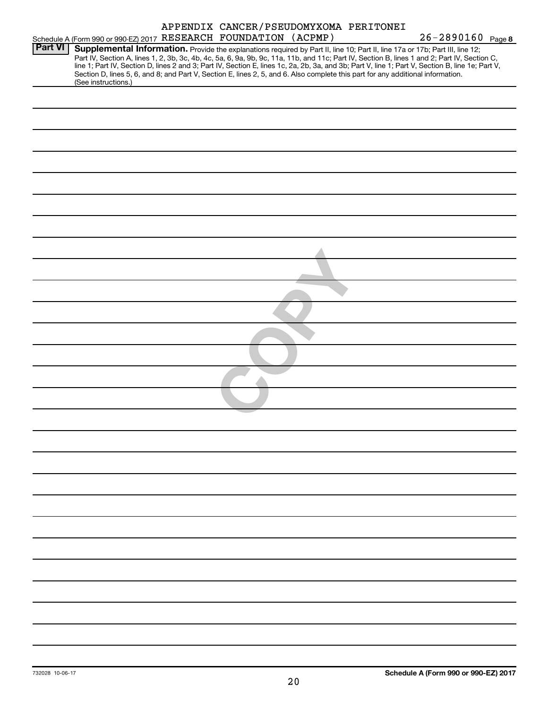|                |                                                                                                                                                                                                                                                                                                                                                                                                                  | APPENDIX CANCER/PSEUDOMYXOMA PERITONEI |  |                                                                                                                                                  |
|----------------|------------------------------------------------------------------------------------------------------------------------------------------------------------------------------------------------------------------------------------------------------------------------------------------------------------------------------------------------------------------------------------------------------------------|----------------------------------------|--|--------------------------------------------------------------------------------------------------------------------------------------------------|
|                | Schedule A (Form 990 or 990-EZ) 2017 RESEARCH FOUNDATION (ACPMP)                                                                                                                                                                                                                                                                                                                                                 |                                        |  | 26-2890160 Page 8                                                                                                                                |
| <b>Part VI</b> | Supplemental Information. Provide the explanations required by Part II, line 10; Part II, line 17a or 17b; Part III, line 12;<br>Part IV, Section A, lines 1, 2, 3b, 3c, 4b, 4c, 5a, 6, 9a, 9b, 9c, 11a, 11b, and 11c; Part IV, Section B, lines 1 and 2; Part IV, Section C,<br>Section D, lines 5, 6, and 8; and Part V, Section E, lines 2, 5, and 6. Also complete this part for any additional information. |                                        |  | line 1; Part IV, Section D, lines 2 and 3; Part IV, Section E, lines 1c, 2a, 2b, 3a, and 3b; Part V, line 1; Part V, Section B, line 1e; Part V, |
|                | (See instructions.)                                                                                                                                                                                                                                                                                                                                                                                              |                                        |  |                                                                                                                                                  |
|                |                                                                                                                                                                                                                                                                                                                                                                                                                  |                                        |  |                                                                                                                                                  |
|                |                                                                                                                                                                                                                                                                                                                                                                                                                  |                                        |  |                                                                                                                                                  |
|                |                                                                                                                                                                                                                                                                                                                                                                                                                  |                                        |  |                                                                                                                                                  |
|                |                                                                                                                                                                                                                                                                                                                                                                                                                  |                                        |  |                                                                                                                                                  |
|                |                                                                                                                                                                                                                                                                                                                                                                                                                  |                                        |  |                                                                                                                                                  |
|                |                                                                                                                                                                                                                                                                                                                                                                                                                  |                                        |  |                                                                                                                                                  |
|                |                                                                                                                                                                                                                                                                                                                                                                                                                  |                                        |  |                                                                                                                                                  |
|                |                                                                                                                                                                                                                                                                                                                                                                                                                  |                                        |  |                                                                                                                                                  |
|                |                                                                                                                                                                                                                                                                                                                                                                                                                  |                                        |  |                                                                                                                                                  |
|                |                                                                                                                                                                                                                                                                                                                                                                                                                  |                                        |  |                                                                                                                                                  |
|                |                                                                                                                                                                                                                                                                                                                                                                                                                  |                                        |  |                                                                                                                                                  |
|                |                                                                                                                                                                                                                                                                                                                                                                                                                  |                                        |  |                                                                                                                                                  |
|                |                                                                                                                                                                                                                                                                                                                                                                                                                  |                                        |  |                                                                                                                                                  |
|                |                                                                                                                                                                                                                                                                                                                                                                                                                  |                                        |  |                                                                                                                                                  |
|                |                                                                                                                                                                                                                                                                                                                                                                                                                  |                                        |  |                                                                                                                                                  |
|                |                                                                                                                                                                                                                                                                                                                                                                                                                  |                                        |  |                                                                                                                                                  |
|                |                                                                                                                                                                                                                                                                                                                                                                                                                  |                                        |  |                                                                                                                                                  |
|                |                                                                                                                                                                                                                                                                                                                                                                                                                  |                                        |  |                                                                                                                                                  |
|                |                                                                                                                                                                                                                                                                                                                                                                                                                  |                                        |  |                                                                                                                                                  |
|                |                                                                                                                                                                                                                                                                                                                                                                                                                  |                                        |  |                                                                                                                                                  |
|                |                                                                                                                                                                                                                                                                                                                                                                                                                  |                                        |  |                                                                                                                                                  |
|                |                                                                                                                                                                                                                                                                                                                                                                                                                  |                                        |  |                                                                                                                                                  |
|                |                                                                                                                                                                                                                                                                                                                                                                                                                  |                                        |  |                                                                                                                                                  |
|                |                                                                                                                                                                                                                                                                                                                                                                                                                  |                                        |  |                                                                                                                                                  |
|                |                                                                                                                                                                                                                                                                                                                                                                                                                  |                                        |  |                                                                                                                                                  |
|                |                                                                                                                                                                                                                                                                                                                                                                                                                  |                                        |  |                                                                                                                                                  |
|                |                                                                                                                                                                                                                                                                                                                                                                                                                  |                                        |  |                                                                                                                                                  |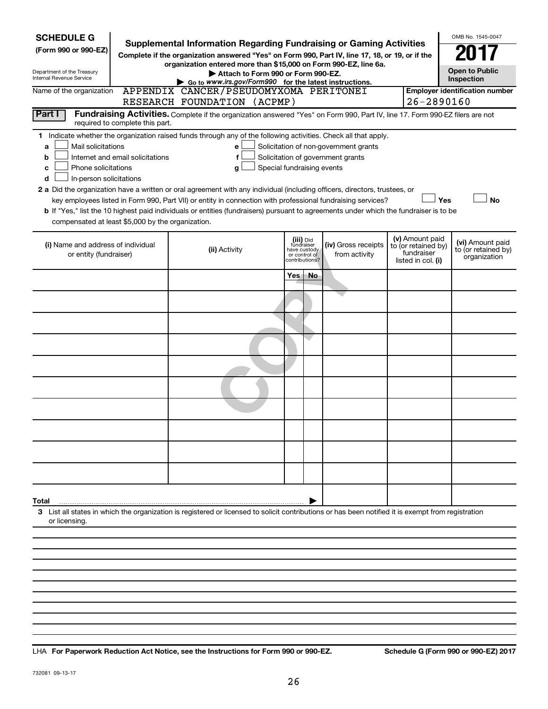| <b>SCHEDULE G</b>                                            |                                                                            |                                                                                                                                                                                                                                                             |            |                               |                                       |                                   | OMB No. 1545-0047                     |  |  |  |
|--------------------------------------------------------------|----------------------------------------------------------------------------|-------------------------------------------------------------------------------------------------------------------------------------------------------------------------------------------------------------------------------------------------------------|------------|-------------------------------|---------------------------------------|-----------------------------------|---------------------------------------|--|--|--|
| (Form 990 or 990-EZ)                                         |                                                                            | <b>Supplemental Information Regarding Fundraising or Gaming Activities</b><br>Complete if the organization answered "Yes" on Form 990, Part IV, line 17, 18, or 19, or if the                                                                               |            |                               |                                       |                                   |                                       |  |  |  |
| Department of the Treasury                                   |                                                                            | organization entered more than \$15,000 on Form 990-EZ, line 6a.<br>Attach to Form 990 or Form 990-EZ.                                                                                                                                                      |            |                               |                                       |                                   | <b>Open to Public</b>                 |  |  |  |
| Internal Revenue Service                                     |                                                                            | $\triangleright$ Go to www.irs.gov/Form990 for the latest instructions.                                                                                                                                                                                     |            |                               |                                       |                                   | Inspection                            |  |  |  |
| Name of the organization                                     |                                                                            | APPENDIX CANCER/PSEUDOMYXOMA PERITONEI<br>RESEARCH FOUNDATION (ACPMP)                                                                                                                                                                                       |            |                               |                                       | 26-2890160                        | <b>Employer identification number</b> |  |  |  |
| Part I                                                       |                                                                            | Fundraising Activities. Complete if the organization answered "Yes" on Form 990, Part IV, line 17. Form 990-EZ filers are not                                                                                                                               |            |                               |                                       |                                   |                                       |  |  |  |
| required to complete this part.                              |                                                                            | Indicate whether the organization raised funds through any of the following activities. Check all that apply.                                                                                                                                               |            |                               |                                       |                                   |                                       |  |  |  |
| 1.<br>Mail solicitations<br>a                                |                                                                            | e                                                                                                                                                                                                                                                           |            |                               | Solicitation of non-government grants |                                   |                                       |  |  |  |
| b                                                            | Internet and email solicitations<br>f<br>Solicitation of government grants |                                                                                                                                                                                                                                                             |            |                               |                                       |                                   |                                       |  |  |  |
| Phone solicitations<br>c                                     |                                                                            | Special fundraising events<br>g                                                                                                                                                                                                                             |            |                               |                                       |                                   |                                       |  |  |  |
| d<br>In-person solicitations                                 |                                                                            |                                                                                                                                                                                                                                                             |            |                               |                                       |                                   |                                       |  |  |  |
|                                                              |                                                                            | 2 a Did the organization have a written or oral agreement with any individual (including officers, directors, trustees, or                                                                                                                                  |            |                               |                                       |                                   |                                       |  |  |  |
|                                                              |                                                                            | key employees listed in Form 990, Part VII) or entity in connection with professional fundraising services?<br><b>b</b> If "Yes," list the 10 highest paid individuals or entities (fundraisers) pursuant to agreements under which the fundraiser is to be |            |                               |                                       |                                   | Yes<br><b>No</b>                      |  |  |  |
| compensated at least \$5,000 by the organization.            |                                                                            |                                                                                                                                                                                                                                                             |            |                               |                                       |                                   |                                       |  |  |  |
|                                                              |                                                                            |                                                                                                                                                                                                                                                             | (iii) Did  |                               |                                       | (v) Amount paid                   | (vi) Amount paid                      |  |  |  |
| (i) Name and address of individual<br>or entity (fundraiser) |                                                                            | (ii) Activity                                                                                                                                                                                                                                               | fundraiser | have custody<br>or control of | (iv) Gross receipts<br>from activity  | to (or retained by)<br>fundraiser | to (or retained by)                   |  |  |  |
|                                                              |                                                                            |                                                                                                                                                                                                                                                             |            | contributions?                |                                       | listed in col. (i)                | organization                          |  |  |  |
|                                                              |                                                                            |                                                                                                                                                                                                                                                             | Yes        | <b>No</b>                     |                                       |                                   |                                       |  |  |  |
|                                                              |                                                                            |                                                                                                                                                                                                                                                             |            |                               |                                       |                                   |                                       |  |  |  |
|                                                              |                                                                            |                                                                                                                                                                                                                                                             |            |                               |                                       |                                   |                                       |  |  |  |
|                                                              |                                                                            |                                                                                                                                                                                                                                                             |            |                               |                                       |                                   |                                       |  |  |  |
|                                                              |                                                                            |                                                                                                                                                                                                                                                             |            |                               |                                       |                                   |                                       |  |  |  |
|                                                              |                                                                            |                                                                                                                                                                                                                                                             |            |                               |                                       |                                   |                                       |  |  |  |
|                                                              |                                                                            |                                                                                                                                                                                                                                                             |            |                               |                                       |                                   |                                       |  |  |  |
|                                                              |                                                                            |                                                                                                                                                                                                                                                             |            |                               |                                       |                                   |                                       |  |  |  |
|                                                              |                                                                            |                                                                                                                                                                                                                                                             |            |                               |                                       |                                   |                                       |  |  |  |
|                                                              |                                                                            |                                                                                                                                                                                                                                                             |            |                               |                                       |                                   |                                       |  |  |  |
| Total                                                        |                                                                            |                                                                                                                                                                                                                                                             |            |                               |                                       |                                   |                                       |  |  |  |
| or licensing.                                                |                                                                            | 3 List all states in which the organization is registered or licensed to solicit contributions or has been notified it is exempt from registration                                                                                                          |            |                               |                                       |                                   |                                       |  |  |  |
|                                                              |                                                                            |                                                                                                                                                                                                                                                             |            |                               |                                       |                                   |                                       |  |  |  |
|                                                              |                                                                            |                                                                                                                                                                                                                                                             |            |                               |                                       |                                   |                                       |  |  |  |
|                                                              |                                                                            |                                                                                                                                                                                                                                                             |            |                               |                                       |                                   |                                       |  |  |  |
|                                                              |                                                                            |                                                                                                                                                                                                                                                             |            |                               |                                       |                                   |                                       |  |  |  |
|                                                              |                                                                            |                                                                                                                                                                                                                                                             |            |                               |                                       |                                   |                                       |  |  |  |
|                                                              |                                                                            |                                                                                                                                                                                                                                                             |            |                               |                                       |                                   |                                       |  |  |  |
|                                                              |                                                                            |                                                                                                                                                                                                                                                             |            |                               |                                       |                                   |                                       |  |  |  |

**For Paperwork Reduction Act Notice, see the Instructions for Form 990 or 990-EZ. Schedule G (Form 990 or 990-EZ) 2017** LHA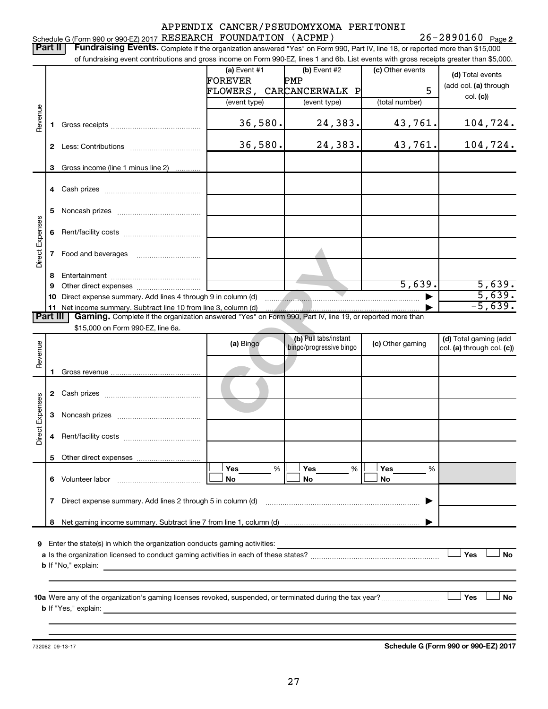|                 | $26 - 2890160$ Page 2<br>Schedule G (Form 990 or 990-EZ) 2017 RESEARCH FOUNDATION (ACPMP) |                                                                                                                                                 |                           |                         |                  |                            |  |  |  |
|-----------------|-------------------------------------------------------------------------------------------|-------------------------------------------------------------------------------------------------------------------------------------------------|---------------------------|-------------------------|------------------|----------------------------|--|--|--|
|                 | Part II                                                                                   | Fundraising Events. Complete if the organization answered "Yes" on Form 990, Part IV, line 18, or reported more than \$15,000                   |                           |                         |                  |                            |  |  |  |
|                 |                                                                                           | of fundraising event contributions and gross income on Form 990-EZ, lines 1 and 6b. List events with gross receipts greater than \$5,000.       |                           |                         |                  |                            |  |  |  |
|                 |                                                                                           |                                                                                                                                                 | (a) Event $#1$<br>FOREVER | $(b)$ Event #2<br>PMP   | (c) Other events | (d) Total events           |  |  |  |
|                 |                                                                                           |                                                                                                                                                 | FLOWERS, CARCANCERWALK P  |                         | 5                | (add col. (a) through      |  |  |  |
|                 |                                                                                           |                                                                                                                                                 | (event type)              | (event type)            | (total number)   | col. (c))                  |  |  |  |
|                 |                                                                                           |                                                                                                                                                 |                           |                         |                  |                            |  |  |  |
| Revenue         | 1.                                                                                        |                                                                                                                                                 | 36,580.                   | 24,383.                 | 43,761.          | 104,724.                   |  |  |  |
|                 |                                                                                           |                                                                                                                                                 |                           |                         |                  |                            |  |  |  |
|                 | 2                                                                                         |                                                                                                                                                 | 36,580.                   | 24,383.                 | 43,761.          | 104,724.                   |  |  |  |
|                 |                                                                                           |                                                                                                                                                 |                           |                         |                  |                            |  |  |  |
|                 | З                                                                                         | Gross income (line 1 minus line 2)                                                                                                              |                           |                         |                  |                            |  |  |  |
|                 | 4                                                                                         |                                                                                                                                                 |                           |                         |                  |                            |  |  |  |
|                 |                                                                                           |                                                                                                                                                 |                           |                         |                  |                            |  |  |  |
|                 | 5                                                                                         |                                                                                                                                                 |                           |                         |                  |                            |  |  |  |
|                 |                                                                                           |                                                                                                                                                 |                           |                         |                  |                            |  |  |  |
|                 | 6                                                                                         |                                                                                                                                                 |                           |                         |                  |                            |  |  |  |
| Direct Expenses |                                                                                           |                                                                                                                                                 |                           |                         |                  |                            |  |  |  |
|                 | 7                                                                                         |                                                                                                                                                 |                           |                         |                  |                            |  |  |  |
|                 | 8                                                                                         |                                                                                                                                                 |                           |                         |                  |                            |  |  |  |
|                 | 9                                                                                         |                                                                                                                                                 |                           |                         | 5,639.           | 5,639.                     |  |  |  |
|                 | 10                                                                                        |                                                                                                                                                 |                           |                         |                  | 5,639.                     |  |  |  |
|                 | 11                                                                                        | Net income summary. Subtract line 10 from line 3, column (d)                                                                                    |                           |                         |                  | $-5,639.$                  |  |  |  |
|                 | Part III                                                                                  | Gaming. Complete if the organization answered "Yes" on Form 990, Part IV, line 19, or reported more than                                        |                           |                         |                  |                            |  |  |  |
|                 |                                                                                           | \$15,000 on Form 990-EZ, line 6a.                                                                                                               |                           |                         |                  |                            |  |  |  |
|                 |                                                                                           |                                                                                                                                                 | (a) Bingo                 | (b) Pull tabs/instant   | (c) Other gaming | (d) Total gaming (add      |  |  |  |
| Revenue         |                                                                                           |                                                                                                                                                 |                           | bingo/progressive bingo |                  | col. (a) through col. (c)) |  |  |  |
|                 |                                                                                           |                                                                                                                                                 |                           |                         |                  |                            |  |  |  |
|                 |                                                                                           |                                                                                                                                                 |                           |                         |                  |                            |  |  |  |
|                 |                                                                                           |                                                                                                                                                 |                           |                         |                  |                            |  |  |  |
|                 |                                                                                           |                                                                                                                                                 |                           |                         |                  |                            |  |  |  |
| Expenses        | 3                                                                                         |                                                                                                                                                 |                           |                         |                  |                            |  |  |  |
| ť               |                                                                                           |                                                                                                                                                 |                           |                         |                  |                            |  |  |  |
| Dire            | 4                                                                                         |                                                                                                                                                 |                           |                         |                  |                            |  |  |  |
|                 |                                                                                           |                                                                                                                                                 |                           |                         |                  |                            |  |  |  |
|                 | 5                                                                                         |                                                                                                                                                 |                           |                         |                  |                            |  |  |  |
|                 |                                                                                           | 6 Volunteer labor                                                                                                                               | Yes<br>%<br>No            | Yes<br>%<br>No          | Yes<br>%<br>No   |                            |  |  |  |
|                 |                                                                                           |                                                                                                                                                 |                           |                         |                  |                            |  |  |  |
|                 | 7                                                                                         |                                                                                                                                                 |                           |                         | ▶                |                            |  |  |  |
|                 |                                                                                           |                                                                                                                                                 |                           |                         |                  |                            |  |  |  |
|                 | 8                                                                                         |                                                                                                                                                 |                           |                         |                  |                            |  |  |  |
|                 |                                                                                           |                                                                                                                                                 |                           |                         |                  |                            |  |  |  |
| 9               |                                                                                           | Enter the state(s) in which the organization conducts gaming activities:                                                                        |                           |                         |                  |                            |  |  |  |
|                 |                                                                                           |                                                                                                                                                 |                           |                         |                  | Yes<br>No                  |  |  |  |
|                 |                                                                                           | <b>b</b> If "No," explain:<br>the control of the control of the control of the control of the control of the control of                         |                           |                         |                  |                            |  |  |  |
|                 |                                                                                           |                                                                                                                                                 |                           |                         |                  |                            |  |  |  |
|                 |                                                                                           |                                                                                                                                                 |                           |                         |                  | Yes<br>No                  |  |  |  |
|                 |                                                                                           | <b>b</b> If "Yes," explain:<br>and the control of the control of the control of the control of the control of the control of the control of the |                           |                         |                  |                            |  |  |  |
|                 |                                                                                           |                                                                                                                                                 |                           |                         |                  |                            |  |  |  |
|                 |                                                                                           |                                                                                                                                                 |                           |                         |                  |                            |  |  |  |

732082 09-13-17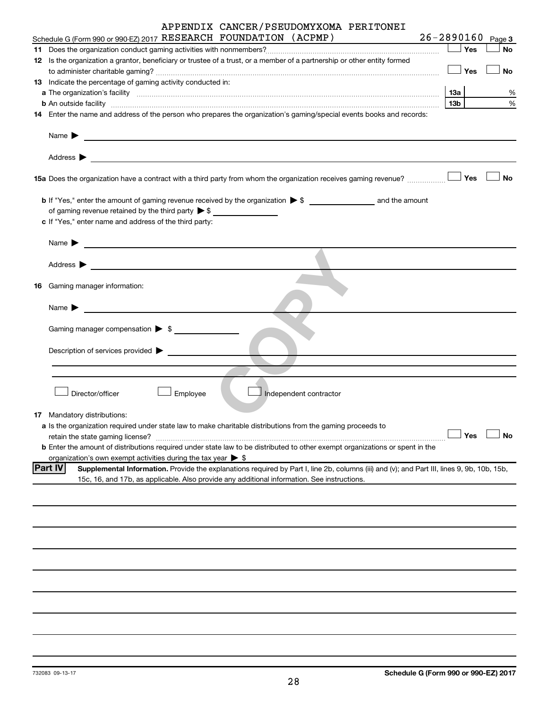| APPENDIX CANCER/PSEUDOMYXOMA PERITONEI                                                                                                                        |                 |     |                       |
|---------------------------------------------------------------------------------------------------------------------------------------------------------------|-----------------|-----|-----------------------|
| Schedule G (Form 990 or 990-EZ) 2017 RESEARCH FOUNDATION (ACPMP)                                                                                              |                 |     | $26 - 2890160$ Page 3 |
|                                                                                                                                                               |                 |     | No                    |
| 12 Is the organization a grantor, beneficiary or trustee of a trust, or a member of a partnership or other entity formed                                      |                 |     |                       |
|                                                                                                                                                               |                 | Yes | No                    |
| 13 Indicate the percentage of gaming activity conducted in:                                                                                                   |                 |     |                       |
|                                                                                                                                                               | 13a             |     | ℅                     |
|                                                                                                                                                               | 13 <sub>b</sub> |     | %                     |
| 14 Enter the name and address of the person who prepares the organization's gaming/special events books and records:                                          |                 |     |                       |
|                                                                                                                                                               |                 |     |                       |
| Name $\blacktriangleright$<br><u> 1989 - Johann John Stein, fransk politik (f. 1989)</u>                                                                      |                 |     |                       |
| Address $\blacktriangleright$<br>and the control of the control of the control of the control of the control of the control of the control of the             |                 |     |                       |
|                                                                                                                                                               |                 |     | No                    |
|                                                                                                                                                               |                 |     |                       |
|                                                                                                                                                               |                 |     |                       |
| of gaming revenue retained by the third party $\triangleright$ \$                                                                                             |                 |     |                       |
| c If "Yes," enter name and address of the third party:                                                                                                        |                 |     |                       |
| Name $\blacktriangleright$<br><u> 1989 - Johann Barbara, martin amerikan basal dan berasal dan berasal dalam basal dalam basal dalam basal dala</u>           |                 |     |                       |
|                                                                                                                                                               |                 |     |                       |
| Address $\blacktriangleright$<br><u> 1989 - John Harry Harry Harry Harry Harry Harry Harry Harry Harry Harry Harry Harry Harry Harry Harry Harry H</u>        |                 |     |                       |
|                                                                                                                                                               |                 |     |                       |
| <b>16</b> Gaming manager information:                                                                                                                         |                 |     |                       |
|                                                                                                                                                               |                 |     |                       |
| Name $\blacktriangleright$<br><u> 1989 - John Stein, Amerikaansk politiker (</u>                                                                              |                 |     |                       |
|                                                                                                                                                               |                 |     |                       |
|                                                                                                                                                               |                 |     |                       |
| Description of services provided $\blacktriangleright$                                                                                                        |                 |     |                       |
|                                                                                                                                                               |                 |     |                       |
|                                                                                                                                                               |                 |     |                       |
|                                                                                                                                                               |                 |     |                       |
| Director/officer<br>Employee<br>Independent contractor                                                                                                        |                 |     |                       |
|                                                                                                                                                               |                 |     |                       |
| <b>17</b> Mandatory distributions:                                                                                                                            |                 |     |                       |
| a Is the organization required under state law to make charitable distributions from the gaming proceeds to                                                   |                 |     |                       |
| retain the state gaming license?                                                                                                                              |                 | Yes | <b>No</b>             |
| <b>b</b> Enter the amount of distributions required under state law to be distributed to other exempt organizations or spent in the                           |                 |     |                       |
| organization's own exempt activities during the tax year $\triangleright$ \$                                                                                  |                 |     |                       |
| <b>Part IV</b><br>Supplemental Information. Provide the explanations required by Part I, line 2b, columns (iii) and (v); and Part III, lines 9, 9b, 10b, 15b, |                 |     |                       |
| 15c, 16, and 17b, as applicable. Also provide any additional information. See instructions.                                                                   |                 |     |                       |
|                                                                                                                                                               |                 |     |                       |
|                                                                                                                                                               |                 |     |                       |
|                                                                                                                                                               |                 |     |                       |
|                                                                                                                                                               |                 |     |                       |
|                                                                                                                                                               |                 |     |                       |
|                                                                                                                                                               |                 |     |                       |
|                                                                                                                                                               |                 |     |                       |
|                                                                                                                                                               |                 |     |                       |
|                                                                                                                                                               |                 |     |                       |
|                                                                                                                                                               |                 |     |                       |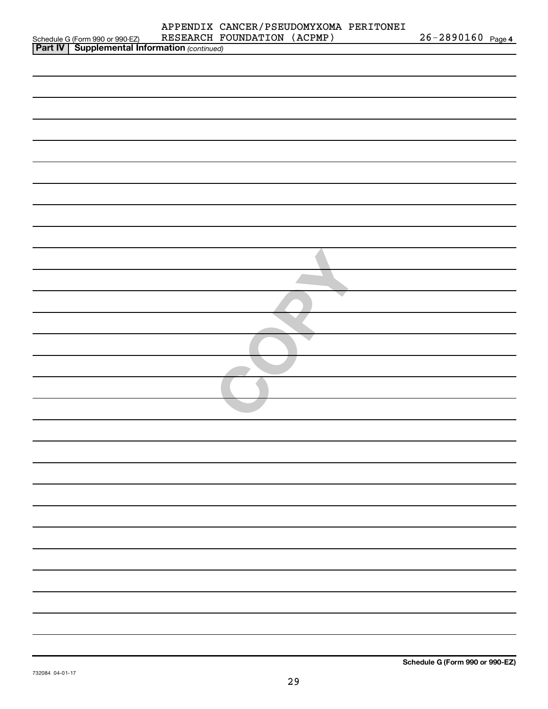|                                                                                                     | APPENDIX CANCER/PSEUDOMYXOMA PERITONEI |                   |  |
|-----------------------------------------------------------------------------------------------------|----------------------------------------|-------------------|--|
| Schedule G (Form 990 or 990-EZ) RESEARCH F<br><b>Part IV   Supplemental Information</b> (continued) | RESEARCH FOUNDATION (ACPMP)            | 26-2890160 Page 4 |  |
|                                                                                                     |                                        |                   |  |
|                                                                                                     |                                        |                   |  |
|                                                                                                     |                                        |                   |  |
|                                                                                                     |                                        |                   |  |
|                                                                                                     |                                        |                   |  |
|                                                                                                     |                                        |                   |  |
|                                                                                                     |                                        |                   |  |
|                                                                                                     |                                        |                   |  |
|                                                                                                     |                                        |                   |  |
|                                                                                                     |                                        |                   |  |
|                                                                                                     |                                        |                   |  |
|                                                                                                     |                                        |                   |  |
|                                                                                                     |                                        |                   |  |
|                                                                                                     |                                        |                   |  |
|                                                                                                     |                                        |                   |  |
|                                                                                                     |                                        |                   |  |
|                                                                                                     |                                        |                   |  |
|                                                                                                     |                                        |                   |  |
|                                                                                                     |                                        |                   |  |
|                                                                                                     |                                        |                   |  |
|                                                                                                     |                                        |                   |  |
|                                                                                                     |                                        |                   |  |
|                                                                                                     |                                        |                   |  |
|                                                                                                     |                                        |                   |  |
|                                                                                                     |                                        |                   |  |
|                                                                                                     |                                        |                   |  |
|                                                                                                     |                                        |                   |  |
|                                                                                                     |                                        |                   |  |
|                                                                                                     |                                        |                   |  |
|                                                                                                     |                                        |                   |  |
|                                                                                                     |                                        |                   |  |
|                                                                                                     |                                        |                   |  |
|                                                                                                     |                                        |                   |  |
|                                                                                                     |                                        |                   |  |
|                                                                                                     |                                        |                   |  |
|                                                                                                     |                                        |                   |  |
|                                                                                                     |                                        |                   |  |
|                                                                                                     |                                        |                   |  |
|                                                                                                     |                                        |                   |  |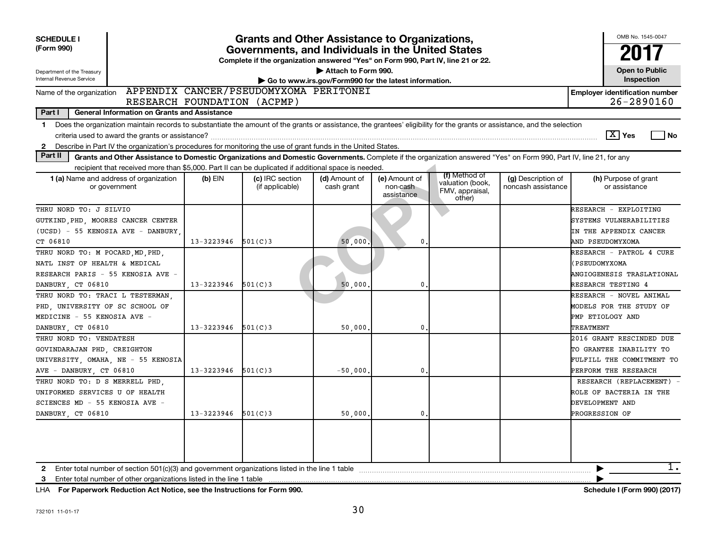| <b>SCHEDULE I</b><br>(Form 990)<br>Department of the Treasury                                                                                                                                                                                                                                                  | OMB No. 1545-0047<br><b>Open to Public</b> |                                        |                             |                                         |                                                                |                                          |                                                         |  |
|----------------------------------------------------------------------------------------------------------------------------------------------------------------------------------------------------------------------------------------------------------------------------------------------------------------|--------------------------------------------|----------------------------------------|-----------------------------|-----------------------------------------|----------------------------------------------------------------|------------------------------------------|---------------------------------------------------------|--|
| Attach to Form 990.<br><b>Internal Revenue Service</b><br>Inspection<br>Go to www.irs.gov/Form990 for the latest information.                                                                                                                                                                                  |                                            |                                        |                             |                                         |                                                                |                                          |                                                         |  |
| Name of the organization<br>RESEARCH FOUNDATION (ACPMP)                                                                                                                                                                                                                                                        |                                            | APPENDIX CANCER/PSEUDOMYXOMA PERITONEI |                             |                                         |                                                                |                                          | <b>Employer identification number</b><br>$26 - 2890160$ |  |
| Part I<br><b>General Information on Grants and Assistance</b>                                                                                                                                                                                                                                                  |                                            |                                        |                             |                                         |                                                                |                                          |                                                         |  |
| Does the organization maintain records to substantiate the amount of the grants or assistance, the grantees' eligibility for the grants or assistance, and the selection<br>1<br>Describe in Part IV the organization's procedures for monitoring the use of grant funds in the United States.<br>$\mathbf{2}$ |                                            |                                        |                             |                                         |                                                                |                                          | $\boxed{\text{X}}$ Yes<br>l No                          |  |
| Part II<br>Grants and Other Assistance to Domestic Organizations and Domestic Governments. Complete if the organization answered "Yes" on Form 990, Part IV, line 21, for any                                                                                                                                  |                                            |                                        |                             |                                         |                                                                |                                          |                                                         |  |
| recipient that received more than \$5,000. Part II can be duplicated if additional space is needed.                                                                                                                                                                                                            |                                            |                                        |                             |                                         |                                                                |                                          |                                                         |  |
| <b>1 (a)</b> Name and address of organization<br>or government                                                                                                                                                                                                                                                 | $(b)$ EIN                                  | (c) IRC section<br>(if applicable)     | (d) Amount of<br>cash grant | (e) Amount of<br>non-cash<br>assistance | (f) Method of<br>valuation (book,<br>FMV, appraisal,<br>other) | (g) Description of<br>noncash assistance | (h) Purpose of grant<br>or assistance                   |  |
| THRU NORD TO: J SILVIO                                                                                                                                                                                                                                                                                         |                                            |                                        |                             |                                         |                                                                |                                          | RESEARCH - EXPLOITING                                   |  |
| GUTKIND, PHD, MOORES CANCER CENTER<br>(UCSD) - 55 KENOSIA AVE - DANBURY                                                                                                                                                                                                                                        |                                            |                                        |                             |                                         |                                                                |                                          | SYSTEMS VULNERABILITIES<br>IN THE APPENDIX CANCER       |  |
| CT 06810                                                                                                                                                                                                                                                                                                       | 13-3223946                                 | 501(C)3                                | 50,000                      | $\mathbf{0}$                            |                                                                |                                          | AND PSEUDOMYXOMA                                        |  |
| THRU NORD TO: M POCARD, MD, PHD,                                                                                                                                                                                                                                                                               |                                            |                                        |                             |                                         |                                                                |                                          | RESEARCH - PATROL 4 CURE                                |  |
| NATL INST OF HEALTH & MEDICAL                                                                                                                                                                                                                                                                                  |                                            |                                        |                             |                                         |                                                                |                                          | (PSEUDOMYXOMA                                           |  |
| RESEARCH PARIS - 55 KENOSIA AVE -                                                                                                                                                                                                                                                                              |                                            |                                        |                             |                                         |                                                                |                                          | ANGIOGENESIS TRASLATIONAL                               |  |
| DANBURY CT 06810                                                                                                                                                                                                                                                                                               | 13-3223946                                 | 501(C)3                                | 50,000                      | $\mathbf{0}$                            |                                                                |                                          | <b>RESEARCH TESTING 4</b>                               |  |
| THRU NORD TO: TRACI L TESTERMAN,                                                                                                                                                                                                                                                                               |                                            |                                        |                             |                                         |                                                                |                                          | RESEARCH - NOVEL ANIMAL                                 |  |
| PHD, UNIVERSITY OF SC SCHOOL OF                                                                                                                                                                                                                                                                                |                                            |                                        |                             |                                         |                                                                |                                          | MODELS FOR THE STUDY OF                                 |  |
| MEDICINE - 55 KENOSIA AVE -                                                                                                                                                                                                                                                                                    |                                            |                                        |                             |                                         |                                                                |                                          | PMP ETIOLOGY AND                                        |  |
| DANBURY CT 06810                                                                                                                                                                                                                                                                                               | 13-3223946                                 | 501(C)3                                | 50,000                      | $\mathbf{0}$                            |                                                                |                                          | TREATMENT                                               |  |
| THRU NORD TO: VENDATESH                                                                                                                                                                                                                                                                                        |                                            |                                        |                             |                                         |                                                                |                                          | 2016 GRANT RESCINDED DUE                                |  |
| GOVINDARAJAN PHD CREIGHTON                                                                                                                                                                                                                                                                                     |                                            |                                        |                             |                                         |                                                                |                                          | TO GRANTEE INABILITY TO                                 |  |
| UNIVERSITY, OMAHA, NE - 55 KENOSIA                                                                                                                                                                                                                                                                             |                                            |                                        |                             |                                         |                                                                |                                          | FULFILL THE COMMITMENT TO                               |  |
| AVE - DANBURY, CT 06810                                                                                                                                                                                                                                                                                        | 13-3223946                                 | 501(C)3                                | $-50,000.$                  | $\mathbf{0}$                            |                                                                |                                          | PERFORM THE RESEARCH                                    |  |
| THRU NORD TO: D S MERRELL PHD.                                                                                                                                                                                                                                                                                 |                                            |                                        |                             |                                         |                                                                |                                          | RESEARCH (REPLACEMENT) -                                |  |
| UNIFORMED SERVICES U OF HEALTH                                                                                                                                                                                                                                                                                 |                                            |                                        |                             |                                         |                                                                |                                          | ROLE OF BACTERIA IN THE                                 |  |
| SCIENCES MD - 55 KENOSIA AVE -                                                                                                                                                                                                                                                                                 |                                            |                                        |                             |                                         |                                                                |                                          | DEVELOPMENT AND                                         |  |
| DANBURY CT 06810                                                                                                                                                                                                                                                                                               | 13-3223946                                 | 501(C)3                                | 50,000,                     | 0.                                      |                                                                |                                          | PROGRESSION OF                                          |  |
|                                                                                                                                                                                                                                                                                                                |                                            |                                        |                             |                                         |                                                                |                                          | $1$ .                                                   |  |
| Enter total number of other organizations listed in the line 1 table<br>3                                                                                                                                                                                                                                      |                                            |                                        |                             |                                         |                                                                |                                          |                                                         |  |

**For Paperwork Reduction Act Notice, see the Instructions for Form 990. Schedule I (Form 990) (2017)** LHA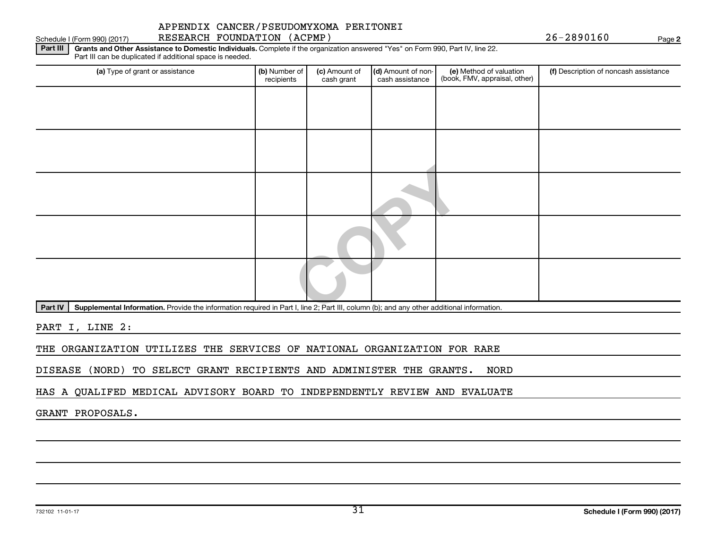#### Schedule I (Form 990) (2017) RESEARCH FOUNDATION (ACPMP) Page APPENDIX CANCER/PSEUDOMYXOMA PERITONEI

**2**

Part III | Grants and Other Assistance to Domestic Individuals. Complete if the organization answered "Yes" on Form 990, Part IV, line 22. Part III can be duplicated if additional space is needed.

| (a) Type of grant or assistance                                                                                                                      | (b) Number of<br>recipients | (c) Amount of<br>cash grant | (d) Amount of non-<br>cash assistance | (e) Method of valuation<br>(book, FMV, appraisal, other) | (f) Description of noncash assistance |
|------------------------------------------------------------------------------------------------------------------------------------------------------|-----------------------------|-----------------------------|---------------------------------------|----------------------------------------------------------|---------------------------------------|
|                                                                                                                                                      |                             |                             |                                       |                                                          |                                       |
|                                                                                                                                                      |                             |                             |                                       |                                                          |                                       |
|                                                                                                                                                      |                             |                             |                                       |                                                          |                                       |
|                                                                                                                                                      |                             |                             |                                       |                                                          |                                       |
|                                                                                                                                                      |                             |                             |                                       |                                                          |                                       |
|                                                                                                                                                      |                             |                             |                                       |                                                          |                                       |
|                                                                                                                                                      |                             |                             |                                       |                                                          |                                       |
|                                                                                                                                                      |                             |                             |                                       |                                                          |                                       |
| Supplemental Information. Provide the information required in Part I, line 2; Part III, column (b); and any other additional information.<br>Part IV |                             |                             |                                       |                                                          |                                       |

PART I, LINE 2:

THE ORGANIZATION UTILIZES THE SERVICES OF NATIONAL ORGANIZATION FOR RARE

DISEASE (NORD) TO SELECT GRANT RECIPIENTS AND ADMINISTER THE GRANTS. NORD

HAS A QUALIFED MEDICAL ADVISORY BOARD TO INDEPENDENTLY REVIEW AND EVALUATE

GRANT PROPOSALS.